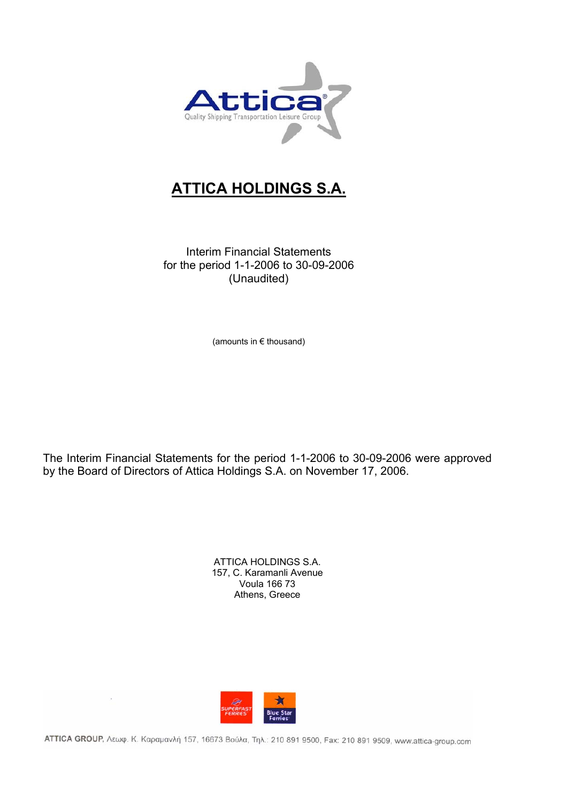

# **ATTICA HOLDINGS S.A.**

Interim Financial Statements for the period 1-1-2006 to 30-09-2006 (Unaudited)

(amounts in € thousand)

The Interim Financial Statements for the period 1-1-2006 to 30-09-2006 were approved by the Board of Directors of Attica Holdings S.A. on November 17, 2006.

> ATTICA HOLDINGS S.A. 157, C. Karamanli Avenue Voula 166 73 Athens, Greece



ΑΤΤΙΣΑ GROUP, Λεωφ. Κ. Καραμανλή 157, 16673 Βούλα, Τηλ.: 210 891 9500, Fax: 210 891 9509, www.attica-group.com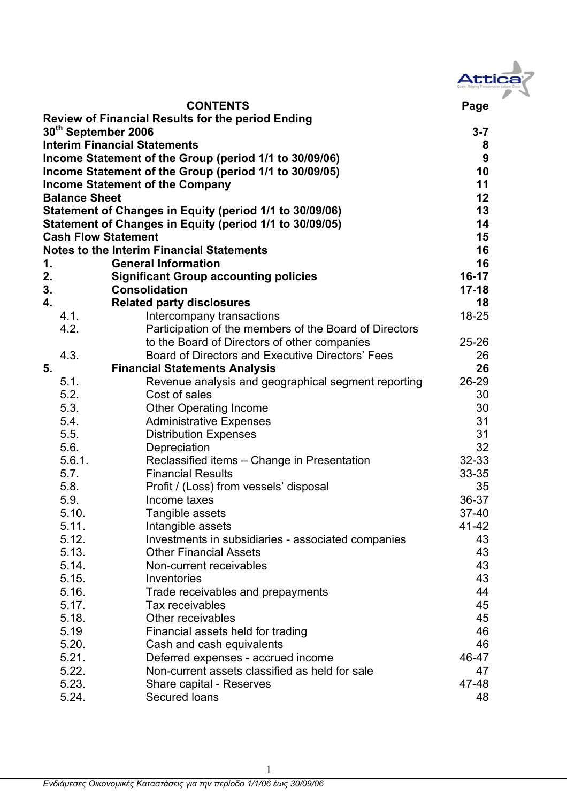| Attica |
|--------|
|        |
|        |

 **CONTENTS Page Review of Financial Results for the period Ending 30<sup>th</sup> September 2006** 3-7 **Interim Financial Statements 8 Income Statement of the Group (period 1/1 to 30/09/06) 9 Income Statement of the Group (period 1/1 to 30/09/05)** 10 **Income Statement of the Company 11 and 11 and 12 and 12 and 12 and 13 and 14 and 14 and 14 and 14 and 14 and 14 and 14 and 14 and 14 and 14 and 14 and 14 and 14 and 14 and 14 and 15 and 16 and 16 and 16 and 16 and 16 and Balance Sheet 12 Balance Sheet** 12 **Statement of Changes in Equity (period 1/1 to 30/09/06) 13 Statement of Changes in Equity (period 1/1 to 30/09/05) 14 Cash Flow Statement 15 and 15 and 16 and 16 and 16 and 16 and 16 and 16 and 16 and 16 and 16 and 16 and 16 and 16 and 16 and 16 and 16 and 16 and 16 and 16 and 16 and 16 and 16 and 16 and 16 and 16 and 16 and 16 and 16 an Notes to the Interim Financial Statements 16 1. General Information 16 2. Significant Group accounting policies 16-17 3. Consolidation 17-18 4. Related party disclosures 18**  4.1. Intercompany transactions 18-25 4.2. Participation of the members of the Board of Directors to the Board of Directors of other companies 25-26 4.3. Board of Directors and Executive Directors' Fees 26 **5. Financial Statements Analysis 26**  5.1. Revenue analysis and geographical segment reporting 26-29 5.2. Cost of sales 30 5.3. Other Operating Income 30 5.4. Administrative Expenses 31 5.5. Distribution Expenses 31 5.6. Depreciation 32 5.6.1. Reclassified items – Change in Presentation 32-33 5.7. Financial Results 33-35 5.8. Profit / (Loss) from vessels' disposal 35 5.9. Income taxes 36-37 5.10. Tangible assets 37-40 5.11. Intangible assets 41-42 5.12. Investments in subsidiaries - associated companies 43 5.13. Other Financial Assets 43 5.14. Non-current receivables 43 5.15. Inventories 43 5.16. Trade receivables and prepayments 44 5.17. Tax receivables 45 5.18. Other receivables 45 5.19 Financial assets held for trading 46 5.20. Cash and cash equivalents 46 5.21. Deferred expenses - accrued income 46-47 5.22. Non-current assets classified as held for sale 47 5.23. Share capital - Reserves 47-48 5.24. Secured loans 48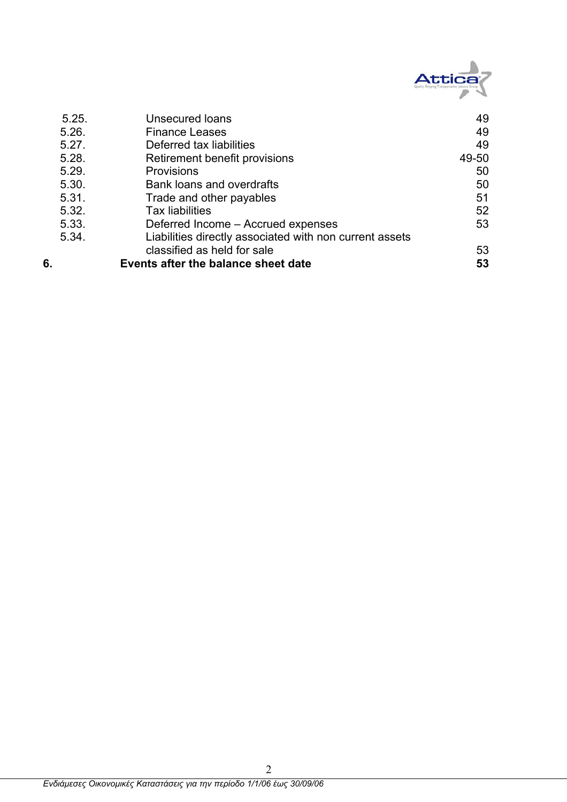

| 5.25. | <b>Unsecured loans</b>                                  | 49    |
|-------|---------------------------------------------------------|-------|
| 5.26. | <b>Finance Leases</b>                                   | 49    |
| 5.27. | Deferred tax liabilities                                | 49    |
| 5.28. | Retirement benefit provisions                           | 49-50 |
| 5.29. | <b>Provisions</b>                                       | 50    |
| 5.30. | Bank loans and overdrafts                               | 50    |
| 5.31. | Trade and other payables                                | 51    |
| 5.32. | <b>Tax liabilities</b>                                  | 52    |
| 5.33. | Deferred Income - Accrued expenses                      | 53    |
| 5.34. | Liabilities directly associated with non current assets |       |
|       | classified as held for sale                             | 53    |
| 6.    | Events after the balance sheet date                     | 53    |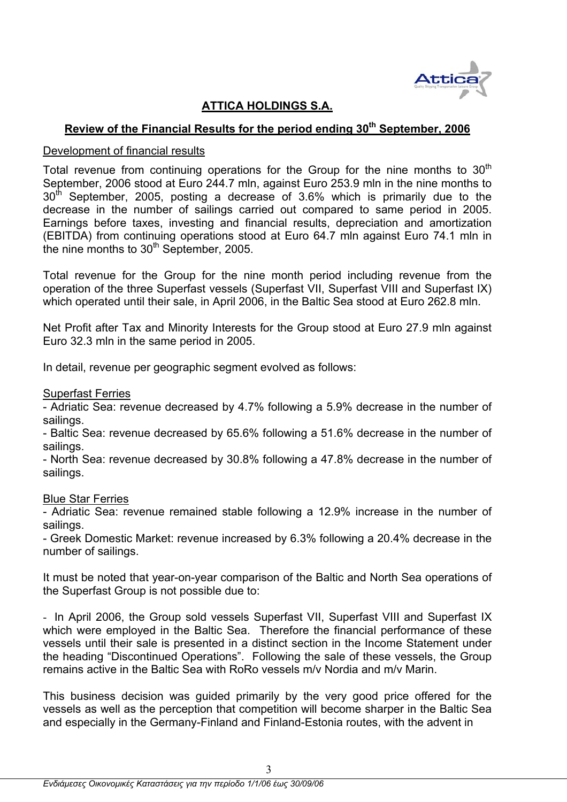

## **ATTICA HOLDINGS S.A.**

# **Review of the Financial Results for the period ending 30<sup>th</sup> September, 2006**

### Development of financial results

Total revenue from continuing operations for the Group for the nine months to  $30<sup>th</sup>$ September, 2006 stood at Euro 244.7 mln, against Euro 253.9 mln in the nine months to  $30<sup>th</sup>$  September, 2005, posting a decrease of 3.6% which is primarily due to the decrease in the number of sailings carried out compared to same period in 2005. Earnings before taxes, investing and financial results, depreciation and amortization (EBITDA) from continuing operations stood at Euro 64.7 mln against Euro 74.1 mln in the nine months to  $30<sup>th</sup>$  September, 2005.

Total revenue for the Group for the nine month period including revenue from the operation of the three Superfast vessels (Superfast VII, Superfast VIII and Superfast IX) which operated until their sale, in April 2006, in the Baltic Sea stood at Euro 262.8 mln.

Net Profit after Tax and Minority Interests for the Group stood at Euro 27.9 mln against Euro 32.3 mln in the same period in 2005.

In detail, revenue per geographic segment evolved as follows:

Superfast Ferries

- Adriatic Sea: revenue decreased by 4.7% following a 5.9% decrease in the number of sailings.

- Baltic Sea: revenue decreased by 65.6% following a 51.6% decrease in the number of sailings.

- North Sea: revenue decreased by 30.8% following a 47.8% decrease in the number of sailings.

### Blue Star Ferries

- Adriatic Sea: revenue remained stable following a 12.9% increase in the number of sailings.

- Greek Domestic Market: revenue increased by 6.3% following a 20.4% decrease in the number of sailings.

It must be noted that year-on-year comparison of the Baltic and North Sea operations of the Superfast Group is not possible due to:

- In April 2006, the Group sold vessels Superfast VII, Superfast VIII and Superfast IX which were employed in the Baltic Sea. Therefore the financial performance of these vessels until their sale is presented in a distinct section in the Income Statement under the heading "Discontinued Operations". Following the sale of these vessels, the Group remains active in the Baltic Sea with RoRo vessels m/v Nordia and m/v Marin.

This business decision was guided primarily by the very good price offered for the vessels as well as the perception that competition will become sharper in the Baltic Sea and especially in the Germany-Finland and Finland-Estonia routes, with the advent in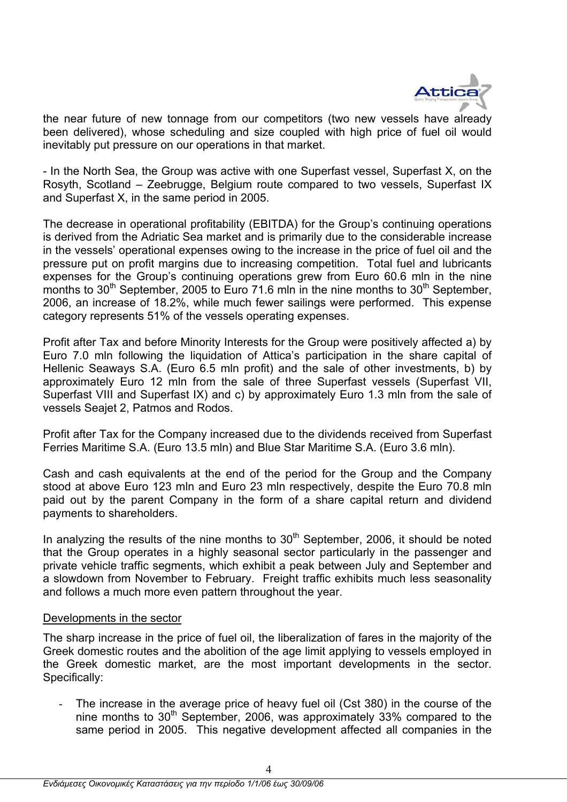

the near future of new tonnage from our competitors (two new vessels have already been delivered), whose scheduling and size coupled with high price of fuel oil would inevitably put pressure on our operations in that market.

- In the North Sea, the Group was active with one Superfast vessel, Superfast X, on the Rosyth, Scotland – Zeebrugge, Belgium route compared to two vessels, Superfast IX and Superfast X, in the same period in 2005.

The decrease in operational profitability (EBITDA) for the Group's continuing operations is derived from the Adriatic Sea market and is primarily due to the considerable increase in the vessels' operational expenses owing to the increase in the price of fuel oil and the pressure put on profit margins due to increasing competition. Total fuel and lubricants expenses for the Group's continuing operations grew from Euro 60.6 mln in the nine months to  $30<sup>th</sup>$  September, 2005 to Euro 71.6 mln in the nine months to  $30<sup>th</sup>$  September, 2006, an increase of 18.2%, while much fewer sailings were performed. This expense category represents 51% of the vessels operating expenses.

Profit after Tax and before Minority Interests for the Group were positively affected a) by Euro 7.0 mln following the liquidation of Attica's participation in the share capital of Hellenic Seaways S.Α. (Euro 6.5 mln profit) and the sale of other investments, b) by approximately Euro 12 mln from the sale of three Superfast vessels (Superfast VII, Superfast VIII and Superfast IX) and c) by approximately Euro 1.3 mln from the sale of vessels Seajet 2, Patmos and Rodos.

Profit after Tax for the Company increased due to the dividends received from Superfast Ferries Maritime S.A. (Euro 13.5 mln) and Blue Star Maritime S.Α. (Euro 3.6 mln).

Cash and cash equivalents at the end of the period for the Group and the Company stood at above Euro 123 mln and Euro 23 mln respectively, despite the Euro 70.8 mln paid out by the parent Company in the form of a share capital return and dividend payments to shareholders.

In analyzing the results of the nine months to  $30<sup>th</sup>$  September, 2006, it should be noted that the Group operates in a highly seasonal sector particularly in the passenger and private vehicle traffic segments, which exhibit a peak between July and September and a slowdown from November to February. Freight traffic exhibits much less seasonality and follows a much more even pattern throughout the year.

### Developments in the sector

The sharp increase in the price of fuel oil, the liberalization of fares in the majority of the Greek domestic routes and the abolition of the age limit applying to vessels employed in the Greek domestic market, are the most important developments in the sector. Specifically:

The increase in the average price of heavy fuel oil (Cst 380) in the course of the nine months to  $30<sup>th</sup>$  September, 2006, was approximately 33% compared to the same period in 2005. This negative development affected all companies in the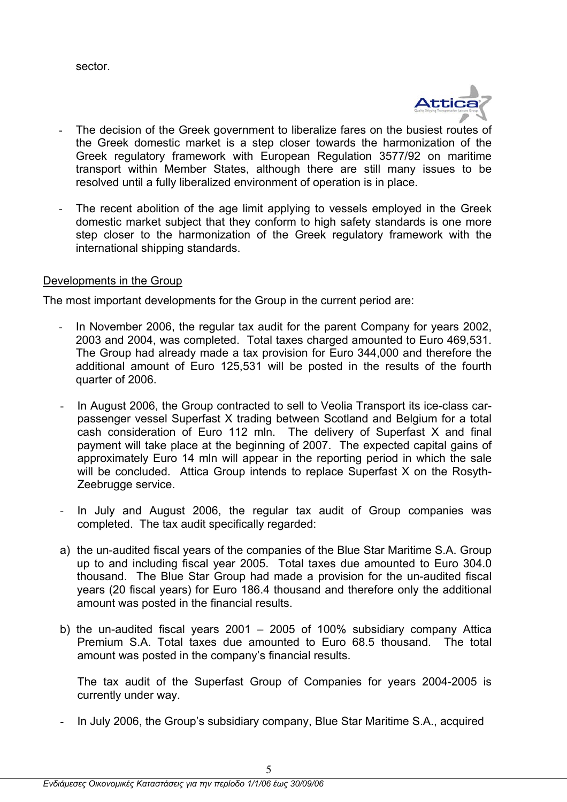sector.



- The decision of the Greek government to liberalize fares on the busiest routes of the Greek domestic market is a step closer towards the harmonization of the Greek regulatory framework with European Regulation 3577/92 on maritime transport within Member States, although there are still many issues to be resolved until a fully liberalized environment of operation is in place.
- The recent abolition of the age limit applying to vessels employed in the Greek domestic market subject that they conform to high safety standards is one more step closer to the harmonization of the Greek regulatory framework with the international shipping standards.

### Developments in the Group

The most important developments for the Group in the current period are:

- In November 2006, the regular tax audit for the parent Company for years 2002, 2003 and 2004, was completed. Total taxes charged amounted to Euro 469,531. The Group had already made a tax provision for Euro 344,000 and therefore the additional amount of Euro 125,531 will be posted in the results of the fourth quarter of 2006.
- In August 2006, the Group contracted to sell to Veolia Transport its ice-class carpassenger vessel Superfast X trading between Scotland and Belgium for a total cash consideration of Euro 112 mln. The delivery of Superfast X and final payment will take place at the beginning of 2007. The expected capital gains of approximately Euro 14 mln will appear in the reporting period in which the sale will be concluded. Attica Group intends to replace Superfast X on the Rosyth-Zeebrugge service.
- In July and August 2006, the regular tax audit of Group companies was completed. The tax audit specifically regarded:
- a) the un-audited fiscal years of the companies of the Blue Star Maritime S.A. Group up to and including fiscal year 2005. Total taxes due amounted to Euro 304.0 thousand. The Blue Star Group had made a provision for the un-audited fiscal years (20 fiscal years) for Euro 186.4 thousand and therefore only the additional amount was posted in the financial results.
- b) the un-audited fiscal years 2001 2005 of 100% subsidiary company Attica Premium S.A. Total taxes due amounted to Euro 68.5 thousand. The total amount was posted in the company's financial results.

 The tax audit of the Superfast Group of Companies for years 2004-2005 is currently under way.

- In July 2006, the Group's subsidiary company, Blue Star Maritime S.Α., acquired

5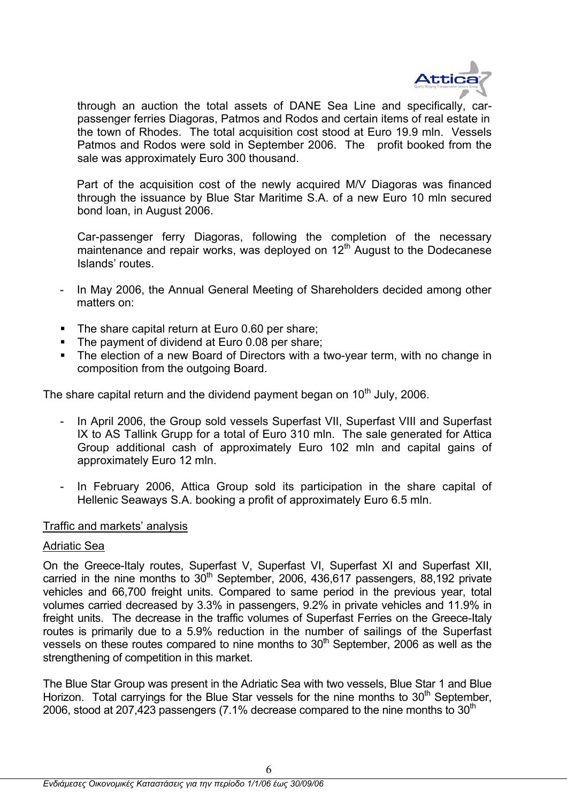

through an auction the total assets of DΑΝΕ Sea Line and specifically, carpassenger ferries Diagoras, Patmos and Rodos and certain items of real estate in the town of Rhodes. The total acquisition cost stood at Euro 19.9 mln. Vessels Patmos and Rodos were sold in September 2006. The profit booked from the sale was approximately Euro 300 thousand.

Part of the acquisition cost of the newly acquired M/V Diagoras was financed through the issuance by Blue Star Maritime S.A. of a new Euro 10 mln secured bond loan, in August 2006.

 Car-passenger ferry Diagoras, following the completion of the necessary maintenance and repair works, was deployed on  $12<sup>th</sup>$  August to the Dodecanese Islands' routes.

- In May 2006, the Annual General Meeting of Shareholders decided among other matters on:
- The share capital return at Euro 0.60 per share;
- The payment of dividend at Euro 0.08 per share:
- The election of a new Board of Directors with a two-year term, with no change in composition from the outgoing Board.

The share capital return and the dividend payment began on 10<sup>th</sup> July, 2006.

- In April 2006, the Group sold vessels Superfast VII, Superfast VIII and Superfast IX to AS Tallink Grupp for a total of Euro 310 mln. The sale generated for Attica Group additional cash of approximately Euro 102 mln and capital gains of approximately Euro 12 mln.
- In February 2006, Attica Group sold its participation in the share capital of Hellenic Seaways S.Α. booking a profit of approximately Euro 6.5 mln.

### Traffic and markets' analysis

### Αdriatic Sea

On the Greece-Italy routes, Superfast V, Superfast VI, Superfast XI and Superfast XII, carried in the nine months to  $30<sup>th</sup>$  September, 2006, 436,617 passengers, 88,192 private vehicles and 66,700 freight units. Compared to same period in the previous year, total volumes carried decreased by 3.3% in passengers, 9.2% in private vehicles and 11.9% in freight units. The decrease in the traffic volumes of Superfast Ferries on the Greece-Italy routes is primarily due to a 5.9% reduction in the number of sailings of the Superfast vessels on these routes compared to nine months to  $30<sup>th</sup>$  September, 2006 as well as the strengthening of competition in this market.

The Blue Star Group was present in the Adriatic Sea with two vessels, Blue Star 1 and Blue Horizon. Total carryings for the Blue Star vessels for the nine months to  $30<sup>th</sup>$  September, 2006, stood at 207,423 passengers (7.1% decrease compared to the nine months to  $30<sup>th</sup>$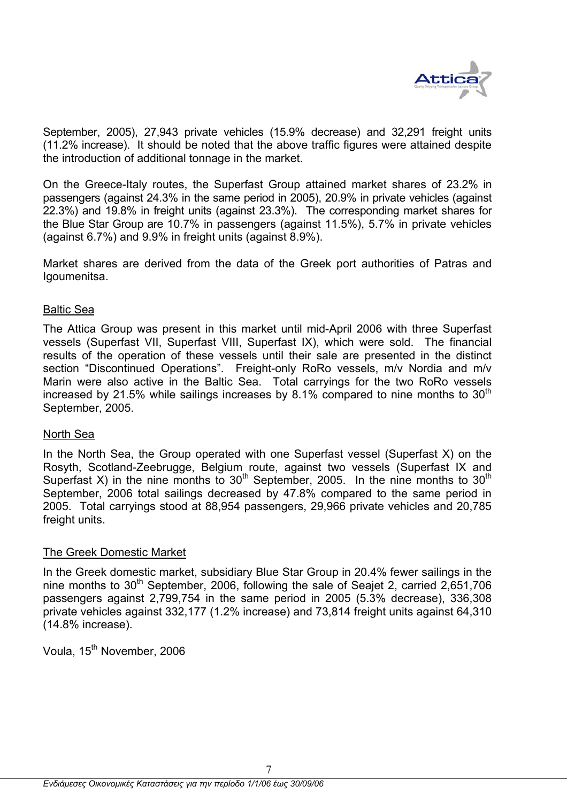

September, 2005), 27,943 private vehicles (15.9% decrease) and 32,291 freight units (11.2% increase). It should be noted that the above traffic figures were attained despite the introduction of additional tonnage in the market.

On the Greece-Italy routes, the Superfast Group attained market shares of 23.2% in passengers (against 24.3% in the same period in 2005), 20.9% in private vehicles (against 22.3%) and 19.8% in freight units (against 23.3%). The corresponding market shares for the Blue Star Group are 10.7% in passengers (against 11.5%), 5.7% in private vehicles (against 6.7%) and 9.9% in freight units (against 8.9%).

Market shares are derived from the data of the Greek port authorities of Patras and Igoumenitsa.

### Βaltic Sea

The Attica Group was present in this market until mid-April 2006 with three Superfast vessels (Superfast VII, Superfast VIII, Superfast IX), which were sold. The financial results of the operation of these vessels until their sale are presented in the distinct section "Discontinued Operations". Freight-only RoRo vessels, m/v Nordia and m/v Marin were also active in the Baltic Sea. Total carryings for the two RoRo vessels increased by 21.5% while sailings increases by 8.1% compared to nine months to  $30<sup>th</sup>$ September, 2005.

### North Sea

In the North Sea, the Group operated with one Superfast vessel (Superfast X) on the Rosyth, Scotland-Zeebrugge, Belgium route, against two vessels (Superfast IX and Superfast X) in the nine months to  $30<sup>th</sup>$  September, 2005. In the nine months to  $30<sup>th</sup>$ September, 2006 total sailings decreased by 47.8% compared to the same period in 2005. Total carryings stood at 88,954 passengers, 29,966 private vehicles and 20,785 freight units.

### The Greek Domestic Market

In the Greek domestic market, subsidiary Blue Star Group in 20.4% fewer sailings in the nine months to  $30<sup>th</sup>$  September, 2006, following the sale of Seajet 2, carried 2,651,706 passengers against 2,799,754 in the same period in 2005 (5.3% decrease), 336,308 private vehicles against 332,177 (1.2% increase) and 73,814 freight units against 64,310 (14.8% increase).

Voula, 15<sup>th</sup> November, 2006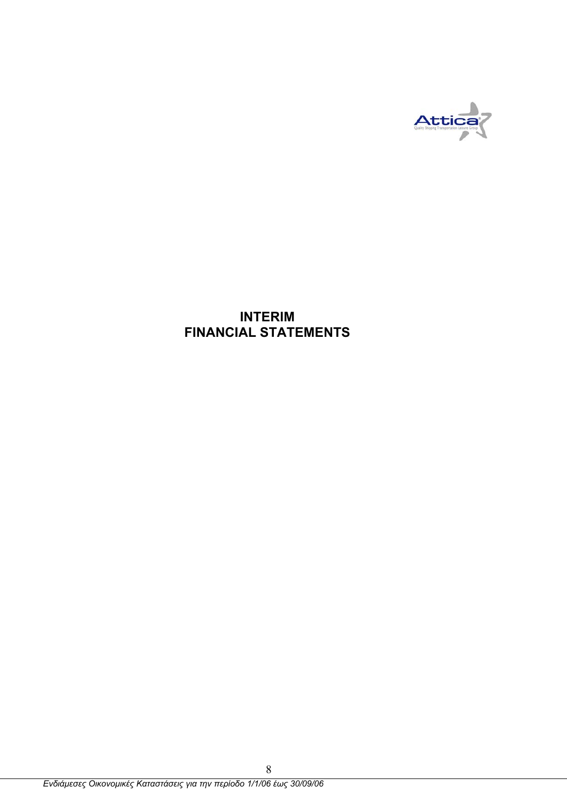

## **INTERIM FINANCIAL STATEMENTS**

8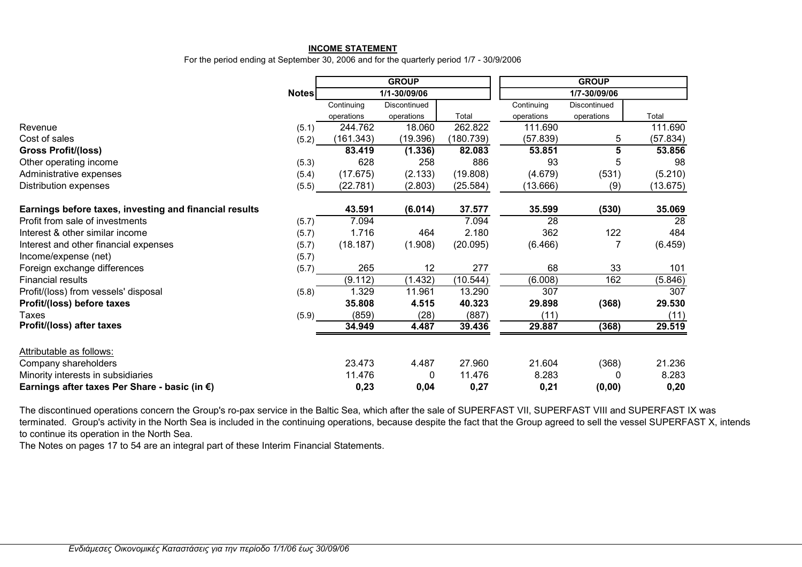#### **INCOME STATEMENT**

For the period ending at September 30, 2006 and for the quarterly period 1/7 - 30/9/2006

|                                                         |              |            | <b>GROUP</b> |           | <b>GROUP</b> |              |                 |  |
|---------------------------------------------------------|--------------|------------|--------------|-----------|--------------|--------------|-----------------|--|
|                                                         | <b>Notes</b> |            | 1/1-30/09/06 |           |              | 1/7-30/09/06 |                 |  |
|                                                         |              | Continuing | Discontinued |           | Continuing   | Discontinued |                 |  |
|                                                         |              | operations | operations   | Total     | operations   | operations   | Total           |  |
| Revenue                                                 | (5.1)        | 244.762    | 18.060       | 262.822   | 111.690      |              | 111.690         |  |
| Cost of sales                                           | (5.2)        | (161.343)  | (19.396)     | (180.739) | (57.839)     | 5            | (57.834)        |  |
| <b>Gross Profit/(loss)</b>                              |              | 83.419     | (1.336)      | 82.083    | 53.851       | 5            | 53.856          |  |
| Other operating income                                  | (5.3)        | 628        | 258          | 886       | 93           | 5            | 98              |  |
| Administrative expenses                                 | (5.4)        | (17.675)   | (2.133)      | (19.808)  | (4.679)      | (531)        | (5.210)         |  |
| Distribution expenses                                   | (5.5)        | (22.781)   | (2.803)      | (25.584)  | (13.666)     | (9)          | (13.675)        |  |
| Earnings before taxes, investing and financial results  |              | 43.591     | (6.014)      | 37.577    | 35.599       | (530)        | 35.069          |  |
| Profit from sale of investments                         | (5.7)        | 7.094      |              | 7.094     | 28           |              | $\overline{28}$ |  |
| Interest & other similar income                         | (5.7)        | 1.716      | 464          | 2.180     | 362          | 122          | 484             |  |
| Interest and other financial expenses                   | (5.7)        | (18.187)   | (1.908)      | (20.095)  | (6.466)      |              | (6.459)         |  |
| Income/expense (net)                                    | (5.7)        |            |              |           |              |              |                 |  |
| Foreign exchange differences                            | (5.7)        | 265        | 12           | 277       | 68           | 33           | 101             |  |
| <b>Financial results</b>                                |              | (9.112)    | (1.432)      | (10.544)  | (6.008)      | 162          | (5.846)         |  |
| Profit/(loss) from vessels' disposal                    | (5.8)        | 1.329      | 11.961       | 13.290    | 307          |              | 307             |  |
| Profit/(loss) before taxes                              |              | 35.808     | 4.515        | 40.323    | 29.898       | (368)        | 29.530          |  |
| <b>Taxes</b>                                            | (5.9)        | (859)      | (28)         | (887)     | (11)         |              | (11)            |  |
| Profit/(loss) after taxes                               |              | 34.949     | 4.487        | 39.436    | 29.887       | (368)        | 29.519          |  |
| Attributable as follows:                                |              |            |              |           |              |              |                 |  |
| Company shareholders                                    |              | 23.473     | 4.487        | 27.960    | 21.604       | (368)        | 21.236          |  |
| Minority interests in subsidiaries                      |              | 11.476     | 0            | 11.476    | 8.283        |              | 8.283           |  |
| Earnings after taxes Per Share - basic (in $\epsilon$ ) |              | 0,23       | 0,04         | 0,27      | 0,21         | (0,00)       | 0,20            |  |

The discontinued operations concern the Group's ro-pax service in the Baltic Sea, which after the sale of SUPERFAST VII, SUPERFAST VIII and SUPERFAST IX was terminated. Group's activity in the North Sea is included in the continuing operations, because despite the fact that the Group agreed to sell the vessel SUPERFAST X, intends to continue its operation in the North Sea.

The Notes on pages 17 to 54 are an integral part of these Interim Financial Statements.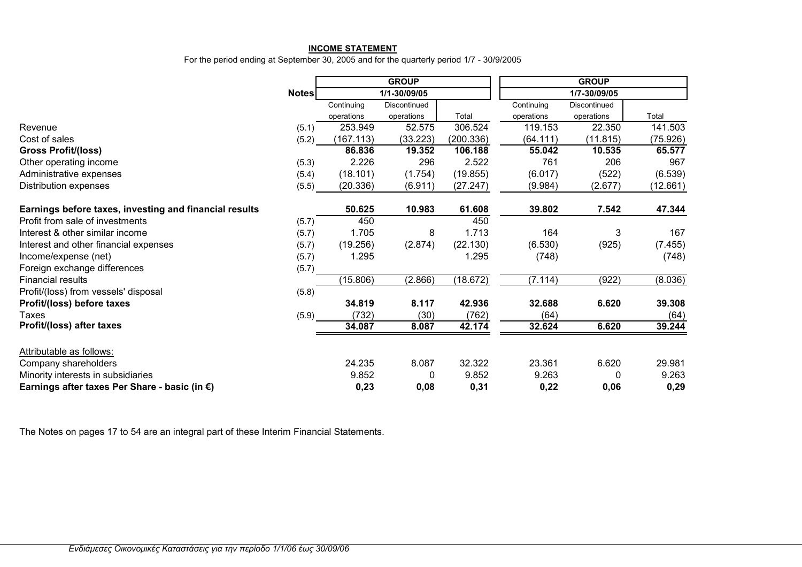#### **INCOME STATEMENT**

For the period ending at September 30, 2005 and for the quarterly period 1/7 - 30/9/2005

|                                                        |       |            | <b>GROUP</b> |           |            | <b>GROUP</b> |          |  |
|--------------------------------------------------------|-------|------------|--------------|-----------|------------|--------------|----------|--|
|                                                        | Notes |            | 1/1-30/09/05 |           |            | 1/7-30/09/05 |          |  |
|                                                        |       | Continuing | Discontinued |           | Continuing | Discontinued |          |  |
|                                                        |       | operations | operations   | Total     | operations | operations   | Total    |  |
| Revenue                                                | (5.1) | 253.949    | 52.575       | 306.524   | 119.153    | 22.350       | 141.503  |  |
| Cost of sales                                          | (5.2) | (167.113)  | (33.223)     | (200.336) | (64.111)   | (11.815)     | (75.926) |  |
| <b>Gross Profit/(loss)</b>                             |       | 86.836     | 19.352       | 106.188   | 55.042     | 10.535       | 65.577   |  |
| Other operating income                                 | (5.3) | 2.226      | 296          | 2.522     | 761        | 206          | 967      |  |
| Administrative expenses                                | (5.4) | (18.101)   | (1.754)      | (19.855)  | (6.017)    | (522)        | (6.539)  |  |
| Distribution expenses                                  | (5.5) | (20.336)   | (6.911)      | (27.247)  | (9.984)    | (2.677)      | (12.661) |  |
| Earnings before taxes, investing and financial results |       | 50.625     | 10.983       | 61.608    | 39.802     | 7.542        | 47.344   |  |
| Profit from sale of investments                        | (5.7) | 450        |              | 450       |            |              |          |  |
| Interest & other similar income                        | (5.7) | 1.705      | 8            | 1.713     | 164        | 3            | 167      |  |
| Interest and other financial expenses                  | (5.7) | (19.256)   | (2.874)      | (22.130)  | (6.530)    | (925)        | (7.455)  |  |
| Income/expense (net)                                   | (5.7) | 1.295      |              | 1.295     | (748)      |              | (748)    |  |
| Foreign exchange differences                           | (5.7) |            |              |           |            |              |          |  |
| <b>Financial results</b>                               |       | (15.806)   | (2.866)      | (18.672)  | (7.114)    | (922)        | (8.036)  |  |
| Profit/(loss) from vessels' disposal                   | (5.8) |            |              |           |            |              |          |  |
| Profit/(loss) before taxes                             |       | 34.819     | 8.117        | 42.936    | 32.688     | 6.620        | 39.308   |  |
| <b>Taxes</b>                                           | (5.9) | (732)      | (30)         | (762)     | (64)       |              | (64)     |  |
| Profit/(loss) after taxes                              |       | 34.087     | 8.087        | 42.174    | 32.624     | 6.620        | 39.244   |  |
| Attributable as follows:                               |       |            |              |           |            |              |          |  |
| Company shareholders                                   |       | 24.235     | 8.087        | 32.322    | 23.361     | 6.620        | 29.981   |  |
| Minority interests in subsidiaries                     |       | 9.852      | 0            | 9.852     | 9.263      | $\Omega$     | 9.263    |  |
| Earnings after taxes Per Share - basic (in €)          |       | 0,23       | 0,08         | 0,31      | 0,22       | 0,06         | 0,29     |  |

The Notes on pages 17 to 54 are an integral part of these Interim Financial Statements.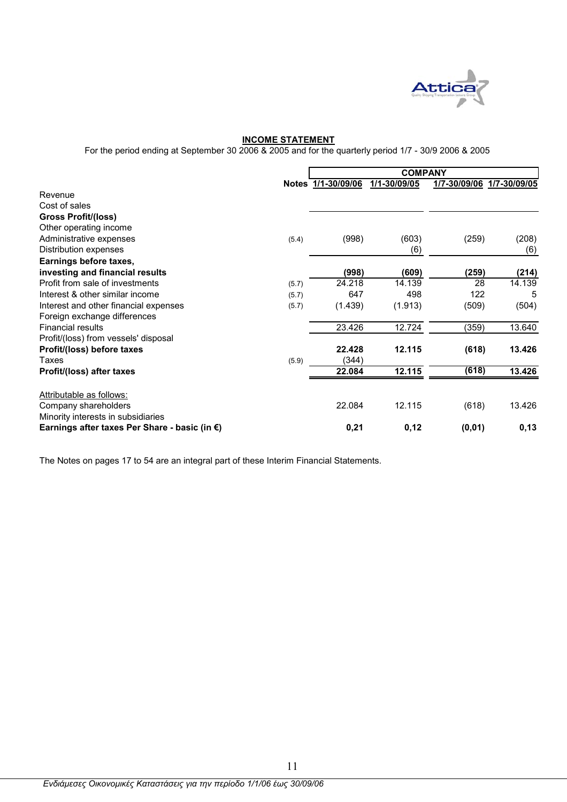

### **INCOME STATEMENT**

For the period ending at September 30 2006 & 2005 and for the quarterly period 1/7 - 30/9 2006 & 2005

|                                               |       |                    | <b>COMPANY</b> |                           |        |
|-----------------------------------------------|-------|--------------------|----------------|---------------------------|--------|
|                                               |       | Notes 1/1-30/09/06 | 1/1-30/09/05   | 1/7-30/09/06 1/7-30/09/05 |        |
| Revenue                                       |       |                    |                |                           |        |
| Cost of sales                                 |       |                    |                |                           |        |
| <b>Gross Profit/(loss)</b>                    |       |                    |                |                           |        |
| Other operating income                        |       |                    |                |                           |        |
| Administrative expenses                       | (5.4) | (998)              | (603)          | (259)                     | (208)  |
| Distribution expenses                         |       |                    | (6)            |                           | (6)    |
| Earnings before taxes,                        |       |                    |                |                           |        |
| investing and financial results               |       | (998)              | (609)          | (259)                     | (214)  |
| Profit from sale of investments               | (5.7) | 24.218             | 14.139         | 28                        | 14.139 |
| Interest & other similar income               | (5.7) | 647                | 498            | 122                       | 5      |
| Interest and other financial expenses         | (5.7) | (1.439)            | (1.913)        | (509)                     | (504)  |
| Foreign exchange differences                  |       |                    |                |                           |        |
| <b>Financial results</b>                      |       | 23.426             | 12.724         | (359)                     | 13.640 |
| Profit/(loss) from vessels' disposal          |       |                    |                |                           |        |
| Profit/(loss) before taxes                    |       | 22.428             | 12.115         | (618)                     | 13.426 |
| Taxes                                         | (5.9) | (344)              |                |                           |        |
| Profit/(loss) after taxes                     |       | 22.084             | 12.115         | (618)                     | 13.426 |
| Attributable as follows:                      |       |                    |                |                           |        |
| Company shareholders                          |       | 22.084             | 12.115         | (618)                     | 13.426 |
| Minority interests in subsidiaries            |       |                    |                |                           |        |
| Earnings after taxes Per Share - basic (in €) |       | 0,21               | 0,12           | (0, 01)                   | 0,13   |

The Notes on pages 17 to 54 are an integral part of these Interim Financial Statements.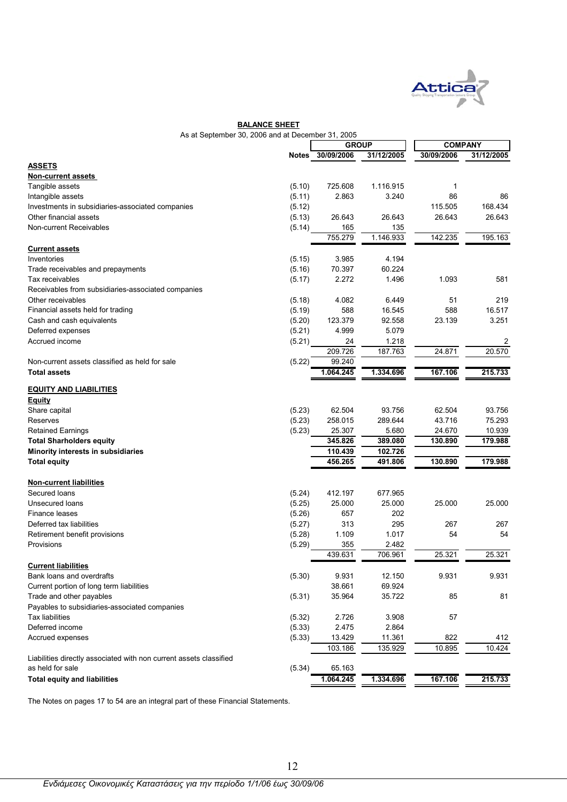

### **BALANCE SHEET**

| As at September 30, 2006 and at December 31, 2005                  |        |                  |            |                |            |
|--------------------------------------------------------------------|--------|------------------|------------|----------------|------------|
|                                                                    |        | <b>GROUP</b>     |            | <b>COMPANY</b> |            |
|                                                                    |        | Notes 30/09/2006 | 31/12/2005 | 30/09/2006     | 31/12/2005 |
| <b>ASSETS</b>                                                      |        |                  |            |                |            |
| Non-current assets                                                 |        |                  |            |                |            |
| Tangible assets                                                    | (5.10) | 725.608          | 1.116.915  | 1              |            |
| Intangible assets                                                  | (5.11) | 2.863            | 3.240      | 86             | 86         |
| Investments in subsidiaries-associated companies                   | (5.12) |                  |            | 115.505        | 168.434    |
| Other financial assets                                             | (5.13) | 26.643           | 26.643     | 26.643         | 26.643     |
| Non-current Receivables                                            | (5.14) | 165              | 135        |                |            |
|                                                                    |        | 755.279          | 1.146.933  | 142.235        | 195.163    |
| <b>Current assets</b>                                              |        |                  |            |                |            |
| Inventories                                                        | (5.15) | 3.985            | 4.194      |                |            |
| Trade receivables and prepayments                                  | (5.16) | 70.397           | 60.224     |                |            |
| Tax receivables                                                    | (5.17) | 2.272            | 1.496      | 1.093          | 581        |
| Receivables from subsidiaries-associated companies                 |        |                  |            |                |            |
| Other receivables                                                  | (5.18) | 4.082            | 6.449      | 51             | 219        |
| Financial assets held for trading                                  | (5.19) | 588              | 16.545     | 588            | 16.517     |
| Cash and cash equivalents                                          | (5.20) | 123.379          | 92.558     | 23.139         | 3.251      |
| Deferred expenses                                                  | (5.21) | 4.999            | 5.079      |                |            |
| Accrued income                                                     | (5.21) | 24               | 1.218      |                | 2          |
|                                                                    |        | 209.726          | 187.763    | 24.871         | 20.570     |
| Non-current assets classified as held for sale                     | (5.22) | 99.240           |            |                |            |
| <b>Total assets</b>                                                |        | 1.064.245        | 1.334.696  | 167.106        | 215.733    |
|                                                                    |        |                  |            |                |            |
| <b>EQUITY AND LIABILITIES</b>                                      |        |                  |            |                |            |
| <b>Equity</b>                                                      |        |                  |            |                |            |
| Share capital                                                      | (5.23) | 62.504           | 93.756     | 62.504         | 93.756     |
| Reserves                                                           | (5.23) | 258.015          | 289.644    | 43.716         | 75.293     |
| <b>Retained Earnings</b>                                           | (5.23) | 25.307           | 5.680      | 24.670         | 10.939     |
| <b>Total Sharholders equity</b>                                    |        | 345.826          | 389.080    | 130.890        | 179.988    |
| Minority interests in subsidiaries                                 |        | 110.439          | 102.726    |                |            |
| <b>Total equity</b>                                                |        | 456.265          | 491.806    | 130.890        | 179.988    |
|                                                                    |        |                  |            |                |            |
| <b>Non-current liabilities</b>                                     |        |                  |            |                |            |
| Secured loans                                                      | (5.24) | 412.197          | 677.965    |                |            |
| Unsecured loans                                                    | (5.25) | 25.000           | 25.000     | 25.000         | 25.000     |
| Finance leases                                                     | (5.26) | 657              | 202        |                |            |
| Deferred tax liabilities                                           | (5.27) | 313              | 295        | 267            | 267        |
| Retirement benefit provisions                                      | (5.28) | 1.109            | 1.017      | 54             | 54         |
| Provisions                                                         | (5.29) | 355              | 2.482      |                |            |
|                                                                    |        | 439.631          | 706.961    | 25.321         | 25.321     |
| <b>Current liabilities</b>                                         |        |                  |            |                |            |
| Bank loans and overdrafts                                          | (5.30) | 9.931            | 12.150     | 9.931          | 9.931      |
| Current portion of long term liabilities                           |        | 38.661           | 69.924     |                |            |
| Trade and other payables                                           | (5.31) | 35.964           | 35.722     | 85             | 81         |
| Payables to subsidiaries-associated companies                      |        |                  |            |                |            |
| <b>Tax liabilities</b>                                             | (5.32) | 2.726            | 3.908      | 57             |            |
| Deferred income                                                    | (5.33) | 2.475            | 2.864      |                |            |
| Accrued expenses                                                   | (5.33) | 13.429           | 11.361     | 822            | 412        |
|                                                                    |        | 103.186          | 135.929    | 10.895         | 10.424     |
| Liabilities directly associated with non current assets classified |        |                  |            |                |            |
| as held for sale                                                   | (5.34) | 65.163           |            |                |            |
| <b>Total equity and liabilities</b>                                |        | 1.064.245        | 1.334.696  | 167.106        | 215.733    |
|                                                                    |        |                  |            |                |            |

The Notes on pages 17 to 54 are an integral part of these Financial Statements.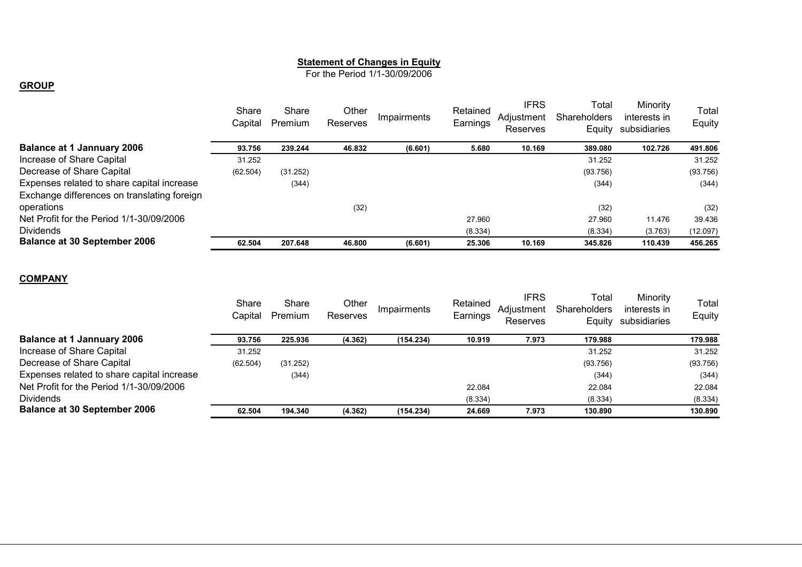#### **Statement of Changes in Equity**

For the Period 1/1-30/09/2006

#### **GROUP**

|                                             | Share<br>Capital | Share<br>Premium | Other<br>Reserves | Impairments | Retained<br>Earnings | <b>IFRS</b><br>Adiustment<br>Reserves | Total<br><b>Shareholders</b><br>Equity | Minority<br>interests in<br>subsidiaries | Total<br>Equity |
|---------------------------------------------|------------------|------------------|-------------------|-------------|----------------------|---------------------------------------|----------------------------------------|------------------------------------------|-----------------|
| <b>Balance at 1 Jannuary 2006</b>           | 93.756           | 239.244          | 46.832            | (6.601)     | 5.680                | 10.169                                | 389.080                                | 102.726                                  | 491.806         |
| Increase of Share Capital                   | 31.252           |                  |                   |             |                      |                                       | 31.252                                 |                                          | 31.252          |
| Decrease of Share Capital                   | (62.504)         | (31.252)         |                   |             |                      |                                       | (93.756)                               |                                          | (93.756)        |
| Expenses related to share capital increase  |                  | (344)            |                   |             |                      |                                       | (344)                                  |                                          | (344)           |
| Exchange differences on translating foreign |                  |                  |                   |             |                      |                                       |                                        |                                          |                 |
| operations                                  |                  |                  | (32)              |             |                      |                                       | (32)                                   |                                          | (32)            |
| Net Profit for the Period 1/1-30/09/2006    |                  |                  |                   |             | 27.960               |                                       | 27.960                                 | 11.476                                   | 39.436          |
| <b>Dividends</b>                            |                  |                  |                   |             | (8.334)              |                                       | (8.334)                                | (3.763)                                  | (12.097)        |
| <b>Balance at 30 September 2006</b>         | 62.504           | 207.648          | 46.800            | (6.601)     | 25.306               | 10.169                                | 345.826                                | 110.439                                  | 456.265         |
|                                             |                  |                  |                   |             |                      |                                       |                                        |                                          |                 |

#### **COMPANY**

| Share<br>Capital | Share<br>Premium | Other<br>Reserves | Impairments | Retained<br>Earnings | <b>IFRS</b><br>Adiustment<br>Reserves | Total<br><b>Shareholders</b><br>Equity | Minority<br>interests in<br>subsidiaries | Total<br>Equity |
|------------------|------------------|-------------------|-------------|----------------------|---------------------------------------|----------------------------------------|------------------------------------------|-----------------|
| 93.756           | 225.936          | (4.362)           | (154.234)   | 10.919               | 7.973                                 | 179.988                                |                                          | 179.988         |
| 31.252           |                  |                   |             |                      |                                       | 31.252                                 |                                          | 31.252          |
| (62.504)         | (31.252)         |                   |             |                      |                                       | (93.756)                               |                                          | (93.756)        |
|                  | (344)            |                   |             |                      |                                       | (344)                                  |                                          | (344)           |
|                  |                  |                   |             | 22.084               |                                       | 22.084                                 |                                          | 22.084          |
|                  |                  |                   |             | (8.334)              |                                       | (8.334)                                |                                          | (8.334)         |
| 62.504           | 194.340          | (4.362)           | (154.234)   | 24.669               | 7.973                                 | 130.890                                |                                          | 130.890         |
|                  |                  |                   |             |                      |                                       |                                        |                                          |                 |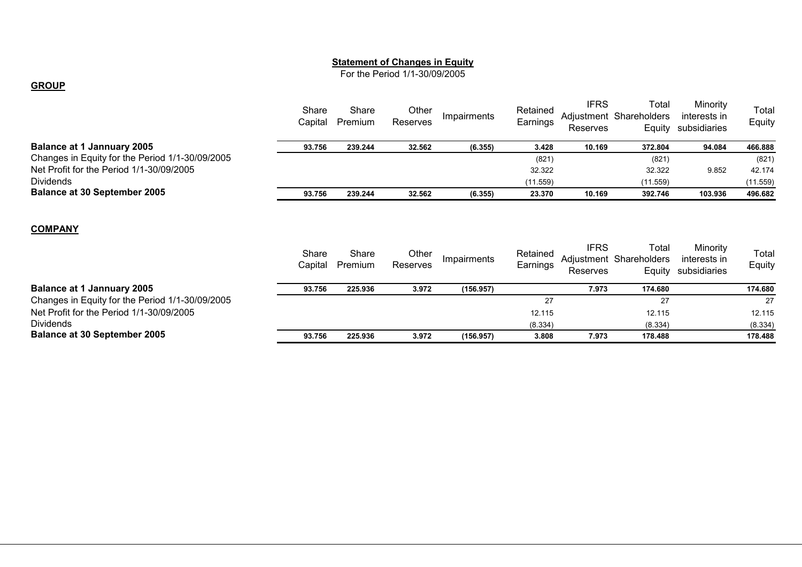#### **Statement of Changes in Equity**

For the Period 1/1-30/09/2005

#### **GROUP**

|                                                 | Share<br>Capital | Share<br>Premium | Other<br>Reserves        | Impairments | Retained<br>Earnings | <b>IFRS</b><br>Reserves | Total<br>Adjustment Shareholders<br>Equity | Minority<br>interests in<br>subsidiaries | Total<br>Equity |
|-------------------------------------------------|------------------|------------------|--------------------------|-------------|----------------------|-------------------------|--------------------------------------------|------------------------------------------|-----------------|
| <b>Balance at 1 Jannuary 2005</b>               | 93.756           | 239.244          | 32.562                   | (6.355)     | 3.428                | 10.169                  | 372.804                                    | 94.084                                   | 466.888         |
| Changes in Equity for the Period 1/1-30/09/2005 |                  |                  |                          |             | (821)                |                         | (821)                                      |                                          | (821)           |
| Net Profit for the Period 1/1-30/09/2005        |                  |                  |                          |             | 32.322               |                         | 32.322                                     | 9.852                                    | 42.174          |
| <b>Dividends</b>                                |                  |                  |                          |             | (11.559)             |                         | (11.559)                                   |                                          | (11.559)        |
| <b>Balance at 30 September 2005</b>             | 93.756           | 239.244          | 32.562                   | (6.355)     | 23.370               | 10.169                  | 392.746                                    | 103.936                                  | 496.682         |
| <b>COMPANY</b>                                  | Share<br>Capital | Share<br>Premium | Other<br><b>Reserves</b> | Impairments | Retained<br>Earnings | <b>IFRS</b><br>Reserves | Total<br>Adjustment Shareholders<br>Equity | Minority<br>interests in<br>subsidiaries | Total<br>Equity |
| <b>Balance at 1 Jannuary 2005</b>               | 93.756           | 225.936          | 3.972                    | (156.957)   |                      | 7.973                   | 174.680                                    |                                          | 174.680         |
| Changes in Equity for the Period 1/1-30/09/2005 |                  |                  |                          |             | 27                   |                         | 27                                         |                                          | 27              |
| Net Profit for the Period 1/1-30/09/2005        |                  |                  |                          |             | 12.115               |                         | 12.115                                     |                                          | 12.115          |
| <b>Dividends</b>                                |                  |                  |                          |             | (8.334)              |                         | (8.334)                                    |                                          | (8.334)         |
| <b>Balance at 30 September 2005</b>             | 93.756           | 225.936          | 3.972                    | (156.957)   | 3.808                | 7.973                   | 178.488                                    |                                          | 178.488         |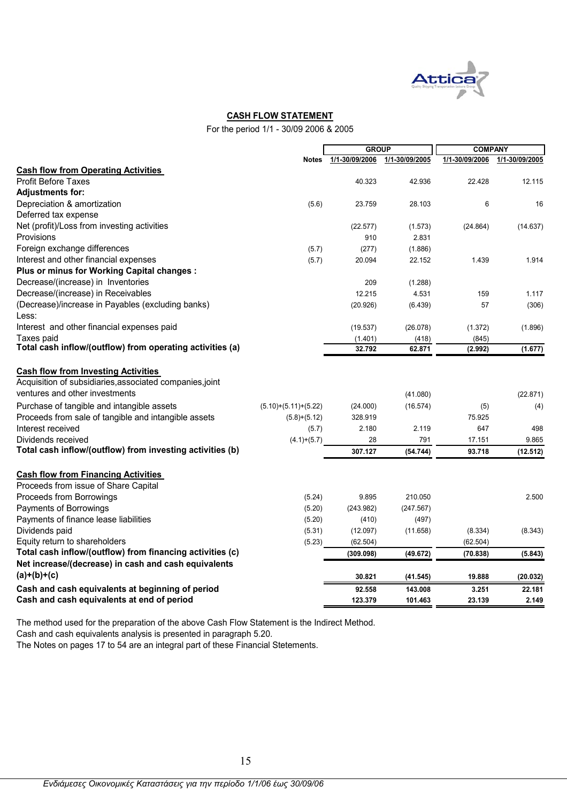

### **CASH FLOW STATEMENT**

For the period 1/1 - 30/09 2006 & 2005

|                                                           |                        | <b>GROUP</b>   |                | <b>COMPANY</b> |                |
|-----------------------------------------------------------|------------------------|----------------|----------------|----------------|----------------|
|                                                           | <b>Notes</b>           | 1/1-30/09/2006 | 1/1-30/09/2005 | 1/1-30/09/2006 | 1/1-30/09/2005 |
| <b>Cash flow from Operating Activities</b>                |                        |                |                |                |                |
| <b>Profit Before Taxes</b>                                |                        | 40.323         | 42.936         | 22.428         | 12.115         |
| <b>Adjustments for:</b>                                   |                        |                |                |                |                |
| Depreciation & amortization                               | (5.6)                  | 23.759         | 28.103         | 6              | 16             |
| Deferred tax expense                                      |                        |                |                |                |                |
| Net (profit)/Loss from investing activities               |                        | (22.577)       | (1.573)        | (24.864)       | (14.637)       |
| Provisions                                                |                        | 910            | 2.831          |                |                |
| Foreign exchange differences                              | (5.7)                  | (277)          | (1.886)        |                |                |
| Interest and other financial expenses                     | (5.7)                  | 20.094         | 22.152         | 1.439          | 1.914          |
| Plus or minus for Working Capital changes :               |                        |                |                |                |                |
| Decrease/(increase) in Inventories                        |                        | 209            | (1.288)        |                |                |
| Decrease/(increase) in Receivables                        |                        | 12.215         | 4.531          | 159            | 1.117          |
| (Decrease)/increase in Payables (excluding banks)         |                        | (20.926)       | (6.439)        | 57             | (306)          |
| Less:                                                     |                        |                |                |                |                |
| Interest and other financial expenses paid                |                        | (19.537)       | (26.078)       | (1.372)        | (1.896)        |
| Taxes paid                                                |                        | (1.401)        | (418)          | (845)          |                |
| Total cash inflow/(outflow) from operating activities (a) |                        | 32.792         | 62.871         | (2.992)        | (1.677)        |
| <b>Cash flow from Investing Activities</b>                |                        |                |                |                |                |
| Acquisition of subsidiaries, associated companies, joint  |                        |                |                |                |                |
| ventures and other investments                            |                        |                | (41.080)       |                | (22.871)       |
| Purchase of tangible and intangible assets                | $(5.10)+(5.11)+(5.22)$ | (24.000)       | (16.574)       | (5)            | (4)            |
| Proceeds from sale of tangible and intangible assets      | $(5.8)+(5.12)$         | 328.919        |                | 75.925         |                |
| Interest received                                         | (5.7)                  | 2.180          | 2.119          | 647            | 498            |
| Dividends received                                        |                        | 28             | 791            | 17.151         | 9.865          |
| Total cash inflow/(outflow) from investing activities (b) | $(4.1)+(5.7)$          | 307.127        |                | 93.718         |                |
|                                                           |                        |                | (54.744)       |                | (12.512)       |
| <b>Cash flow from Financing Activities</b>                |                        |                |                |                |                |
| Proceeds from issue of Share Capital                      |                        |                |                |                |                |
| Proceeds from Borrowings                                  | (5.24)                 | 9.895          | 210.050        |                | 2.500          |
| Payments of Borrowings                                    | (5.20)                 | (243.982)      | (247.567)      |                |                |
| Payments of finance lease liabilities                     | (5.20)                 | (410)          | (497)          |                |                |
| Dividends paid                                            | (5.31)                 | (12.097)       | (11.658)       | (8.334)        | (8.343)        |
| Equity return to shareholders                             | (5.23)                 | (62.504)       |                | (62.504)       |                |
| Total cash inflow/(outflow) from financing activities (c) |                        | (309.098)      | (49.672)       | (70.838)       | (5.843)        |
| Net increase/(decrease) in cash and cash equivalents      |                        |                |                |                |                |
| $(a)+(b)+(c)$                                             |                        | 30.821         | (41.545)       | 19.888         | (20.032)       |
| Cash and cash equivalents at beginning of period          |                        | 92.558         | 143.008        | 3.251          | 22.181         |
| Cash and cash equivalents at end of period                |                        | 123.379        | 101.463        | 23.139         | 2.149          |
|                                                           |                        |                |                |                |                |

The method used for the preparation of the above Cash Flow Statement is the Indirect Method.

Cash and cash equivalents analysis is presented in paragraph 5.20.

The Notes on pages 17 to 54 are an integral part of these Financial Stetements.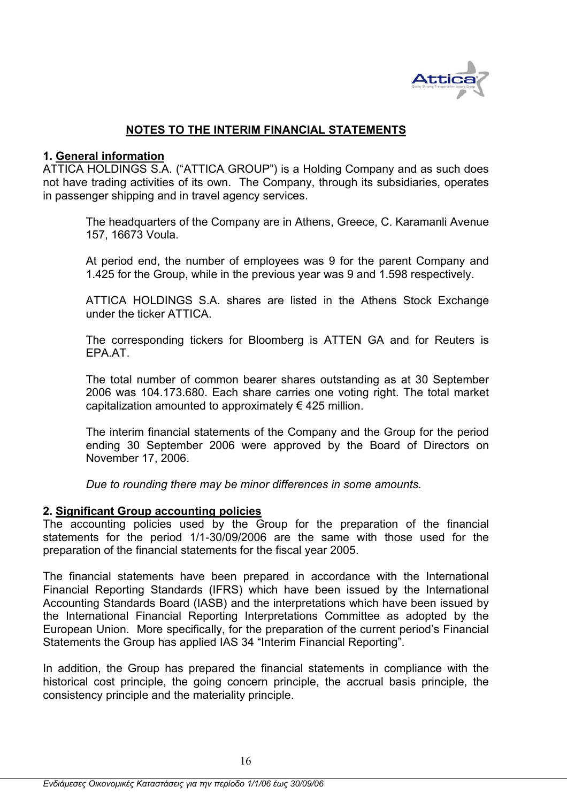

## **NOTES TO THE INTERIM FINANCIAL STATEMENTS**

### **1. General information**

ATTICA HOLDINGS S.A. ("ATTICA GROUP") is a Holding Company and as such does not have trading activities of its own. The Company, through its subsidiaries, operates in passenger shipping and in travel agency services.

The headquarters of the Company are in Athens, Greece, C. Karamanli Avenue 157, 16673 Voula.

At period end, the number of employees was 9 for the parent Company and 1.425 for the Group, while in the previous year was 9 and 1.598 respectively.

ATTICA HOLDINGS S.A. shares are listed in the Athens Stock Exchange under the ticker ATTICA.

The corresponding tickers for Bloomberg is ATTEN GA and for Reuters is EPA.AT.

The total number of common bearer shares outstanding as at 30 September 2006 was 104.173.680. Each share carries one voting right. The total market capitalization amounted to approximately  $\epsilon$  425 million.

The interim financial statements of the Company and the Group for the period ending 30 September 2006 were approved by the Board of Directors on November 17, 2006.

*Due to rounding there may be minor differences in some amounts.* 

### **2. Significant Group accounting policies**

The accounting policies used by the Group for the preparation of the financial statements for the period 1/1-30/09/2006 are the same with those used for the preparation of the financial statements for the fiscal year 2005.

The financial statements have been prepared in accordance with the International Financial Reporting Standards (IFRS) which have been issued by the International Accounting Standards Board (IASB) and the interpretations which have been issued by the International Financial Reporting Interpretations Committee as adopted by the European Union. More specifically, for the preparation of the current period's Financial Statements the Group has applied IAS 34 "Interim Financial Reporting".

In addition, the Group has prepared the financial statements in compliance with the historical cost principle, the going concern principle, the accrual basis principle, the consistency principle and the materiality principle.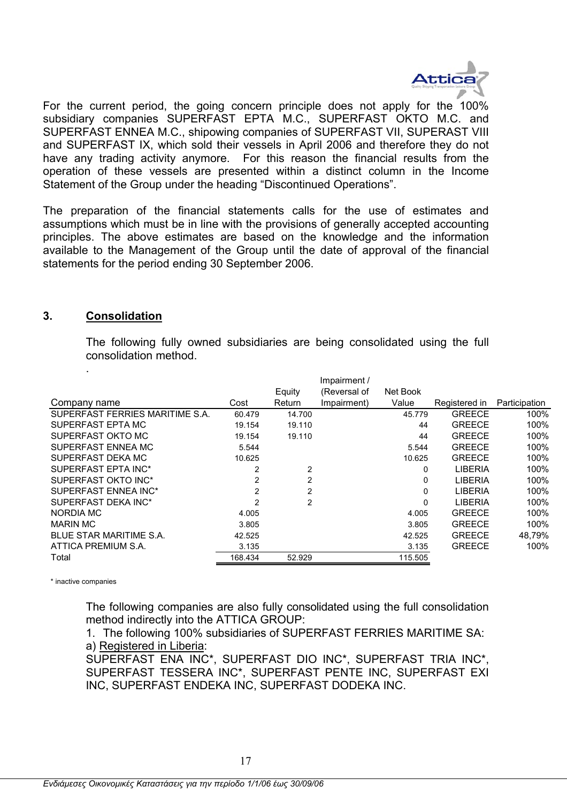

For the current period, the going concern principle does not apply for the 100% subsidiary companies SUPERFAST EPTA M.C., SUPERFAST OKTO M.C. and SUPERFAST ENNEA M.C., shipowing companies of SUPERFAST VII, SUPERAST VIII and SUPERFAST IX, which sold their vessels in April 2006 and therefore they do not have any trading activity anymore. For this reason the financial results from the operation of these vessels are presented within a distinct column in the Income Statement of the Group under the heading "Discontinued Operations".

The preparation of the financial statements calls for the use of estimates and assumptions which must be in line with the provisions of generally accepted accounting principles. The above estimates are based οn the knowledge and the information available to the Management of the Group until the date of approval of the financial statements for the period ending 30 September 2006.

### **3. Consolidation**

.

The following fully owned subsidiaries are being consolidated using the full consolidation method.

|                                 |                |                | Impairment / |          |                |               |
|---------------------------------|----------------|----------------|--------------|----------|----------------|---------------|
|                                 |                | Equity         | (Reversal of | Net Book |                |               |
| Company name                    | Cost           | Return         | Impairment)  | Value    | Registered in  | Participation |
| SUPERFAST FERRIES MARITIME S.A. | 60.479         | 14.700         |              | 45.779   | <b>GREECE</b>  | 100%          |
| SUPERFAST EPTA MC               | 19.154         | 19.110         |              | 44       | <b>GREECE</b>  | 100%          |
| SUPERFAST OKTO MC               | 19.154         | 19.110         |              | 44       | <b>GREECE</b>  | 100%          |
| SUPERFAST ENNEA MC              | 5.544          |                |              | 5.544    | <b>GREECE</b>  | 100%          |
| SUPERFAST DEKA MC               | 10.625         |                |              | 10.625   | <b>GREECE</b>  | 100%          |
| SUPERFAST EPTA INC*             | 2              | 2              |              | 0        | <b>LIBERIA</b> | 100%          |
| SUPERFAST OKTO INC*             | 2              | $\overline{c}$ |              | 0        | <b>LIBERIA</b> | 100%          |
| SUPERFAST ENNEA INC*            | $\overline{2}$ | 2              |              | 0        | LIBERIA        | 100%          |
| SUPERFAST DEKA INC*             | 2              | $\overline{2}$ |              | 0        | <b>LIBERIA</b> | 100%          |
| NORDIA MC                       | 4.005          |                |              | 4.005    | <b>GREECE</b>  | 100%          |
| <b>MARIN MC</b>                 | 3.805          |                |              | 3.805    | <b>GREECE</b>  | 100%          |
| BLUE STAR MARITIME S.A.         | 42.525         |                |              | 42.525   | <b>GREECE</b>  | 48.79%        |
| ATTICA PREMIUM S.A.             | 3.135          |                |              | 3.135    | <b>GREECE</b>  | 100%          |
| Total                           | 168.434        | 52.929         |              | 115.505  |                |               |
|                                 |                |                |              |          |                |               |

\* inactive companies

The following companies are also fully consolidated using the full consolidation method indirectly into the ATTICA GROUP:

1. The following 100% subsidiaries of SUPERFAST FERRIES MARITIME SA: a) Registered in Liberia:

SUPERFAST ENA INC\*, SUPERFAST DIO INC\*, SUPERFAST TRIA INC\*, SUPERFAST TESSERA INC\*, SUPERFAST PENTE INC, SUPERFAST EXI INC, SUPERFAST ENDEKA INC, SUPERFAST DODEKA INC.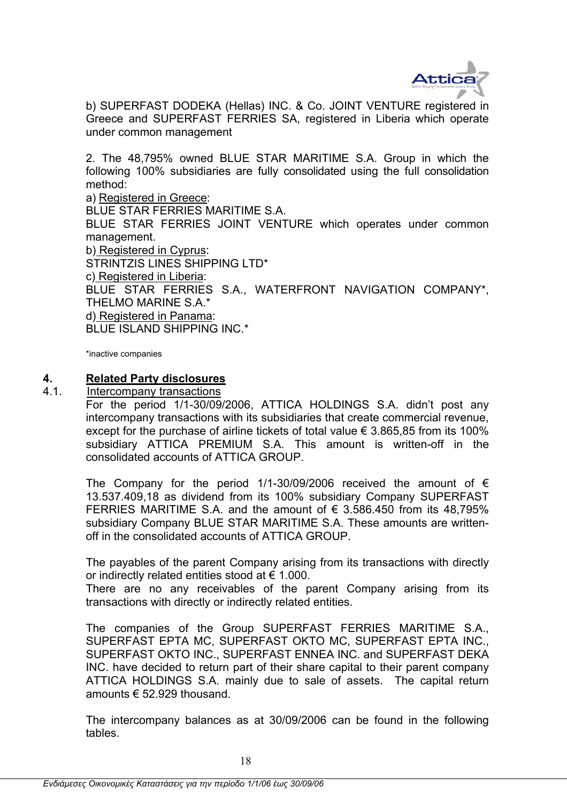

b) SUPERFAST DODEKA (Hellas) INC. & Co. JOINT VENTURE registered in Greece and SUPERFAST FERRIES SA, registered in Liberia which operate under common management

2. The 48,795% owned BLUE STAR MARITIME S.A. Group in which the following 100% subsidiaries are fully consolidated using the full consolidation method:

a) Registered in Greece: BLUE STAR FERRIES MARITIME S.A. BLUE STAR FERRIES JOINT VENTURE which operates under common management. b) Registered in Cyprus: STRINTZIS LINES SHIPPING LTD\* c) Registered in Liberia: BLUE STAR FERRIES S.A., WATERFRONT NAVIGATION COMPANY\*, THELMO MARINE S.A.\* d) Registered in Panama: BLUE ISLAND SHIPPING INC.\*

\*inactive companies

### **4. Related Party disclosures**

### 4.1. Intercompany transactions

For the period 1/1-30/09/2006, ATTICA HOLDINGS S.A. didn't post any intercompany transactions with its subsidiaries that create commercial revenue, except for the purchase of airline tickets of total value  $\epsilon$  3.865,85 from its 100% subsidiary ATTICA PREMIUM S.A. This amount is written-off in the consolidated accounts of ATTICA GROUP.

The Company for the period 1/1-30/09/2006 received the amount of  $\epsilon$ 13.537.409,18 as dividend from its 100% subsidiary Company SUPERFAST FERRIES MARITIME S.A. and the amount of  $\epsilon$  3.586.450 from its 48.795% subsidiary Company BLUE STAR MARITIME S.A. These amounts are writtenoff in the consolidated accounts of ATTICA GROUP.

The payables of the parent Company arising from its transactions with directly or indirectly related entities stood at  $\epsilon$  1.000.

There are no any receivables of the parent Company arising from its transactions with directly or indirectly related entities.

The companies of the Group SUPERFAST FERRIES MARITIME S.A., SUPERFAST EPTA MC, SUPERFAST OKTO MC, SUPERFAST EPTA INC., SUPERFAST OKTO INC., SUPERFAST ENNEA INC. and SUPERFAST DEKA INC. have decided to return part of their share capital to their parent company ATTICA HOLDINGS S.A. mainly due to sale of assets. The capital return amounts € 52.929 thousand.

The intercompany balances as at 30/09/2006 can be found in the following tables.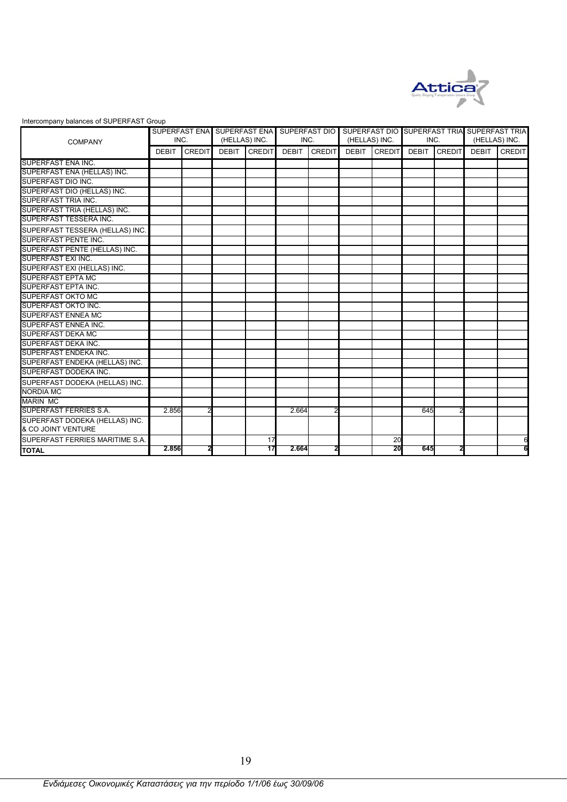

#### Intercompany balances of SUPERFAST Group

|                                 |              | SUPERFAST ENA |               |               | SUPERFAST ENA SUPERFAST DIO |                |               |               |              |               | SUPERFAST DIO SUPERFAST TRIA SUPERFAST TRIA |               |
|---------------------------------|--------------|---------------|---------------|---------------|-----------------------------|----------------|---------------|---------------|--------------|---------------|---------------------------------------------|---------------|
| <b>COMPANY</b>                  | INC.         |               | (HELLAS) INC. |               | INC.                        |                | (HELLAS) INC. |               | INC.         |               | (HELLAS) INC.                               |               |
|                                 | <b>DEBIT</b> | <b>CREDIT</b> | <b>DEBIT</b>  | <b>CREDIT</b> | <b>DEBIT</b>                | <b>CREDIT</b>  | <b>DEBIT</b>  | <b>CREDIT</b> | <b>DEBIT</b> | <b>CREDIT</b> | <b>DEBIT</b>                                | <b>CREDIT</b> |
| SUPERFAST ENA INC.              |              |               |               |               |                             |                |               |               |              |               |                                             |               |
| SUPERFAST ENA (HELLAS) INC.     |              |               |               |               |                             |                |               |               |              |               |                                             |               |
| SUPERFAST DIO INC.              |              |               |               |               |                             |                |               |               |              |               |                                             |               |
| SUPERFAST DIO (HELLAS) INC.     |              |               |               |               |                             |                |               |               |              |               |                                             |               |
| SUPERFAST TRIA INC.             |              |               |               |               |                             |                |               |               |              |               |                                             |               |
| SUPERFAST TRIA (HELLAS) INC.    |              |               |               |               |                             |                |               |               |              |               |                                             |               |
| SUPERFAST TESSERA INC.          |              |               |               |               |                             |                |               |               |              |               |                                             |               |
| SUPERFAST TESSERA (HELLAS) INC. |              |               |               |               |                             |                |               |               |              |               |                                             |               |
| SUPERFAST PENTE INC.            |              |               |               |               |                             |                |               |               |              |               |                                             |               |
| SUPERFAST PENTE (HELLAS) INC.   |              |               |               |               |                             |                |               |               |              |               |                                             |               |
| SUPERFAST EXI INC.              |              |               |               |               |                             |                |               |               |              |               |                                             |               |
| SUPERFAST EXI (HELLAS) INC.     |              |               |               |               |                             |                |               |               |              |               |                                             |               |
| <b>SUPERFAST EPTA MC</b>        |              |               |               |               |                             |                |               |               |              |               |                                             |               |
| <b>SUPERFAST EPTA INC.</b>      |              |               |               |               |                             |                |               |               |              |               |                                             |               |
| <b>SUPERFAST OKTO MC</b>        |              |               |               |               |                             |                |               |               |              |               |                                             |               |
| SUPERFAST OKTO INC.             |              |               |               |               |                             |                |               |               |              |               |                                             |               |
| <b>SUPERFAST ENNEA MC</b>       |              |               |               |               |                             |                |               |               |              |               |                                             |               |
| <b>SUPERFAST ENNEA INC.</b>     |              |               |               |               |                             |                |               |               |              |               |                                             |               |
| <b>SUPERFAST DEKA MC</b>        |              |               |               |               |                             |                |               |               |              |               |                                             |               |
| SUPERFAST DEKA INC.             |              |               |               |               |                             |                |               |               |              |               |                                             |               |
| <b>SUPERFAST ENDEKA INC.</b>    |              |               |               |               |                             |                |               |               |              |               |                                             |               |
| SUPERFAST ENDEKA (HELLAS) INC.  |              |               |               |               |                             |                |               |               |              |               |                                             |               |
| SUPERFAST DODEKA INC.           |              |               |               |               |                             |                |               |               |              |               |                                             |               |
| SUPERFAST DODEKA (HELLAS) INC.  |              |               |               |               |                             |                |               |               |              |               |                                             |               |
| <b>NORDIA MC</b>                |              |               |               |               |                             |                |               |               |              |               |                                             |               |
| <b>MARIN MC</b>                 |              |               |               |               |                             |                |               |               |              |               |                                             |               |
| SUPERFAST FERRIES S.A.          | 2.856        |               |               |               | 2.664                       | $\overline{2}$ |               |               | 645          |               |                                             |               |
| SUPERFAST DODEKA (HELLAS) INC.  |              |               |               |               |                             |                |               |               |              |               |                                             |               |
| & CO JOINT VENTURE              |              |               |               |               |                             |                |               |               |              |               |                                             |               |
| SUPERFAST FERRIES MARITIME S.A. |              |               |               | 17            |                             |                |               | 20            |              |               |                                             | 6             |
| <b>TOTAL</b>                    | 2.856        |               |               | 17            | 2.664                       |                |               | 20            | 645          |               |                                             |               |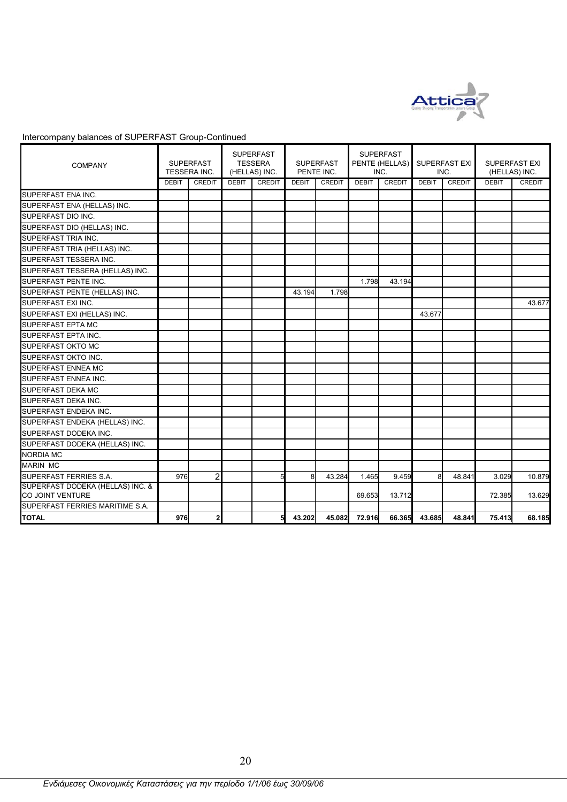

| <b>COMPANY</b>                                              |              | <b>SUPERFAST</b><br>TESSERA INC. |              | <b>SUPERFAST</b><br><b>TESSERA</b><br>(HELLAS) INC. |              | <b>SUPERFAST</b><br>PENTE INC. |              | <b>SUPERFAST</b><br>PENTE (HELLAS)<br>INC. |              | SUPERFAST EXI<br>INC. | <b>SUPERFAST EXI</b><br>(HELLAS) INC. |               |
|-------------------------------------------------------------|--------------|----------------------------------|--------------|-----------------------------------------------------|--------------|--------------------------------|--------------|--------------------------------------------|--------------|-----------------------|---------------------------------------|---------------|
|                                                             | <b>DEBIT</b> | CREDIT                           | <b>DEBIT</b> | <b>CREDIT</b>                                       | <b>DEBIT</b> | CREDIT                         | <b>DEBIT</b> | <b>CREDIT</b>                              | <b>DEBIT</b> | <b>CREDIT</b>         | <b>DEBIT</b>                          | <b>CREDIT</b> |
| SUPERFAST ENA INC.                                          |              |                                  |              |                                                     |              |                                |              |                                            |              |                       |                                       |               |
| SUPERFAST ENA (HELLAS) INC.                                 |              |                                  |              |                                                     |              |                                |              |                                            |              |                       |                                       |               |
| SUPERFAST DIO INC.                                          |              |                                  |              |                                                     |              |                                |              |                                            |              |                       |                                       |               |
| SUPERFAST DIO (HELLAS) INC.                                 |              |                                  |              |                                                     |              |                                |              |                                            |              |                       |                                       |               |
| SUPERFAST TRIA INC.                                         |              |                                  |              |                                                     |              |                                |              |                                            |              |                       |                                       |               |
| SUPERFAST TRIA (HELLAS) INC.                                |              |                                  |              |                                                     |              |                                |              |                                            |              |                       |                                       |               |
| SUPERFAST TESSERA INC.                                      |              |                                  |              |                                                     |              |                                |              |                                            |              |                       |                                       |               |
| SUPERFAST TESSERA (HELLAS) INC.                             |              |                                  |              |                                                     |              |                                |              |                                            |              |                       |                                       |               |
| <b>SUPERFAST PENTE INC.</b>                                 |              |                                  |              |                                                     |              |                                | 1.798        | 43.194                                     |              |                       |                                       |               |
| SUPERFAST PENTE (HELLAS) INC.                               |              |                                  |              |                                                     | 43.194       | 1.798                          |              |                                            |              |                       |                                       |               |
| SUPERFAST EXI INC.                                          |              |                                  |              |                                                     |              |                                |              |                                            |              |                       |                                       | 43.677        |
| SUPERFAST EXI (HELLAS) INC.                                 |              |                                  |              |                                                     |              |                                |              |                                            | 43.677       |                       |                                       |               |
| <b>SUPERFAST EPTA MC</b>                                    |              |                                  |              |                                                     |              |                                |              |                                            |              |                       |                                       |               |
| SUPERFAST EPTA INC.                                         |              |                                  |              |                                                     |              |                                |              |                                            |              |                       |                                       |               |
| <b>SUPERFAST OKTO MC</b>                                    |              |                                  |              |                                                     |              |                                |              |                                            |              |                       |                                       |               |
| SUPERFAST OKTO INC.                                         |              |                                  |              |                                                     |              |                                |              |                                            |              |                       |                                       |               |
| <b>SUPERFAST ENNEA MC</b>                                   |              |                                  |              |                                                     |              |                                |              |                                            |              |                       |                                       |               |
| SUPERFAST ENNEA INC.                                        |              |                                  |              |                                                     |              |                                |              |                                            |              |                       |                                       |               |
| <b>SUPERFAST DEKA MC</b>                                    |              |                                  |              |                                                     |              |                                |              |                                            |              |                       |                                       |               |
| SUPERFAST DEKA INC.                                         |              |                                  |              |                                                     |              |                                |              |                                            |              |                       |                                       |               |
| SUPERFAST ENDEKA INC.                                       |              |                                  |              |                                                     |              |                                |              |                                            |              |                       |                                       |               |
| SUPERFAST ENDEKA (HELLAS) INC.                              |              |                                  |              |                                                     |              |                                |              |                                            |              |                       |                                       |               |
| SUPERFAST DODEKA INC.                                       |              |                                  |              |                                                     |              |                                |              |                                            |              |                       |                                       |               |
| SUPERFAST DODEKA (HELLAS) INC.                              |              |                                  |              |                                                     |              |                                |              |                                            |              |                       |                                       |               |
| <b>NORDIA MC</b>                                            |              |                                  |              |                                                     |              |                                |              |                                            |              |                       |                                       |               |
| <b>MARIN MC</b>                                             |              |                                  |              |                                                     |              |                                |              |                                            |              |                       |                                       |               |
| SUPERFAST FERRIES S.A.                                      | 976          | 2                                |              |                                                     | 8            | 43.284                         | 1.465        | 9.459                                      | 8            | 48.841                | 3.029                                 | 10.879        |
| SUPERFAST DODEKA (HELLAS) INC. &<br><b>CO JOINT VENTURE</b> |              |                                  |              |                                                     |              |                                | 69.653       | 13.712                                     |              |                       | 72.385                                | 13.629        |
| SUPERFAST FERRIES MARITIME S.A.                             |              |                                  |              |                                                     |              |                                |              |                                            |              |                       |                                       |               |
| <b>TOTAL</b>                                                | 976          | $\overline{2}$                   |              | 5                                                   | 43.202       | 45.082                         | 72.916       | 66.365                                     | 43.685       | 48.841                | 75.413                                | 68.185        |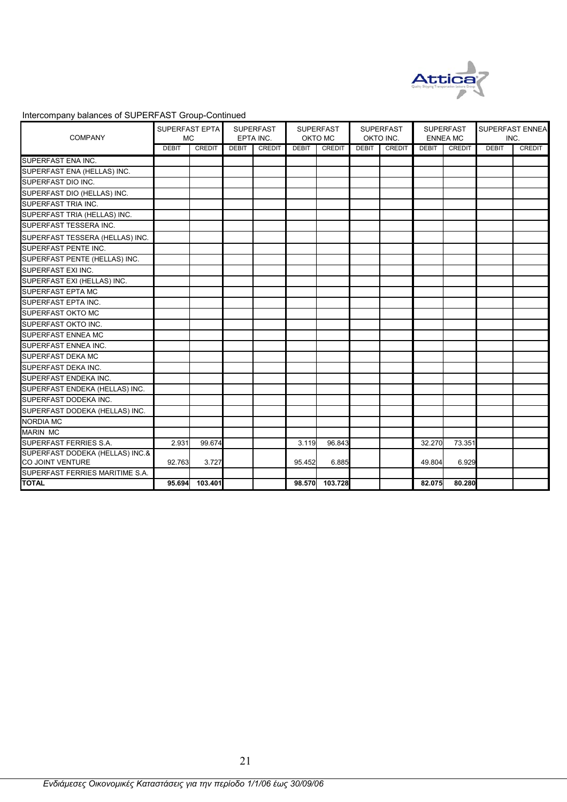

| <b>COMPANY</b>                  | SUPERFAST EPTA<br><b>MC</b> |               |              | <b>SUPERFAST</b><br>EPTA INC. |              | <b>SUPERFAST</b><br>OKTO MC |              | <b>SUPERFAST</b><br>OKTO INC. |              | <b>SUPERFAST</b><br><b>ENNEA MC</b> |              | SUPERFAST ENNEA<br>INC. |
|---------------------------------|-----------------------------|---------------|--------------|-------------------------------|--------------|-----------------------------|--------------|-------------------------------|--------------|-------------------------------------|--------------|-------------------------|
|                                 | <b>DEBIT</b>                | <b>CREDIT</b> | <b>DEBIT</b> | <b>CREDIT</b>                 | <b>DEBIT</b> | CREDIT                      | <b>DEBIT</b> | CREDIT                        | <b>DEBIT</b> | CREDIT                              | <b>DEBIT</b> | <b>CREDIT</b>           |
| SUPERFAST ENA INC.              |                             |               |              |                               |              |                             |              |                               |              |                                     |              |                         |
| SUPERFAST ENA (HELLAS) INC.     |                             |               |              |                               |              |                             |              |                               |              |                                     |              |                         |
| SUPERFAST DIO INC.              |                             |               |              |                               |              |                             |              |                               |              |                                     |              |                         |
| SUPERFAST DIO (HELLAS) INC.     |                             |               |              |                               |              |                             |              |                               |              |                                     |              |                         |
| SUPERFAST TRIA INC.             |                             |               |              |                               |              |                             |              |                               |              |                                     |              |                         |
| SUPERFAST TRIA (HELLAS) INC.    |                             |               |              |                               |              |                             |              |                               |              |                                     |              |                         |
| SUPERFAST TESSERA INC.          |                             |               |              |                               |              |                             |              |                               |              |                                     |              |                         |
| SUPERFAST TESSERA (HELLAS) INC. |                             |               |              |                               |              |                             |              |                               |              |                                     |              |                         |
| SUPERFAST PENTE INC.            |                             |               |              |                               |              |                             |              |                               |              |                                     |              |                         |
| SUPERFAST PENTE (HELLAS) INC.   |                             |               |              |                               |              |                             |              |                               |              |                                     |              |                         |
| SUPERFAST EXI INC.              |                             |               |              |                               |              |                             |              |                               |              |                                     |              |                         |
| SUPERFAST EXI (HELLAS) INC.     |                             |               |              |                               |              |                             |              |                               |              |                                     |              |                         |
| SUPERFAST EPTA MC               |                             |               |              |                               |              |                             |              |                               |              |                                     |              |                         |
| SUPERFAST EPTA INC.             |                             |               |              |                               |              |                             |              |                               |              |                                     |              |                         |
| SUPERFAST OKTO MC               |                             |               |              |                               |              |                             |              |                               |              |                                     |              |                         |
| SUPERFAST OKTO INC.             |                             |               |              |                               |              |                             |              |                               |              |                                     |              |                         |
| <b>SUPERFAST ENNEA MC</b>       |                             |               |              |                               |              |                             |              |                               |              |                                     |              |                         |
| SUPERFAST ENNEA INC.            |                             |               |              |                               |              |                             |              |                               |              |                                     |              |                         |
| SUPERFAST DEKA MC               |                             |               |              |                               |              |                             |              |                               |              |                                     |              |                         |
| SUPERFAST DEKA INC.             |                             |               |              |                               |              |                             |              |                               |              |                                     |              |                         |
| SUPERFAST ENDEKA INC.           |                             |               |              |                               |              |                             |              |                               |              |                                     |              |                         |
| SUPERFAST ENDEKA (HELLAS) INC.  |                             |               |              |                               |              |                             |              |                               |              |                                     |              |                         |
| SUPERFAST DODEKA INC.           |                             |               |              |                               |              |                             |              |                               |              |                                     |              |                         |
| SUPERFAST DODEKA (HELLAS) INC.  |                             |               |              |                               |              |                             |              |                               |              |                                     |              |                         |
| <b>NORDIA MC</b>                |                             |               |              |                               |              |                             |              |                               |              |                                     |              |                         |
| <b>MARIN MC</b>                 |                             |               |              |                               |              |                             |              |                               |              |                                     |              |                         |
| SUPERFAST FERRIES S.A.          | 2.931                       | 99.674        |              |                               | 3.119        | 96.843                      |              |                               | 32.270       | 73.351                              |              |                         |
| SUPERFAST DODEKA (HELLAS) INC.& |                             |               |              |                               |              |                             |              |                               |              |                                     |              |                         |
| CO JOINT VENTURE                | 92.763                      | 3.727         |              |                               | 95.452       | 6.885                       |              |                               | 49.804       | 6.929                               |              |                         |
| SUPERFAST FERRIES MARITIME S.A. |                             |               |              |                               |              |                             |              |                               |              |                                     |              |                         |
| <b>TOTAL</b>                    | 95.694                      | 103.401       |              |                               | 98.570       | 103.728                     |              |                               | 82.075       | 80.280                              |              |                         |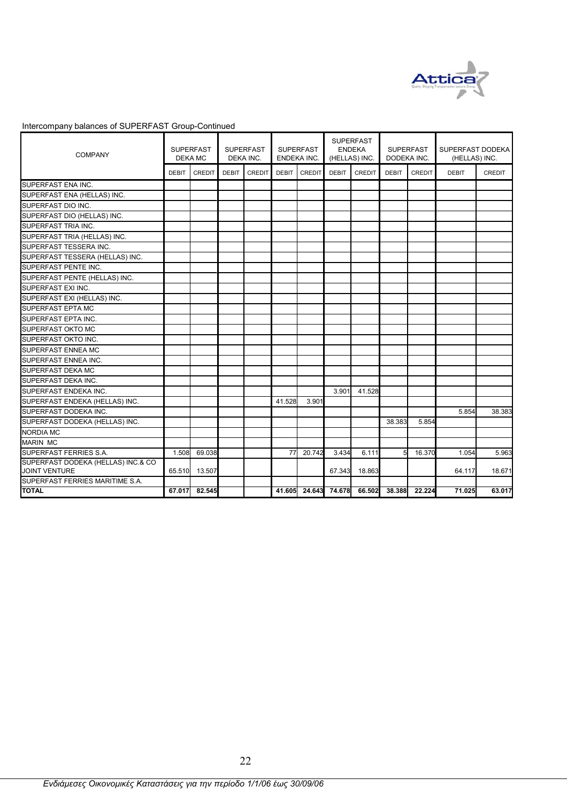

| <b>COMPANY</b>                                      |              | <b>SUPERFAST</b><br>DEKA MC |              | <b>SUPERFAST</b><br>DEKA INC. |              | <b>SUPERFAST</b><br>ENDEKA INC. |              | <b>SUPERFAST</b><br><b>ENDEKA</b><br>(HELLAS) INC. | DODEKA INC.      | <b>SUPERFAST</b> | SUPERFAST DODEKA<br>(HELLAS) INC. |               |
|-----------------------------------------------------|--------------|-----------------------------|--------------|-------------------------------|--------------|---------------------------------|--------------|----------------------------------------------------|------------------|------------------|-----------------------------------|---------------|
|                                                     | <b>DEBIT</b> | <b>CREDIT</b>               | <b>DEBIT</b> | <b>CREDIT</b>                 | <b>DEBIT</b> | <b>CREDIT</b>                   | <b>DEBIT</b> | <b>CREDIT</b>                                      | <b>DEBIT</b>     | <b>CREDIT</b>    | <b>DEBIT</b>                      | <b>CREDIT</b> |
| SUPERFAST ENA INC.                                  |              |                             |              |                               |              |                                 |              |                                                    |                  |                  |                                   |               |
| SUPERFAST ENA (HELLAS) INC.                         |              |                             |              |                               |              |                                 |              |                                                    |                  |                  |                                   |               |
| SUPERFAST DIO INC.                                  |              |                             |              |                               |              |                                 |              |                                                    |                  |                  |                                   |               |
| SUPERFAST DIO (HELLAS) INC.                         |              |                             |              |                               |              |                                 |              |                                                    |                  |                  |                                   |               |
| SUPERFAST TRIA INC.                                 |              |                             |              |                               |              |                                 |              |                                                    |                  |                  |                                   |               |
| SUPERFAST TRIA (HELLAS) INC.                        |              |                             |              |                               |              |                                 |              |                                                    |                  |                  |                                   |               |
| SUPERFAST TESSERA INC.                              |              |                             |              |                               |              |                                 |              |                                                    |                  |                  |                                   |               |
| SUPERFAST TESSERA (HELLAS) INC.                     |              |                             |              |                               |              |                                 |              |                                                    |                  |                  |                                   |               |
| SUPERFAST PENTE INC.                                |              |                             |              |                               |              |                                 |              |                                                    |                  |                  |                                   |               |
| SUPERFAST PENTE (HELLAS) INC.                       |              |                             |              |                               |              |                                 |              |                                                    |                  |                  |                                   |               |
| SUPERFAST EXI INC.                                  |              |                             |              |                               |              |                                 |              |                                                    |                  |                  |                                   |               |
| SUPERFAST EXI (HELLAS) INC.                         |              |                             |              |                               |              |                                 |              |                                                    |                  |                  |                                   |               |
| SUPERFAST EPTA MC                                   |              |                             |              |                               |              |                                 |              |                                                    |                  |                  |                                   |               |
| SUPERFAST EPTA INC.                                 |              |                             |              |                               |              |                                 |              |                                                    |                  |                  |                                   |               |
| SUPERFAST OKTO MC                                   |              |                             |              |                               |              |                                 |              |                                                    |                  |                  |                                   |               |
| SUPERFAST OKTO INC.                                 |              |                             |              |                               |              |                                 |              |                                                    |                  |                  |                                   |               |
| <b>SUPERFAST ENNEA MC</b>                           |              |                             |              |                               |              |                                 |              |                                                    |                  |                  |                                   |               |
| SUPERFAST ENNEA INC.                                |              |                             |              |                               |              |                                 |              |                                                    |                  |                  |                                   |               |
| SUPERFAST DEKA MC                                   |              |                             |              |                               |              |                                 |              |                                                    |                  |                  |                                   |               |
| SUPERFAST DEKA INC.                                 |              |                             |              |                               |              |                                 |              |                                                    |                  |                  |                                   |               |
| SUPERFAST ENDEKA INC.                               |              |                             |              |                               |              |                                 | 3.901        | 41.528                                             |                  |                  |                                   |               |
| SUPERFAST ENDEKA (HELLAS) INC.                      |              |                             |              |                               | 41.528       | 3.901                           |              |                                                    |                  |                  |                                   |               |
| SUPERFAST DODEKA INC.                               |              |                             |              |                               |              |                                 |              |                                                    |                  |                  | 5.854                             | 38.383        |
| SUPERFAST DODEKA (HELLAS) INC.                      |              |                             |              |                               |              |                                 |              |                                                    | 38.383           | 5.854            |                                   |               |
| <b>NORDIA MC</b>                                    |              |                             |              |                               |              |                                 |              |                                                    |                  |                  |                                   |               |
| <b>MARIN MC</b>                                     |              |                             |              |                               |              |                                 |              |                                                    |                  |                  |                                   |               |
| SUPERFAST FERRIES S.A.                              | 1.508        | 69.038                      |              |                               | 77           | 20.742                          | 3.434        | 6.111                                              | $5 \blacksquare$ | 16.370           | 1.054                             | 5.963         |
| SUPERFAST DODEKA (HELLAS) INC.& CO<br>JOINT VENTURE | 65.510       | 13.507                      |              |                               |              |                                 | 67.343       | 18.863                                             |                  |                  | 64.117                            | 18.671        |
| SUPERFAST FERRIES MARITIME S.A.                     |              |                             |              |                               |              |                                 |              |                                                    |                  |                  |                                   |               |
| <b>TOTAL</b>                                        | 67.017       | 82.545                      |              |                               | 41.605       | 24.643                          | 74.678       | 66.502                                             | 38.388           | 22.224           | 71.025                            | 63.017        |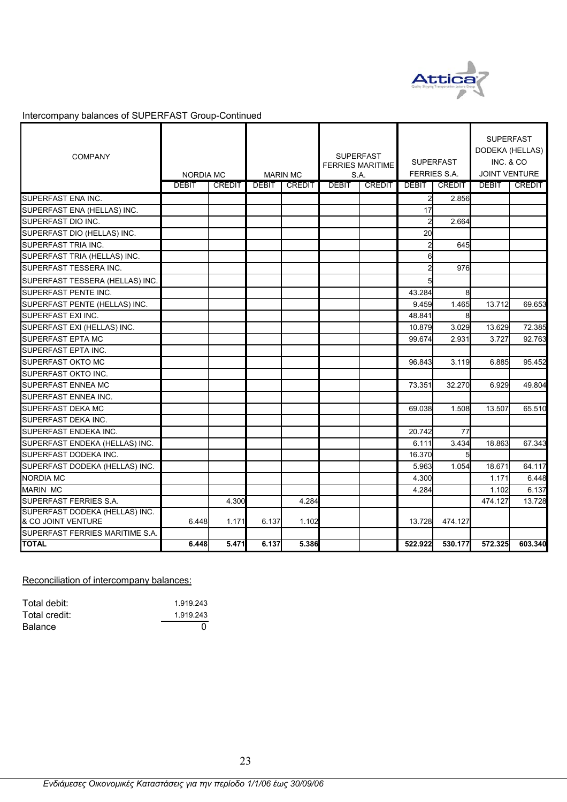

| <b>COMPANY</b>                                       | <b>NORDIA MC</b> |               |              | <b>MARIN MC</b> |              | <b>SUPERFAST</b><br><b>FERRIES MARITIME</b><br>S.A. |                  | <b>SUPERFAST</b><br><b>FERRIES S.A.</b> | <b>SUPERFAST</b><br>DODEKA (HELLAS)<br>INC. & CO<br><b>JOINT VENTURE</b> |               |
|------------------------------------------------------|------------------|---------------|--------------|-----------------|--------------|-----------------------------------------------------|------------------|-----------------------------------------|--------------------------------------------------------------------------|---------------|
|                                                      | <b>DEBIT</b>     | <b>CREDIT</b> | <b>DEBIT</b> | <b>CREDIT</b>   | <b>DEBIT</b> | <b>CREDIT</b>                                       | <b>DEBIT</b>     | CREDIT                                  | <b>DEBIT</b>                                                             | <b>CREDIT</b> |
| SUPERFAST ENA INC.                                   |                  |               |              |                 |              |                                                     | $\overline{a}$   | 2.856                                   |                                                                          |               |
| SUPERFAST ENA (HELLAS) INC.                          |                  |               |              |                 |              |                                                     | 17               |                                         |                                                                          |               |
| SUPERFAST DIO INC.                                   |                  |               |              |                 |              |                                                     | $\overline{2}$   | 2.664                                   |                                                                          |               |
| SUPERFAST DIO (HELLAS) INC.                          |                  |               |              |                 |              |                                                     | <b>20</b>        |                                         |                                                                          |               |
| SUPERFAST TRIA INC.                                  |                  |               |              |                 |              |                                                     | $\overline{2}$   | 645                                     |                                                                          |               |
| SUPERFAST TRIA (HELLAS) INC.                         |                  |               |              |                 |              |                                                     | $6 \overline{6}$ |                                         |                                                                          |               |
| SUPERFAST TESSERA INC.                               |                  |               |              |                 |              |                                                     | $\overline{2}$   | 976                                     |                                                                          |               |
| SUPERFAST TESSERA (HELLAS) INC.                      |                  |               |              |                 |              |                                                     | 5                |                                         |                                                                          |               |
| <b>SUPERFAST PENTE INC.</b>                          |                  |               |              |                 |              |                                                     | 43.284           | 8                                       |                                                                          |               |
| SUPERFAST PENTE (HELLAS) INC.                        |                  |               |              |                 |              |                                                     | 9.459            | 1.465                                   | 13.712                                                                   | 69.653        |
| <b>SUPERFAST EXI INC.</b>                            |                  |               |              |                 |              |                                                     | 48.841           |                                         |                                                                          |               |
| SUPERFAST EXI (HELLAS) INC.                          |                  |               |              |                 |              |                                                     | 10.879           | 3.029                                   | 13.629                                                                   | 72.385        |
| <b>SUPERFAST EPTA MC</b>                             |                  |               |              |                 |              |                                                     | 99.674           | 2.931                                   | 3.727                                                                    | 92.763        |
| SUPERFAST EPTA INC.                                  |                  |               |              |                 |              |                                                     |                  |                                         |                                                                          |               |
| <b>SUPERFAST OKTO MC</b>                             |                  |               |              |                 |              |                                                     | 96.843           | 3.119                                   | 6.885                                                                    | 95.452        |
| SUPERFAST OKTO INC.                                  |                  |               |              |                 |              |                                                     |                  |                                         |                                                                          |               |
| <b>SUPERFAST ENNEA MC</b>                            |                  |               |              |                 |              |                                                     | 73.351           | 32.270                                  | 6.929                                                                    | 49.804        |
| <b>SUPERFAST ENNEA INC.</b>                          |                  |               |              |                 |              |                                                     |                  |                                         |                                                                          |               |
| <b>SUPERFAST DEKA MC</b>                             |                  |               |              |                 |              |                                                     | 69.038           | 1.508                                   | 13.507                                                                   | 65.510        |
| SUPERFAST DEKA INC.                                  |                  |               |              |                 |              |                                                     |                  |                                         |                                                                          |               |
| SUPERFAST ENDEKA INC.                                |                  |               |              |                 |              |                                                     | 20.742           | 77                                      |                                                                          |               |
| SUPERFAST ENDEKA (HELLAS) INC.                       |                  |               |              |                 |              |                                                     | 6.111            | 3.434                                   | 18.863                                                                   | 67.343        |
| SUPERFAST DODEKA INC.                                |                  |               |              |                 |              |                                                     | 16.370           |                                         |                                                                          |               |
| SUPERFAST DODEKA (HELLAS) INC.                       |                  |               |              |                 |              |                                                     | 5.963            | 1.054                                   | 18.671                                                                   | 64.117        |
| <b>NORDIA MC</b>                                     |                  |               |              |                 |              |                                                     | 4.300            |                                         | 1.171                                                                    | 6.448         |
| <b>MARIN MC</b>                                      |                  |               |              |                 |              |                                                     | 4.284            |                                         | 1.102                                                                    | 6.137         |
| SUPERFAST FERRIES S.A.                               |                  | 4.300         |              | 4.284           |              |                                                     |                  |                                         | 474.127                                                                  | 13.728        |
| SUPERFAST DODEKA (HELLAS) INC.<br>& CO JOINT VENTURE | 6.448            | 1.171         | 6.137        | 1.102           |              |                                                     | 13.728           | 474.127                                 |                                                                          |               |
| SUPERFAST FERRIES MARITIME S.A.                      |                  |               |              |                 |              |                                                     |                  |                                         |                                                                          |               |
| <b>TOTAL</b>                                         | 6.448            | 5.471         | 6.137        | 5.386           |              |                                                     | 522.922          | 530.177                                 | 572.325                                                                  | 603.340       |

Reconciliation of intercompany balances:

| Total debit:  | 1.919.243 |
|---------------|-----------|
| Total credit: | 1.919.243 |
| Balance       |           |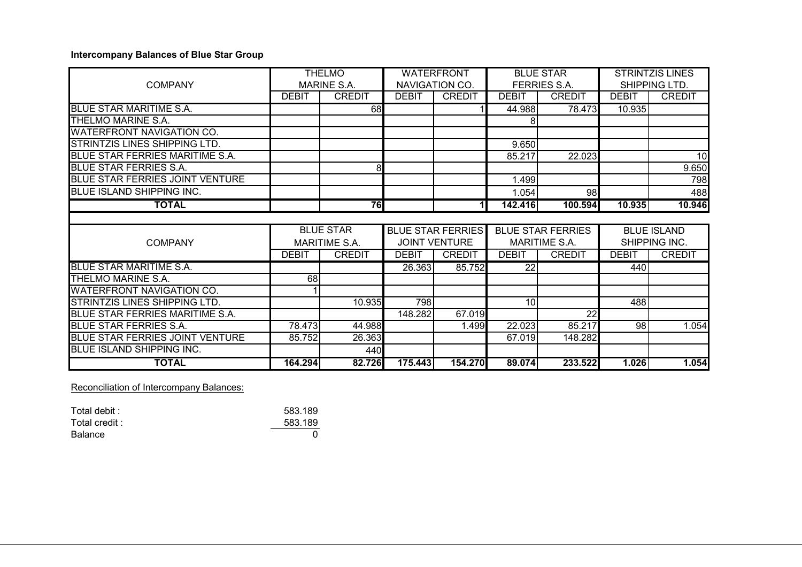### **Intercompany Balances of Blue Star Group**

|                                        |              | <b>THELMO</b>        |              | <b>WATERFRONT</b>        |                 | <b>BLUE STAR</b>         | <b>STRINTZIS LINES</b> |                    |  |
|----------------------------------------|--------------|----------------------|--------------|--------------------------|-----------------|--------------------------|------------------------|--------------------|--|
| <b>COMPANY</b>                         |              | MARINE S.A.          |              | NAVIGATION CO.           |                 | <b>FERRIES S.A.</b>      |                        | SHIPPING LTD.      |  |
|                                        | <b>DEBIT</b> | <b>CREDIT</b>        | <b>DEBIT</b> | <b>CREDIT</b>            | <b>DEBIT</b>    | <b>CREDIT</b>            | <b>DEBIT</b>           | <b>CREDIT</b>      |  |
| <b>BLUE STAR MARITIME S.A.</b>         |              | 68                   |              |                          | 44.988          | 78.473                   | 10.935                 |                    |  |
| THELMO MARINE S.A.                     |              |                      |              |                          |                 |                          |                        |                    |  |
| <b>WATERFRONT NAVIGATION CO.</b>       |              |                      |              |                          |                 |                          |                        |                    |  |
| <b>STRINTZIS LINES SHIPPING LTD.</b>   |              |                      |              |                          | 9.650           |                          |                        |                    |  |
| BLUE STAR FERRIES MARITIME S.A.        |              |                      |              |                          | 85.217          | 22.023                   |                        | 10                 |  |
| <b>BLUE STAR FERRIES S.A.</b>          |              | 8                    |              |                          |                 |                          |                        | 9.650              |  |
| <b>BLUE STAR FERRIES JOINT VENTURE</b> |              |                      |              |                          | 1.499           |                          |                        | 798                |  |
| <b>BLUE ISLAND SHIPPING INC.</b>       |              |                      |              |                          | 1.054           | 98                       |                        | 488                |  |
| <b>TOTAL</b>                           |              | 76                   |              | 11                       | 142.416         | 100.594                  | 10.935                 | 10.946             |  |
|                                        |              |                      |              |                          |                 |                          |                        |                    |  |
|                                        |              |                      |              |                          |                 |                          |                        |                    |  |
|                                        |              | <b>BLUE STAR</b>     |              | <b>BLUE STAR FERRIES</b> |                 | <b>BLUE STAR FERRIES</b> |                        | <b>BLUE ISLAND</b> |  |
| <b>COMPANY</b>                         |              | <b>MARITIME S.A.</b> |              | <b>JOINT VENTURE</b>     |                 | MARITIME S.A.            |                        | SHIPPING INC.      |  |
|                                        | <b>DEBIT</b> | <b>CREDIT</b>        | DEBIT        | <b>CREDIT</b>            | <b>DEBIT</b>    | <b>CREDIT</b>            | <b>DEBIT</b>           | <b>CREDIT</b>      |  |
| <b>BLUE STAR MARITIME S.A.</b>         |              |                      | 26.363       | 85.752                   | 22              |                          | 440                    |                    |  |
| THELMO MARINE S.A.                     | 68           |                      |              |                          |                 |                          |                        |                    |  |
| <b>WATERFRONT NAVIGATION CO.</b>       |              |                      |              |                          |                 |                          |                        |                    |  |
| STRINTZIS LINES SHIPPING LTD.          |              | 10.935               | 798          |                          | 10 <sup>1</sup> |                          | 488                    |                    |  |
| BLUE STAR FERRIES MARITIME S.A.        |              |                      | 148.282      | 67.019                   |                 | 22                       |                        |                    |  |
| <b>BLUE STAR FERRIES S.A.</b>          | 78.473       | 44.988               |              | 1.499                    | 22.023          | 85.217                   | 98                     | 1.054              |  |
| <b>BLUE STAR FERRIES JOINT VENTURE</b> | 85.752       | 26.363               |              |                          | 67.019          | 148.282                  |                        |                    |  |
| <b>BLUE ISLAND SHIPPING INC.</b>       |              | 440                  |              |                          |                 |                          |                        |                    |  |

### Reconciliation of Intercompany Balances:

| Total debit : | 583.189 |
|---------------|---------|
| Total credit: | 583.189 |
| Balance       |         |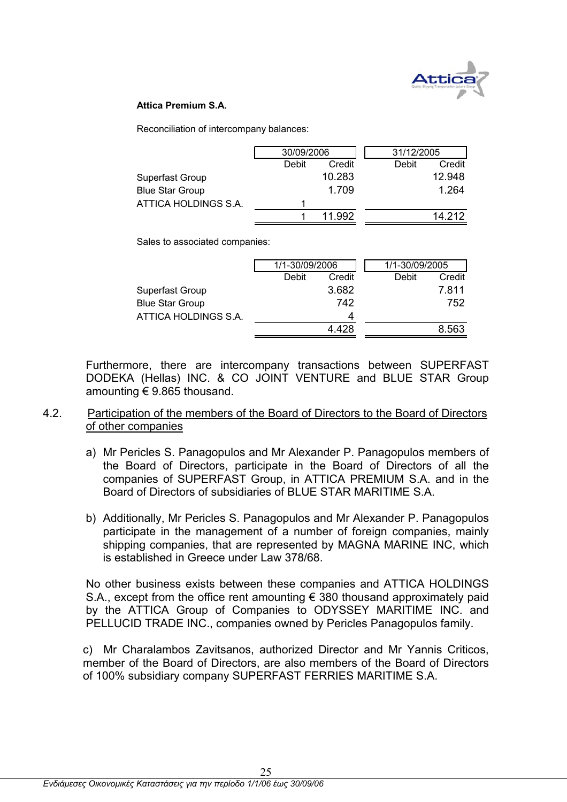

### **Attica Premium S.A.**

Reconciliation of intercompany balances:

|                        | 30/09/2006 |        | 31/12/2005      |
|------------------------|------------|--------|-----------------|
|                        | Debit      | Credit | Debit<br>Credit |
| Superfast Group        |            | 10.283 | 12.948          |
| <b>Blue Star Group</b> |            | 1.709  | 1.264           |
| ATTICA HOLDINGS S.A.   |            |        |                 |
|                        |            | 11 992 | 14 212          |

Sales to associated companies:

|                        | 1/1-30/09/2006 |        | 1/1-30/09/2005 |        |
|------------------------|----------------|--------|----------------|--------|
|                        | Debit          | Credit | Debit          | Credit |
| Superfast Group        |                | 3.682  |                | 7.811  |
| <b>Blue Star Group</b> |                | 742    |                | 752    |
| ATTICA HOLDINGS S.A.   |                | 4      |                |        |
|                        |                | 4.428  |                | 8.563  |

Furthermore, there are intercompany transactions between SUPERFAST DODEKA (Hellas) INC. & CO JOINT VENTURE and BLUE STAR Group amounting € 9.865 thousand.

### 4.2. Participation of the members of the Board of Directors to the Board of Directors of other companies

- a) Mr Pericles S. Panagopulos and Mr Alexander P. Panagopulos members of the Board of Directors, participate in the Board of Directors of all the companies of SUPERFAST Group, in ATTICA PREMIUM S.A. and in the Board of Directors of subsidiaries of BLUE STAR MARITIME S.A.
- b) Additionally, Mr Pericles S. Panagopulos and Mr Alexander P. Panagopulos participate in the management of a number of foreign companies, mainly shipping companies, that are represented by MAGNA MARINE INC, which is established in Greece under Law 378/68.

No other business exists between these companies and ATTICA HOLDINGS S.A., except from the office rent amounting  $\epsilon$  380 thousand approximately paid by the ATTICA Group of Companies to ODYSSEY MARITIME INC. and PELLUCID TRADE INC., companies owned by Pericles Panagopulos family.

c) Mr Charalambos Zavitsanos, authorized Director and Mr Yannis Criticos, member of the Board of Directors, are also members of the Board of Directors of 100% subsidiary company SUPERFAST FERRIES MARITIME S.A.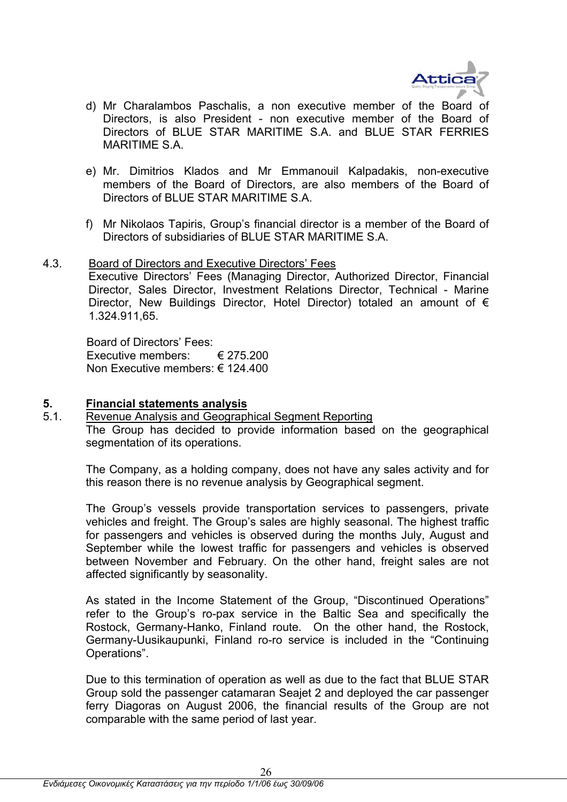

- d) Mr Charalambos Paschalis, a non executive member of the Board of Directors, is also President - non executive member of the Board of Directors of BLUE STAR MARITIME S.A. and BLUE STAR FERRIES MARITIME S.A.
- e) Mr. Dimitrios Klados and Mr Emmanouil Kalpadakis, non-executive members of the Board of Directors, are also members of the Board of Directors of BLUE STAR MARITIME S.A.
- f) Mr Nikolaos Tapiris, Group's financial director is a member of the Board of Directors of subsidiaries of BLUE STAR MARITIME S.A.
- 4.3. Board of Directors and Executive Directors' Fees Executive Directors' Fees (Managing Director, Authorized Director, Financial Director, Sales Director, Investment Relations Director, Technical - Marine Director, New Buildings Director, Hotel Director) totaled an amount of  $\epsilon$ 1.324.911,65.

Board of Directors' Fees: Executive members: € 275.200 Non Executive members: € 124.400

### **5. Financial statements analysis**

5.1. Revenue Analysis and Geographical Segment Reporting The Group has decided to provide information based on the geographical segmentation of its operations.

The Company, as a holding company, does not have any sales activity and for this reason there is no revenue analysis by Geographical segment.

The Group's vessels provide transportation services to passengers, private vehicles and freight. The Group's sales are highly seasonal. The highest traffic for passengers and vehicles is observed during the months July, August and September while the lowest traffic for passengers and vehicles is observed between November and February. On the other hand, freight sales are not affected significantly by seasonality.

As stated in the Income Statement of the Group, "Discontinued Operations" refer to the Group's ro-pax service in the Baltic Sea and specifically the Rostock, Germany-Hanko, Finland route. On the other hand, the Rostock, Germany-Uusikaupunki, Finland ro-ro service is included in the "Continuing Operations".

Due to this termination of operation as well as due to the fact that BLUE STAR Group sold the passenger catamaran Seajet 2 and deployed the car passenger ferry Diagoras on August 2006, the financial results of the Group are not comparable with the same period of last year.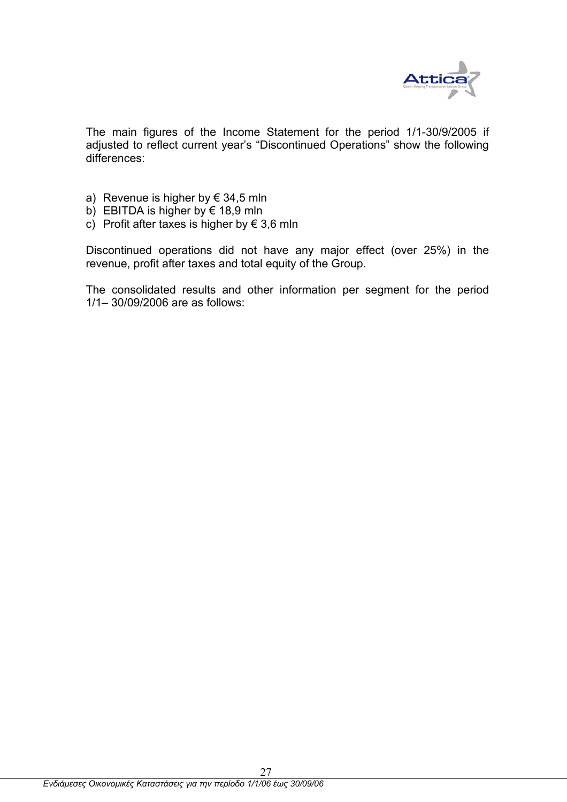

The main figures of the Income Statement for the period 1/1-30/9/2005 if adjusted to reflect current year's "Discontinued Operations" show the following differences:

- a) Revenue is higher by  $\epsilon$  34,5 mln
- b) EBITDA is higher by  $\epsilon$  18,9 mln
- c) Profit after taxes is higher by  $\epsilon$  3.6 mln

Discontinued operations did not have any major effect (over 25%) in the revenue, profit after taxes and total equity of the Group.

The consolidated results and other information per segment for the period 1/1– 30/09/2006 are as follows: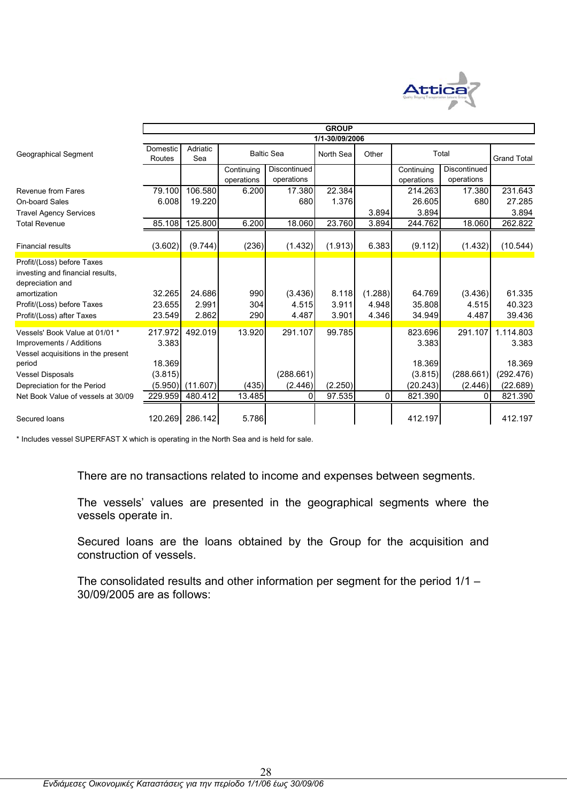

|                                                                                                  |                    | <b>GROUP</b>    |            |                   |                |         |                  |              |                    |  |
|--------------------------------------------------------------------------------------------------|--------------------|-----------------|------------|-------------------|----------------|---------|------------------|--------------|--------------------|--|
|                                                                                                  |                    |                 |            |                   | 1/1-30/09/2006 |         |                  |              |                    |  |
| <b>Geographical Segment</b>                                                                      | Domestic<br>Routes | Adriatic<br>Sea |            | <b>Baltic Sea</b> | North Sea      | Other   |                  | Total        | <b>Grand Total</b> |  |
|                                                                                                  |                    |                 | Continuing | Discontinued      |                |         | Continuing       | Discontinued |                    |  |
|                                                                                                  |                    |                 | operations | operations        |                |         | operations       | operations   |                    |  |
| Revenue from Fares                                                                               | 79.100             | 106.580         | 6.200      | 17.380            | 22.384         |         | 214.263          | 17.380       | 231.643            |  |
| <b>On-board Sales</b>                                                                            | 6.008              | 19.220          |            | 680               | 1.376          |         | 26.605           | 680          | 27.285             |  |
| <b>Travel Agency Services</b>                                                                    |                    |                 |            |                   |                | 3.894   | 3.894            |              | 3.894              |  |
| <b>Total Revenue</b>                                                                             | 85.108             | 125.800         | 6.200      | 18.060            | 23.760         | 3.894   | 244.762          | 18.060       | 262.822            |  |
| <b>Financial results</b>                                                                         | (3.602)            | (9.744)         | (236)      | (1.432)           | (1.913)        | 6.383   | (9.112)          | (1.432)      | (10.544)           |  |
| Profit/(Loss) before Taxes<br>investing and financial results,<br>depreciation and               |                    |                 |            |                   |                |         |                  |              |                    |  |
| amortization                                                                                     | 32.265             | 24.686          | 990        | (3.436)           | 8.118          | (1.288) | 64.769           | (3.436)      | 61.335             |  |
| Profit/(Loss) before Taxes                                                                       | 23.655             | 2.991           | 304        | 4.515             | 3.911          | 4.948   | 35.808           | 4.515        | 40.323             |  |
| Profit/(Loss) after Taxes                                                                        | 23.549             | 2.862           | 290        | 4.487             | 3.901          | 4.346   | 34.949           | 4.487        | 39.436             |  |
| Vessels' Book Value at 01/01 *<br>Improvements / Additions<br>Vessel acquisitions in the present | 217.972<br>3.383   | 492.019         | 13.920     | 291.107           | 99.785         |         | 823.696<br>3.383 | 291.107      | 1.114.803<br>3.383 |  |
| period                                                                                           | 18.369             |                 |            |                   |                |         | 18.369           |              | 18.369             |  |
| <b>Vessel Disposals</b>                                                                          | (3.815)            |                 |            | (288.661)         |                |         | (3.815)          | (288.661)    | (292.476)          |  |
| Depreciation for the Period                                                                      | (5.950)            | (11.607)        | (435)      | (2.446)           | (2.250)        |         | (20.243)         | (2.446)      | (22.689)           |  |
| Net Book Value of vessels at 30/09                                                               | 229.959            | 480.412         | 13.485     | $\Omega$          | 97.535         | 0       | 821.390          | 0            | 821.390            |  |
|                                                                                                  |                    |                 |            |                   |                |         |                  |              |                    |  |
| Secured loans                                                                                    | 120.269            | 286.142         | 5.786      |                   |                |         | 412.197          |              | 412.197            |  |

\* Includes vessel SUPERFAST X which is operating in the North Sea and is held for sale.

There are no transactions related to income and expenses between segments.

The vessels' values are presented in the geographical segments where the vessels operate in.

Secured loans are the loans obtained by the Group for the acquisition and construction of vessels.

The consolidated results and other information per segment for the period 1/1 – 30/09/2005 are as follows: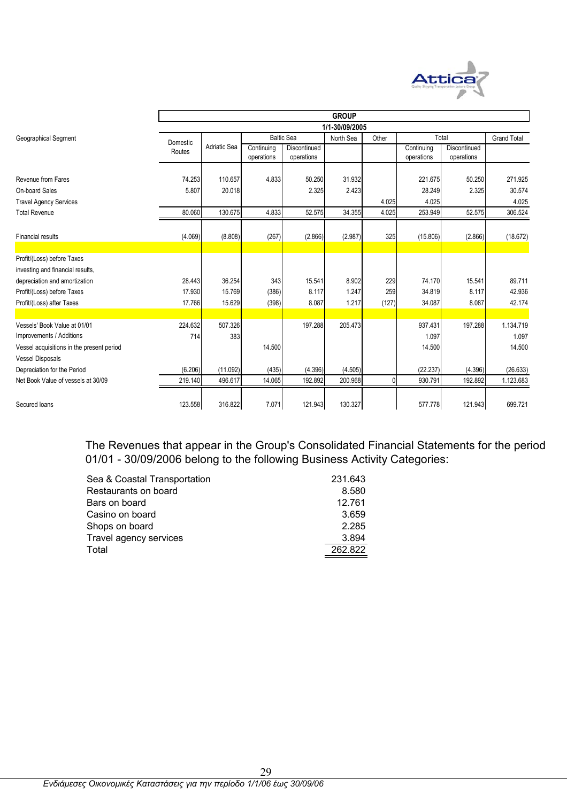

|                                           |          |              |                          |                            | <b>GROUP</b>   |       |                          |                            |                    |
|-------------------------------------------|----------|--------------|--------------------------|----------------------------|----------------|-------|--------------------------|----------------------------|--------------------|
|                                           |          |              |                          |                            | 1/1-30/09/2005 |       |                          |                            |                    |
| Geographical Segment                      | Domestic |              |                          | <b>Baltic Sea</b>          | North Sea      | Other | Total                    |                            | <b>Grand Total</b> |
|                                           | Routes   | Adriatic Sea | Continuing<br>operations | Discontinued<br>operations |                |       | Continuing<br>operations | Discontinued<br>operations |                    |
| Revenue from Fares                        | 74.253   | 110.657      | 4.833                    | 50.250                     | 31.932         |       | 221.675                  | 50.250                     | 271.925            |
| On-board Sales                            | 5.807    | 20.018       |                          | 2.325                      | 2.423          |       | 28.249                   | 2.325                      | 30.574             |
| <b>Travel Agency Services</b>             |          |              |                          |                            |                | 4.025 | 4.025                    |                            | 4.025              |
| <b>Total Revenue</b>                      | 80.060   | 130.675      | 4.833                    | 52.575                     | 34.355         | 4.025 | 253.949                  | 52.575                     | 306.524            |
| <b>Financial results</b>                  | (4.069)  | (8.808)      | (267)                    | (2.866)                    | (2.987)        | 325   | (15.806)                 | (2.866)                    | (18.672)           |
|                                           |          |              |                          |                            |                |       |                          |                            |                    |
| Profit/(Loss) before Taxes                |          |              |                          |                            |                |       |                          |                            |                    |
| investing and financial results,          |          |              |                          |                            |                |       |                          |                            |                    |
| depreciation and amortization             | 28.443   | 36.254       | 343                      | 15.541                     | 8.902          | 229   | 74.170                   | 15.541                     | 89.711             |
| Profit/(Loss) before Taxes                | 17.930   | 15.769       | (386)                    | 8.117                      | 1.247          | 259   | 34.819                   | 8.117                      | 42.936             |
| Profit/(Loss) after Taxes                 | 17.766   | 15.629       | (398)                    | 8.087                      | 1.217          | (127) | 34.087                   | 8.087                      | 42.174             |
|                                           |          |              |                          |                            |                |       |                          |                            |                    |
| Vessels' Book Value at 01/01              | 224.632  | 507.326      |                          | 197.288                    | 205.473        |       | 937.431                  | 197.288                    | 1.134.719          |
| Improvements / Additions                  | 714      | 383          |                          |                            |                |       | 1.097                    |                            | 1.097              |
| Vessel acquisitions in the present period |          |              | 14.500                   |                            |                |       | 14.500                   |                            | 14.500             |
| <b>Vessel Disposals</b>                   |          |              |                          |                            |                |       |                          |                            |                    |
| Depreciation for the Period               | (6.206)  | (11.092)     | (435)                    | (4.396)                    | (4.505)        |       | (22.237)                 | (4.396)                    | (26.633)           |
| Net Book Value of vessels at 30/09        | 219.140  | 496.617      | 14.065                   | 192.892                    | 200.968        | 0     | 930.791                  | 192.892                    | 1.123.683          |
| Secured loans                             | 123.558  | 316.822      | 7.071                    | 121.943                    | 130.327        |       | 577.778                  | 121.943                    | 699.721            |

The Revenues that appear in the Group's Consolidated Financial Statements for the period 01/01 - 30/09/2006 belong to the following Business Activity Categories:

| Sea & Coastal Transportation | 231.643 |
|------------------------------|---------|
| Restaurants on board         | 8.580   |
| Bars on board                | 12.761  |
| Casino on board              | 3.659   |
| Shops on board               | 2.285   |
| Travel agency services       | 3.894   |
| Total                        | 262.822 |
|                              |         |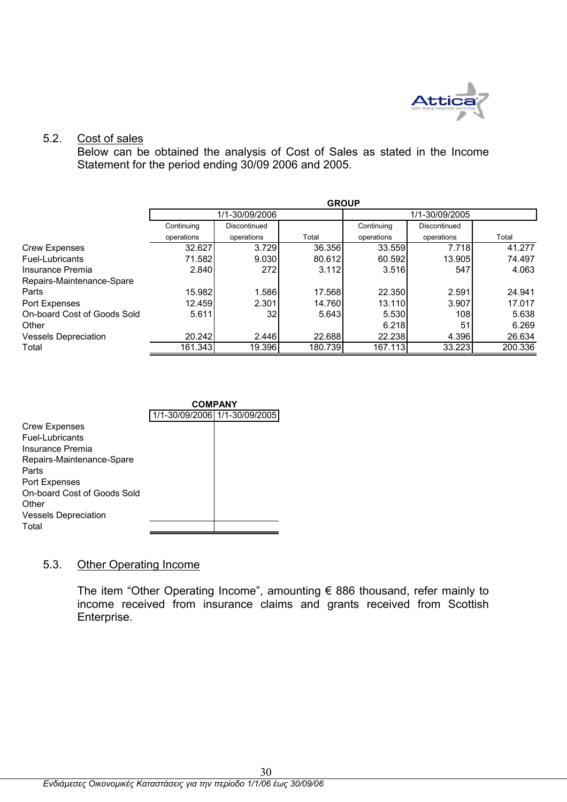

### 5.2. Cost of sales

Below can be obtained the analysis of Cost of Sales as stated in the Income Statement for the period ending 30/09 2006 and 2005.

|                             | <b>GROUP</b> |                 |         |            |                |         |  |  |
|-----------------------------|--------------|-----------------|---------|------------|----------------|---------|--|--|
|                             |              | 1/1-30/09/2006  |         |            | 1/1-30/09/2005 |         |  |  |
|                             | Continuing   | Discontinued    |         | Continuing | Discontinued   |         |  |  |
|                             | operations   | operations      | Total   | operations | operations     | Total   |  |  |
| <b>Crew Expenses</b>        | 32.627       | 3.729           | 36.356  | 33.559     | 7.718          | 41.277  |  |  |
| Fuel-Lubricants             | 71.582       | 9.030           | 80.612  | 60.592     | 13.905         | 74.497  |  |  |
| Insurance Premia            | 2.840        | 272             | 3.112   | 3.516      | 547            | 4.063   |  |  |
| Repairs-Maintenance-Spare   |              |                 |         |            |                |         |  |  |
| Parts                       | 15.982       | 1.586           | 17.568  | 22.350     | 2.591          | 24.941  |  |  |
| Port Expenses               | 12.459       | 2.301           | 14.760  | 13.110     | 3.907          | 17.017  |  |  |
| On-board Cost of Goods Sold | 5.611        | 32 <sub>0</sub> | 5.643   | 5.530      | 108            | 5.638   |  |  |
| Other                       |              |                 |         | 6.218      | 51             | 6.269   |  |  |
| <b>Vessels Depreciation</b> | 20.242       | 2.446           | 22.688  | 22.238     | 4.396          | 26.634  |  |  |
| Total                       | 161.343      | 19.396          | 180.739 | 167.113    | 33.223         | 200.336 |  |  |



### 5.3. Other Operating Income

The item "Other Operating Income", amounting € 886 thousand, refer mainly to income received from insurance claims and grants received from Scottish Enterprise.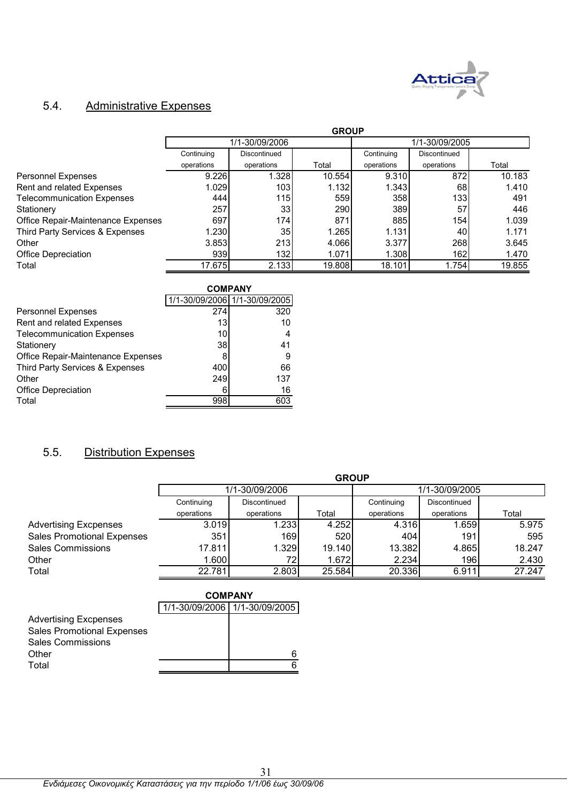

## 5.4. Administrative Expenses

|                                    | <b>GROUP</b> |                  |        |            |                  |        |  |  |
|------------------------------------|--------------|------------------|--------|------------|------------------|--------|--|--|
|                                    |              | 1/1-30/09/2006   |        |            | 1/1-30/09/2005   |        |  |  |
|                                    | Continuing   | Discontinued     |        | Continuing | Discontinued     |        |  |  |
|                                    | operations   | operations       | Total  | operations | operations       | Total  |  |  |
| Personnel Expenses                 | 9.226        | 1.328            | 10.554 | 9.310      | 872              | 10.183 |  |  |
| Rent and related Expenses          | 1.029        | 103 <sub>l</sub> | 1.132  | 1.343      | 68               | 1.410  |  |  |
| <b>Telecommunication Expenses</b>  | 444          | 115              | 559    | 358l       | 133 <sup>1</sup> | 491    |  |  |
| Stationery                         | 257          | 33 <sup>1</sup>  | 290    | 389        | 57               | 446    |  |  |
| Office Repair-Maintenance Expenses | 697          | 174              | 871    | 885        | 154              | 1.039  |  |  |
| Third Party Services & Expenses    | 1.230        | 35 <sub>l</sub>  | 1.265  | 1.131      | 40               | 1.171  |  |  |
| Other                              | 3.853        | 213              | 4.066  | 3.377      | 268              | 3.645  |  |  |
| <b>Office Depreciation</b>         | 939          | <b>132</b>       | 1.071  | 1.308      | 162              | 1.470  |  |  |
| Total                              | 17.675       | 2.133            | 19.808 | 18.101     | 1.7541           | 19.855 |  |  |

|                                    |     | <b>COMPANY</b>                |
|------------------------------------|-----|-------------------------------|
|                                    |     | 1/1-30/09/2006 1/1-30/09/2005 |
| <b>Personnel Expenses</b>          | 274 | 320                           |
| Rent and related Expenses          | 13  | 10                            |
| <b>Telecommunication Expenses</b>  | 10  | 4                             |
| Stationery                         | 38  | 41                            |
| Office Repair-Maintenance Expenses |     | 9                             |
| Third Party Services & Expenses    | 400 | 66                            |
| Other                              | 249 | 137                           |
| <b>Office Depreciation</b>         | ิค  | 16                            |
| Total                              | 998 | 603                           |

#### $5.5.$ **Distribution Expenses**

|                                   | <b>GROUP</b>   |              |        |                |              |        |  |
|-----------------------------------|----------------|--------------|--------|----------------|--------------|--------|--|
|                                   | 1/1-30/09/2006 |              |        | 1/1-30/09/2005 |              |        |  |
|                                   | Continuing     | Discontinued |        | Continuing     | Discontinued |        |  |
|                                   | operations     | operations   | Total  | operations     | operations   | Total  |  |
| <b>Advertising Excpenses</b>      | 3.019          | 1.233        | 4.252  | 4.316          | 1.659        | 5.975  |  |
| <b>Sales Promotional Expenses</b> | 351            | 169          | 520    | 404            | 191          | 595    |  |
| <b>Sales Commissions</b>          | 17.811         | 1.329        | 19.140 | 13.382         | 4.865        | 18.247 |  |
| Other                             | 1.600          | 72I          | 1.672  | 2.234          | 196          | 2.430  |  |
| Total                             | 22.781         | 2.803        | 25.584 | 20.336         | 6.911        | 27.247 |  |

|                                   | <b>COMPANY</b>                |   |  |  |  |
|-----------------------------------|-------------------------------|---|--|--|--|
|                                   | 1/1-30/09/2006 1/1-30/09/2005 |   |  |  |  |
| <b>Advertising Excpenses</b>      |                               |   |  |  |  |
| <b>Sales Promotional Expenses</b> |                               |   |  |  |  |
| <b>Sales Commissions</b>          |                               |   |  |  |  |
| Other                             |                               | ค |  |  |  |
| Total                             |                               |   |  |  |  |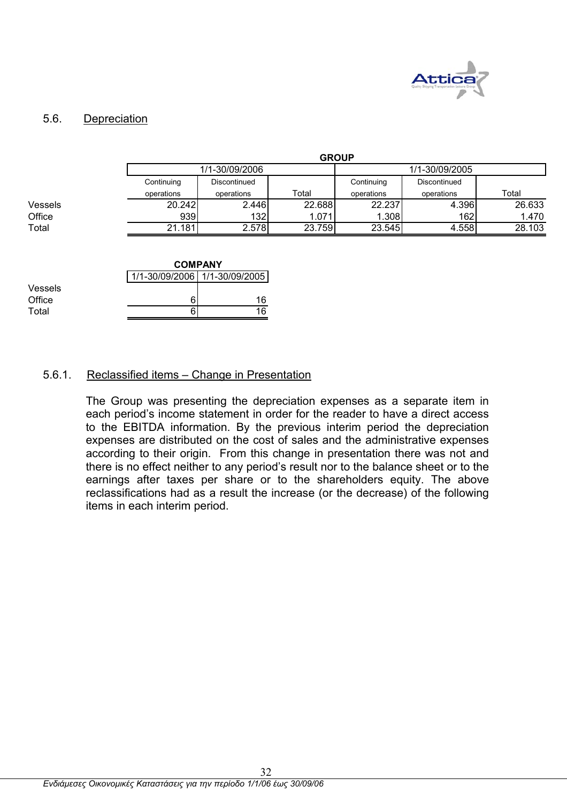

### 5.6. Depreciation

|         | <b>GROUP</b>   |              |        |                |              |        |
|---------|----------------|--------------|--------|----------------|--------------|--------|
|         | 1/1-30/09/2006 |              |        | 1/1-30/09/2005 |              |        |
|         | Continuing     | Discontinued |        | Continuing     | Discontinued |        |
|         | operations     | operations   | Total  | operations     | operations   | Total  |
| Vessels | 20.242         | 2.446        | 22.688 | 22.237         | 4.396        | 26.633 |
| Office  | 939            | 132          | 1.071  | 1.308          | 162          | 1.470  |
| Total   | 21.181         | 2.578        | 23.759 | 23.545         | 4.558        | 28.103 |

|         |                               | <b>COMPANY</b> |  |  |  |  |
|---------|-------------------------------|----------------|--|--|--|--|
|         | 1/1-30/09/2006 1/1-30/09/2005 |                |  |  |  |  |
| Vessels |                               |                |  |  |  |  |
| Office  |                               | 16             |  |  |  |  |
| Total   |                               | 16             |  |  |  |  |
|         |                               |                |  |  |  |  |

### 5.6.1. Reclassified items – Change in Presentation

The Group was presenting the depreciation expenses as a separate item in each period's income statement in order for the reader to have a direct access to the EBITDA information. By the previous interim period the depreciation expenses are distributed on the cost of sales and the administrative expenses according to their origin. From this change in presentation there was not and there is no effect neither to any period's result nor to the balance sheet or to the earnings after taxes per share or to the shareholders equity. The above reclassifications had as a result the increase (or the decrease) of the following items in each interim period.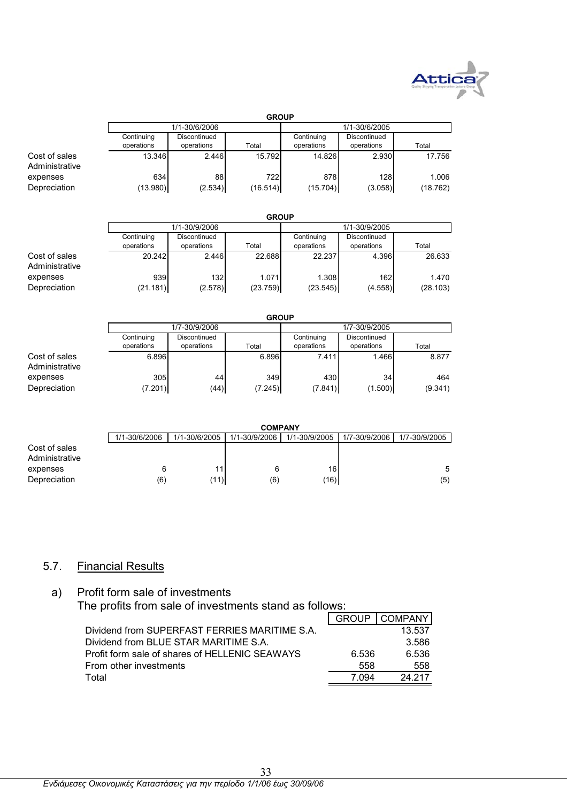

|                                 | <b>GROUP</b>             |                            |                 |                          |                            |                   |
|---------------------------------|--------------------------|----------------------------|-----------------|--------------------------|----------------------------|-------------------|
|                                 |                          | 1/1-30/6/2006              |                 | 1/1-30/6/2005            |                            |                   |
|                                 | Continuing<br>operations | Discontinued<br>operations | Total           | Continuing<br>operations | Discontinued<br>operations | Total             |
| Cost of sales<br>Administrative | 13.346                   | 2.446                      | 15.792          | 14.826                   | 2.930                      | 17.756            |
| expenses<br>Depreciation        | 634<br>(13.980)          | 88<br>(2.534)              | 722<br>(16.514) | 878<br>(15.704)          | 128<br>(3.058)             | 1.006<br>(18.762) |

|                | <b>GROUP</b> |               |          |               |              |          |
|----------------|--------------|---------------|----------|---------------|--------------|----------|
|                |              | 1/1-30/9/2006 |          | 1/1-30/9/2005 |              |          |
|                | Continuing   | Discontinued  |          | Continuing    | Discontinued |          |
|                | operations   | operations    | Total    | operations    | operations   | Total    |
| Cost of sales  | 20.242       | 2.446         | 22.688   | 22.237        | 4.396        | 26.633   |
| Administrative |              |               |          |               |              |          |
| expenses       | 939          | 132           | 1.071    | 1.308         | 162          | 1.470    |
| Depreciation   | (21.181)     | (2.578)       | (23.759) | (23.545)      | (4.558)      | (28.103) |

|                | <b>GROUP</b> |               |         |               |              |         |
|----------------|--------------|---------------|---------|---------------|--------------|---------|
|                |              | 1/7-30/9/2006 |         | 1/7-30/9/2005 |              |         |
|                | Continuing   | Discontinued  |         | Continuing    | Discontinued |         |
|                | operations   | operations    | Total   | operations    | operations   | Total   |
| Cost of sales  | 6.896        |               | 6.896   | 7.411         | 1.466        | 8.877   |
| Administrative |              |               |         |               |              |         |
| expenses       | 305          | 44            | 349     | 430           | 34           | 464     |
| Depreciation   | (7.201)      | (44)          | (7.245) | (7.841)       | (1.500)      | (9.341) |

|                                 | <b>COMPANY</b> |               |               |               |               |               |
|---------------------------------|----------------|---------------|---------------|---------------|---------------|---------------|
|                                 | 1/1-30/6/2006  | 1/1-30/6/2005 | 1/1-30/9/2006 | 1/1-30/9/2005 | 1/7-30/9/2006 | 1/7-30/9/2005 |
| Cost of sales<br>Administrative |                |               |               |               |               |               |
| expenses                        |                | 111           |               | 16            |               | 5             |
| Depreciation                    | (6)            | (11)          | (6)           | (16)          |               | (5)           |

## 5.7. Financial Results

## a) Profit form sale of investments The profits from sale of investments stand as follows:

|                                                |       | GROUP   COMPANY |
|------------------------------------------------|-------|-----------------|
| Dividend from SUPERFAST FERRIES MARITIME S.A.  |       | 13.537          |
| Dividend from BLUE STAR MARITIME S.A.          |       | 3.586           |
| Profit form sale of shares of HELLENIC SEAWAYS | 6.536 | 6.536           |
| From other investments                         | 558   | 558             |
| Total                                          | 7 094 | 24 217          |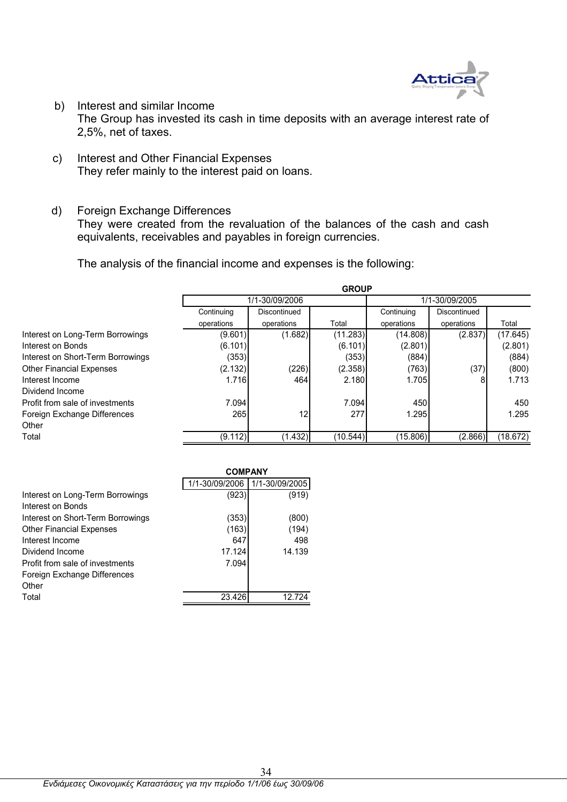

- b) Interest and similar Income The Group has invested its cash in time deposits with an average interest rate of 2,5%, net of taxes.
- c) Interest and Other Financial Expenses They refer mainly to the interest paid on loans.
- d) Foreign Exchange Differences They were created from the revaluation of the balances of the cash and cash equivalents, receivables and payables in foreign currencies.

The analysis of the financial income and expenses is the following:

|                                   | <b>GROUP</b> |                |          |            |                |          |  |  |
|-----------------------------------|--------------|----------------|----------|------------|----------------|----------|--|--|
|                                   |              | 1/1-30/09/2006 |          |            | 1/1-30/09/2005 |          |  |  |
|                                   | Continuing   | Discontinued   |          | Continuing | Discontinued   |          |  |  |
|                                   | operations   | operations     | Total    | operations | operations     | Total    |  |  |
| Interest on Long-Term Borrowings  | (9.601)      | (1.682)        | (11.283) | (14.808)   | (2.837)        | (17.645) |  |  |
| Interest on Bonds                 | (6.101)      |                | (6.101)  | (2.801)    |                | (2.801)  |  |  |
| Interest on Short-Term Borrowings | (353)        |                | (353)    | (884)      |                | (884)    |  |  |
| <b>Other Financial Expenses</b>   | (2.132)      | (226)          | (2.358)  | (763)      | (37)           | (800)    |  |  |
| Interest Income                   | 1.716        | 464            | 2.180    | 1.705      |                | 1.713    |  |  |
| Dividend Income                   |              |                |          |            |                |          |  |  |
| Profit from sale of investments   | 7.094        |                | 7.094    | 450        |                | 450      |  |  |
| Foreign Exchange Differences      | 265          | 12             | 277      | 1.295      |                | 1.295    |  |  |
| Other                             |              |                |          |            |                |          |  |  |
| Total                             | (9.112)      | (1.432)        | (10.544) | (15.806)   | (2.866)        | (18.672) |  |  |

|                                   | <b>COMPANY</b> |                |
|-----------------------------------|----------------|----------------|
|                                   | 1/1-30/09/2006 | 1/1-30/09/2005 |
| Interest on Long-Term Borrowings  | (923)          | (919)          |
| Interest on Bonds                 |                |                |
| Interest on Short-Term Borrowings | (353)          | (800)          |
| <b>Other Financial Expenses</b>   | (163)          | (194)          |
| Interest Income                   | 647            | 498            |
| Dividend Income                   | 17.124         | 14.139         |
| Profit from sale of investments   | 7.094          |                |
| Foreign Exchange Differences      |                |                |
| Other                             |                |                |
| Total                             | 23.426         | 12 724         |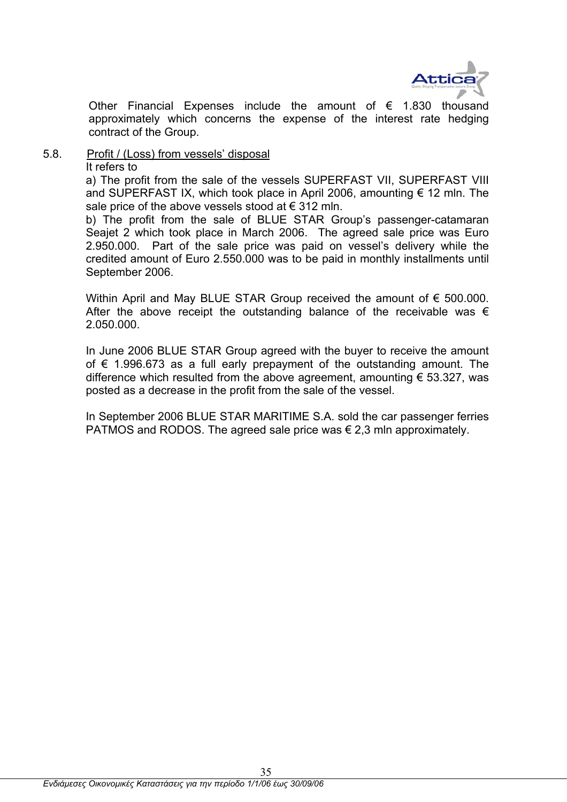

Other Financial Expenses include the amount of  $\epsilon$  1.830 thousand approximately which concerns the expense of the interest rate hedging contract of the Group.

### 5.8. Profit / (Loss) from vessels' disposal It refers to

a) The profit from the sale of the vessels SUPERFAST VII, SUPERFAST VIII and SUPERFAST IX, which took place in April 2006, amounting  $\epsilon$  12 mln. The sale price of the above vessels stood at  $\epsilon$  312 mln.

b) The profit from the sale of BLUE STAR Group's passenger-catamaran Seajet 2 which took place in March 2006. The agreed sale price was Euro 2.950.000. Part of the sale price was paid on vessel's delivery while the credited amount of Euro 2.550.000 was to be paid in monthly installments until September 2006.

Within April and May BLUE STAR Group received the amount of € 500,000. After the above receipt the outstanding balance of the receivable was  $\epsilon$ 2.050.000.

In June 2006 BLUE STAR Group agreed with the buyer to receive the amount of  $€$  1.996.673 as a full early prepayment of the outstanding amount. The difference which resulted from the above agreement, amounting  $\epsilon$  53.327, was posted as a decrease in the profit from the sale of the vessel.

In September 2006 BLUE STAR MARITIME S.A. sold the car passenger ferries PATMOS and RODOS. The agreed sale price was  $\epsilon$  2,3 mln approximately.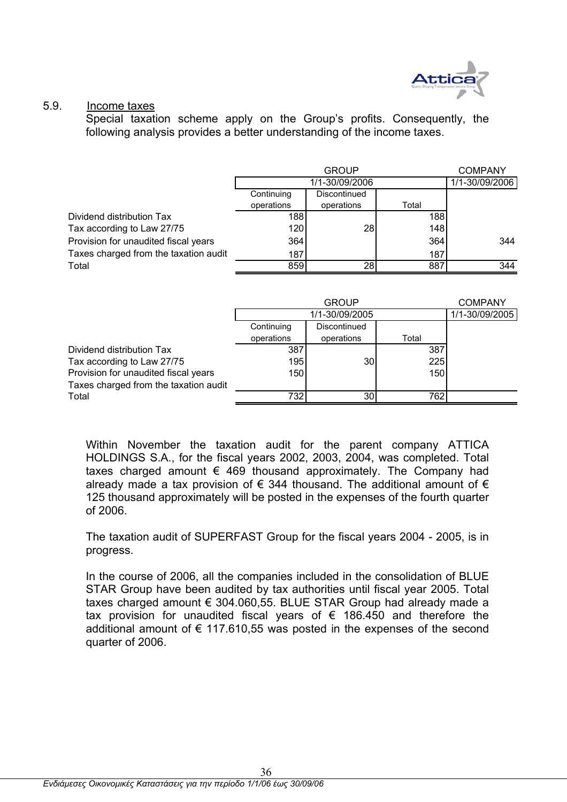

### 5.9. Income taxes

Special taxation scheme apply on the Group's profits. Consequently, the following analysis provides a better understanding of the income taxes.

|                                       |            |                | <b>COMPANY</b> |                |
|---------------------------------------|------------|----------------|----------------|----------------|
|                                       |            | 1/1-30/09/2006 |                | 1/1-30/09/2006 |
|                                       | Continuing | Discontinued   |                |                |
|                                       | operations | operations     | Total          |                |
| Dividend distribution Tax             | 188        |                | 188            |                |
| Tax according to Law 27/75            | 120        | 28             | 148            |                |
| Provision for unaudited fiscal years  | 364        |                | 364            | 344            |
| Taxes charged from the taxation audit | 187        |                | 187            |                |
| Total                                 | 859        | 28             | 887            | 344            |
|                                       |            |                |                |                |

|                                       |            | <b>GROUP</b>    |       |                |  |  |
|---------------------------------------|------------|-----------------|-------|----------------|--|--|
|                                       |            | 1/1-30/09/2005  |       | 1/1-30/09/2005 |  |  |
|                                       | Continuing | Discontinued    |       |                |  |  |
|                                       | operations | operations      | Total |                |  |  |
| Dividend distribution Tax             | 387        |                 | 387   |                |  |  |
| Tax according to Law 27/75            | 195        | 30 <sub>0</sub> | 225   |                |  |  |
| Provision for unaudited fiscal years  | 150        |                 | 150   |                |  |  |
| Taxes charged from the taxation audit |            |                 |       |                |  |  |
| Total                                 | 732        | 30 <sub>l</sub> | 762   |                |  |  |

Within November the taxation audit for the parent company ATTICA HOLDINGS S.A., for the fiscal years 2002, 2003, 2004, was completed. Total taxes charged amount  $\epsilon$  469 thousand approximately. The Company had already made a tax provision of  $\epsilon$  344 thousand. The additional amount of  $\epsilon$ 125 thousand approximately will be posted in the expenses of the fourth quarter of 2006.

The taxation audit of SUPERFAST Group for the fiscal years 2004 - 2005, is in progress.

In the course of 2006, all the companies included in the consolidation of BLUE STAR Group have been audited by tax authorities until fiscal year 2005. Total taxes charged amount € 304.060,55. BLUE STAR Group had already made a tax provision for unaudited fiscal years of  $\epsilon$  186.450 and therefore the additional amount of  $\epsilon$  117.610,55 was posted in the expenses of the second quarter of 2006.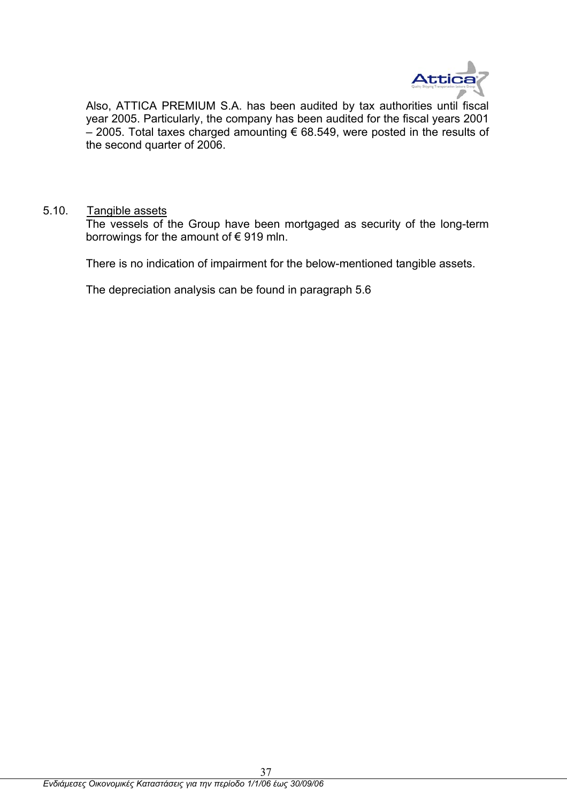

Also, ATTICA PREMIUM S.A. has been audited by tax authorities until fiscal year 2005. Particularly, the company has been audited for the fiscal years 2001 – 2005. Total taxes charged amounting € 68.549, were posted in the results of the second quarter of 2006.

### 5.10. Tangible assets

The vessels of the Group have been mortgaged as security of the long-term borrowings for the amount of  $\epsilon$  919 mln.

There is no indication of impairment for the below-mentioned tangible assets.

The depreciation analysis can be found in paragraph 5.6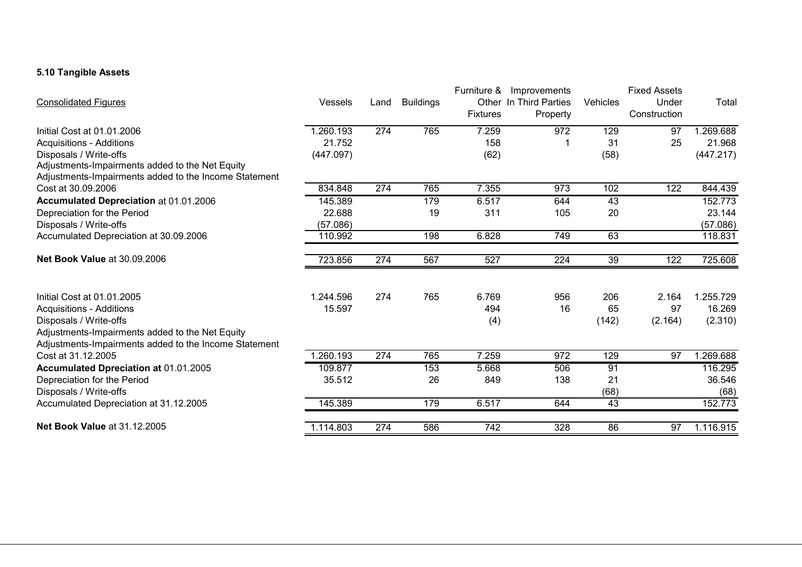### **5.10 Tangible Assets**

| <b>Vessels</b> | Land                                                             | <b>Buildings</b> | Furniture &                    | Improvements                                          | Vehicles                                                        | <b>Fixed Assets</b><br>Under                             | Total                                      |
|----------------|------------------------------------------------------------------|------------------|--------------------------------|-------------------------------------------------------|-----------------------------------------------------------------|----------------------------------------------------------|--------------------------------------------|
|                |                                                                  |                  | <b>Fixtures</b>                | Property                                              |                                                                 | Construction                                             |                                            |
| 1.260.193      | 274                                                              | 765              | $\overline{7.259}$             | 972                                                   | 129                                                             | 97                                                       | 1.269.688                                  |
| 21.752         |                                                                  |                  | 158                            |                                                       | 31                                                              | 25                                                       | 21.968                                     |
| (447.097)      |                                                                  |                  | (62)                           |                                                       | (58)                                                            |                                                          | (447.217)                                  |
|                |                                                                  |                  |                                |                                                       |                                                                 |                                                          |                                            |
|                |                                                                  |                  |                                |                                                       |                                                                 |                                                          |                                            |
|                |                                                                  |                  |                                |                                                       |                                                                 |                                                          | 844.439                                    |
|                |                                                                  |                  |                                |                                                       |                                                                 |                                                          | 152.773                                    |
| 22.688         |                                                                  |                  |                                |                                                       |                                                                 |                                                          | 23.144                                     |
|                |                                                                  |                  |                                |                                                       |                                                                 |                                                          | (57.086)                                   |
|                |                                                                  |                  |                                |                                                       |                                                                 |                                                          | 118.831                                    |
| 723.856        | 274                                                              | 567              | 527                            | 224                                                   | 39                                                              | 122                                                      | 725.608                                    |
|                |                                                                  |                  |                                |                                                       |                                                                 |                                                          | 1.255.729                                  |
|                |                                                                  |                  |                                |                                                       |                                                                 |                                                          | 16.269                                     |
|                |                                                                  |                  |                                |                                                       |                                                                 |                                                          | (2.310)                                    |
|                |                                                                  |                  |                                |                                                       |                                                                 |                                                          |                                            |
|                |                                                                  |                  |                                |                                                       |                                                                 |                                                          |                                            |
| 1.260.193      | 274                                                              | 765              | 7.259                          | 972                                                   | 129                                                             | 97                                                       | 1.269.688                                  |
| 109.877        |                                                                  | 153              | 5.668                          | 506                                                   | 91                                                              |                                                          | 116.295                                    |
| 35.512         |                                                                  | 26               | 849                            | 138                                                   | 21                                                              |                                                          | 36.546                                     |
|                |                                                                  |                  |                                |                                                       | (68)                                                            |                                                          | (68)                                       |
| 145.389        |                                                                  | 179              | 6.517                          | 644                                                   | 43                                                              |                                                          | 152.773                                    |
| 1.114.803      | $\overline{274}$                                                 | 586              | $\overline{742}$               | 328                                                   | 86                                                              | 97                                                       | 1.116.915                                  |
|                | 834.848<br>145.389<br>(57.086)<br>110.992<br>1.244.596<br>15.597 | 274<br>274       | 765<br>179<br>19<br>198<br>765 | 7.355<br>6.517<br>311<br>6.828<br>6.769<br>494<br>(4) | Other In Third Parties<br>973<br>644<br>105<br>749<br>956<br>16 | 102<br>$\overline{43}$<br>20<br>63<br>206<br>65<br>(142) | $\overline{122}$<br>2.164<br>97<br>(2.164) |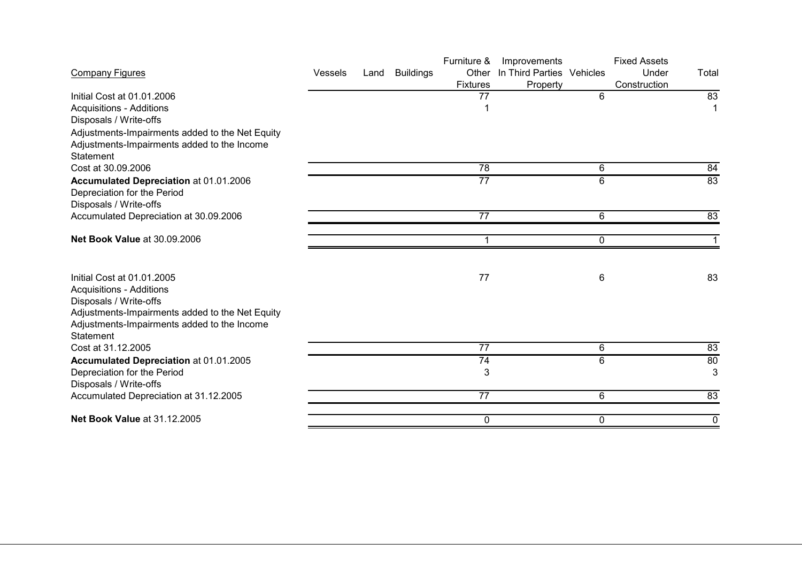|                |      |                  | Furniture &     | Improvements |   | <b>Fixed Assets</b>                 |       |
|----------------|------|------------------|-----------------|--------------|---|-------------------------------------|-------|
| <b>Vessels</b> | Land | <b>Buildings</b> | Other           |              |   | Under                               | Total |
|                |      |                  | <b>Fixtures</b> | Property     |   | Construction                        |       |
|                |      |                  | 77              |              | 6 |                                     | 83    |
|                |      |                  |                 |              |   |                                     |       |
|                |      |                  |                 |              |   |                                     |       |
|                |      |                  |                 |              |   |                                     |       |
|                |      |                  |                 |              |   |                                     |       |
|                |      |                  |                 |              |   |                                     |       |
|                |      |                  | 78              |              | 6 |                                     | 84    |
|                |      |                  | $\overline{77}$ |              | 6 |                                     | 83    |
|                |      |                  |                 |              |   |                                     |       |
|                |      |                  |                 |              |   |                                     |       |
|                |      |                  | $\overline{77}$ |              | 6 |                                     | 83    |
|                |      |                  | 1               |              |   |                                     |       |
|                |      |                  |                 |              |   |                                     |       |
|                |      |                  |                 |              |   |                                     | 83    |
|                |      |                  |                 |              |   |                                     |       |
|                |      |                  |                 |              |   |                                     |       |
|                |      |                  |                 |              |   |                                     |       |
|                |      |                  |                 |              |   |                                     |       |
|                |      |                  |                 |              |   |                                     |       |
|                |      |                  | $\overline{77}$ |              | 6 |                                     | 83    |
|                |      |                  | 74              |              | 6 |                                     | 80    |
|                |      |                  | 3               |              |   |                                     | 3     |
|                |      |                  |                 |              |   |                                     |       |
|                |      |                  | 77              |              | 6 |                                     | 83    |
|                |      |                  | 0               |              | 0 |                                     | 0     |
|                |      |                  |                 | 77           |   | In Third Parties Vehicles<br>0<br>6 |       |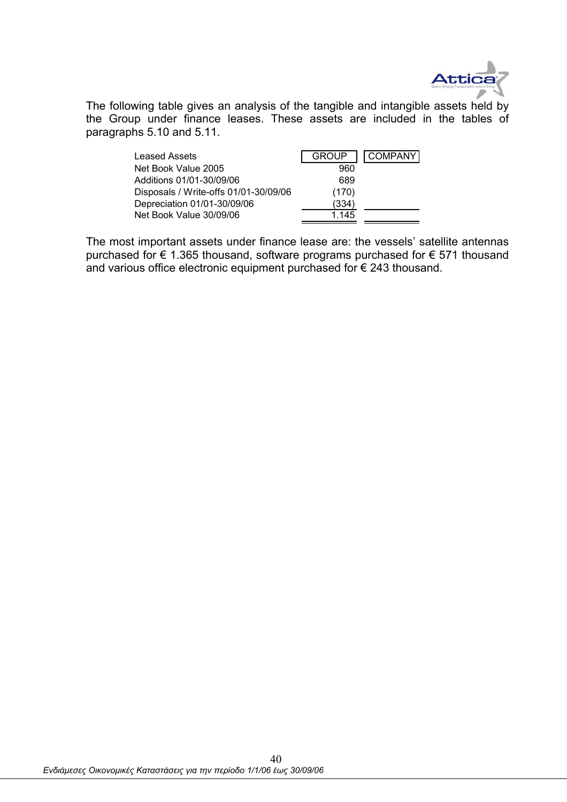

The following table gives an analysis of the tangible and intangible assets held by the Group under finance leases. These assets are included in the tables of paragraphs 5.10 and 5.11.

| <b>Leased Assets</b>                  | <b>GROUP</b> | <b>COMPANY</b> |
|---------------------------------------|--------------|----------------|
| Net Book Value 2005                   | 960          |                |
| Additions 01/01-30/09/06              | 689          |                |
| Disposals / Write-offs 01/01-30/09/06 | (170)        |                |
| Depreciation 01/01-30/09/06           | (334)        |                |
| Net Book Value 30/09/06               | 1.145        |                |

The most important assets under finance lease are: the vessels' satellite antennas purchased for € 1.365 thousand, software programs purchased for € 571 thousand and various office electronic equipment purchased for  $\epsilon$  243 thousand.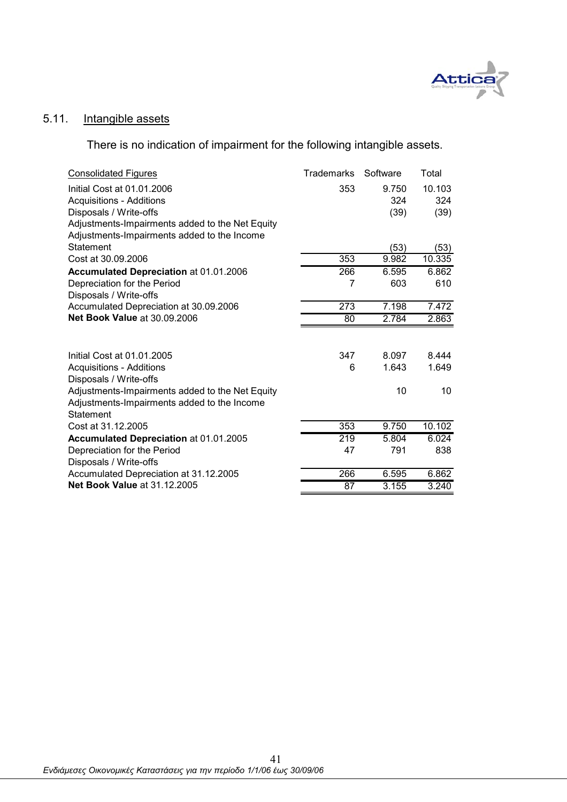

### 5.11. Intangible assets

There is no indication of impairment for the following intangible assets.

| <b>Consolidated Figures</b>                     | <b>Trademarks</b> | Software | Total  |
|-------------------------------------------------|-------------------|----------|--------|
| Initial Cost at 01.01.2006                      | 353               | 9.750    | 10.103 |
| <b>Acquisitions - Additions</b>                 |                   | 324      | 324    |
| Disposals / Write-offs                          |                   | (39)     | (39)   |
| Adjustments-Impairments added to the Net Equity |                   |          |        |
| Adjustments-Impairments added to the Income     |                   |          |        |
| Statement                                       |                   | (53)     | (53)   |
| Cost at 30.09.2006                              | 353               | 9.982    | 10.335 |
| Accumulated Depreciation at 01.01.2006          | 266               | 6.595    | 6.862  |
| Depreciation for the Period                     | 7                 | 603      | 610    |
| Disposals / Write-offs                          |                   |          |        |
| Accumulated Depreciation at 30.09.2006          | 273               | 7.198    | 7.472  |
| <b>Net Book Value at 30.09.2006</b>             | 80                | 2.784    | 2.863  |
|                                                 |                   |          |        |
| Initial Cost at 01.01.2005                      | 347               | 8.097    | 8.444  |
| <b>Acquisitions - Additions</b>                 | 6                 | 1.643    | 1.649  |
| Disposals / Write-offs                          |                   |          |        |
| Adjustments-Impairments added to the Net Equity |                   | 10       | 10     |
| Adjustments-Impairments added to the Income     |                   |          |        |
| <b>Statement</b>                                |                   |          |        |
| Cost at 31.12.2005                              | 353               | 9.750    | 10.102 |
| Accumulated Depreciation at 01.01.2005          | 219               | 5.804    | 6.024  |
| Depreciation for the Period                     | 47                | 791      | 838    |
| Disposals / Write-offs                          |                   |          |        |
| Accumulated Depreciation at 31.12.2005          | 266               | 6.595    | 6.862  |
| <b>Net Book Value at 31.12.2005</b>             | 87                | 3.155    | 3.240  |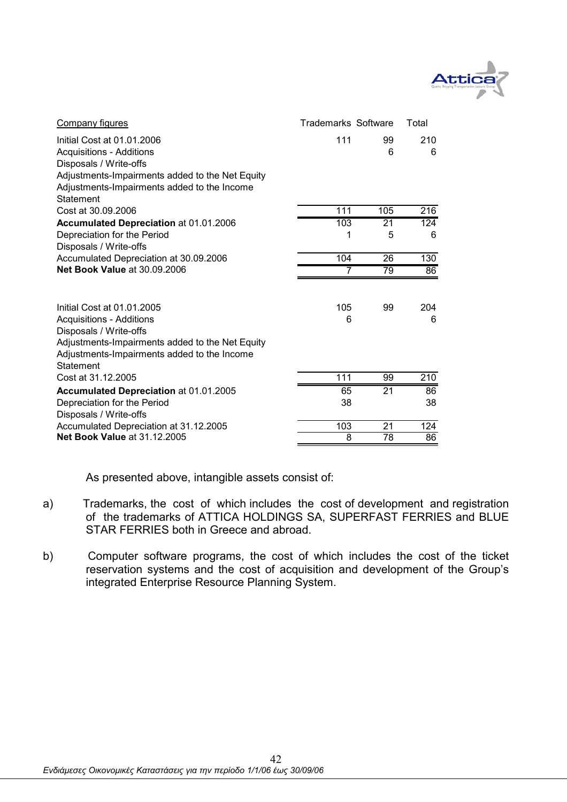

| Company figures                                                                                | <b>Trademarks Software</b> |         | Total            |
|------------------------------------------------------------------------------------------------|----------------------------|---------|------------------|
| Initial Cost at 01.01.2006<br><b>Acquisitions - Additions</b><br>Disposals / Write-offs        | 111                        | 99<br>6 | 210<br>6         |
| Adjustments-Impairments added to the Net Equity                                                |                            |         |                  |
| Adjustments-Impairments added to the Income<br>Statement                                       |                            |         |                  |
| Cost at 30.09.2006                                                                             | 111                        | 105     | 216              |
| <b>Accumulated Depreciation at 01.01.2006</b>                                                  | 103                        | 21      | $\overline{124}$ |
| Depreciation for the Period<br>Disposals / Write-offs                                          | 1                          | 5       | 6                |
| Accumulated Depreciation at 30.09.2006                                                         | 104                        | 26      | 130              |
| <b>Net Book Value at 30.09.2006</b>                                                            | 7                          | 79      | 86               |
|                                                                                                |                            |         |                  |
| Initial Cost at 01.01.2005                                                                     | 105                        | 99      | 204              |
| <b>Acquisitions - Additions</b>                                                                | 6                          |         | 6                |
| Disposals / Write-offs                                                                         |                            |         |                  |
| Adjustments-Impairments added to the Net Equity<br>Adjustments-Impairments added to the Income |                            |         |                  |
| Statement                                                                                      |                            |         |                  |
| Cost at 31.12.2005                                                                             | 111                        | 99      | 210              |
| Accumulated Depreciation at 01.01.2005                                                         | 65                         | 21      | 86               |
| Depreciation for the Period<br>Disposals / Write-offs                                          | 38                         |         | 38               |
| Accumulated Depreciation at 31.12.2005                                                         | 103                        | 21      | 124              |
| <b>Net Book Value at 31.12.2005</b>                                                            | 8                          | 78      | 86               |

As presented above, intangible assets consist of:

- a) Trademarks, the cost of which includes the cost of development and registration of the trademarks of ATTICA HOLDINGS SA, SUPERFAST FERRIES and BLUE STAR FERRIES both in Greece and abroad.
- b) Computer software programs, the cost of which includes the cost of the ticket reservation systems and the cost of acquisition and development of the Group's integrated Enterprise Resource Planning System.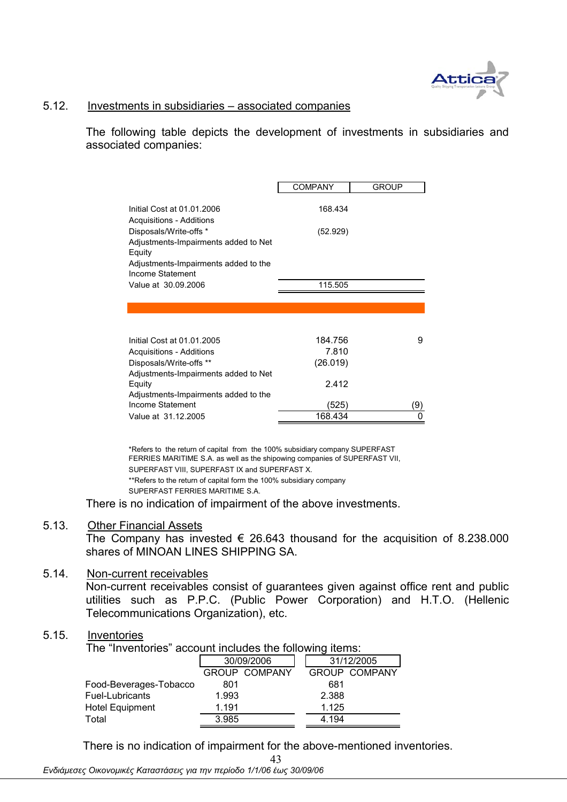

### 5.12. Investments in subsidiaries – associated companies

The following table depicts the development of investments in subsidiaries and associated companies:

| <b>COMPANY</b><br><b>GROUP</b><br>Initial Cost at 01.01.2006<br>168.434<br>Acquisitions - Additions<br>Disposals/Write-offs *<br>(52.929)<br>Adjustments-Impairments added to Net<br>Equity<br>Adjustments-Impairments added to the<br>Income Statement<br>Value at 30.09.2006<br>115.505<br>184.756<br>Initial Cost at 01.01.2005<br>9<br>7.810<br>Acquisitions - Additions<br>(26.019)<br>Disposals/Write-offs **<br>Adjustments-Impairments added to Net<br>2.412<br>Equity<br>Adjustments-Impairments added to the<br>Income Statement<br>(525)<br>9)<br>168.434<br>Value at 31.12.2005 |  |  |
|---------------------------------------------------------------------------------------------------------------------------------------------------------------------------------------------------------------------------------------------------------------------------------------------------------------------------------------------------------------------------------------------------------------------------------------------------------------------------------------------------------------------------------------------------------------------------------------------|--|--|
|                                                                                                                                                                                                                                                                                                                                                                                                                                                                                                                                                                                             |  |  |
|                                                                                                                                                                                                                                                                                                                                                                                                                                                                                                                                                                                             |  |  |
|                                                                                                                                                                                                                                                                                                                                                                                                                                                                                                                                                                                             |  |  |
|                                                                                                                                                                                                                                                                                                                                                                                                                                                                                                                                                                                             |  |  |
|                                                                                                                                                                                                                                                                                                                                                                                                                                                                                                                                                                                             |  |  |
|                                                                                                                                                                                                                                                                                                                                                                                                                                                                                                                                                                                             |  |  |
|                                                                                                                                                                                                                                                                                                                                                                                                                                                                                                                                                                                             |  |  |
|                                                                                                                                                                                                                                                                                                                                                                                                                                                                                                                                                                                             |  |  |
|                                                                                                                                                                                                                                                                                                                                                                                                                                                                                                                                                                                             |  |  |
|                                                                                                                                                                                                                                                                                                                                                                                                                                                                                                                                                                                             |  |  |
|                                                                                                                                                                                                                                                                                                                                                                                                                                                                                                                                                                                             |  |  |
|                                                                                                                                                                                                                                                                                                                                                                                                                                                                                                                                                                                             |  |  |
|                                                                                                                                                                                                                                                                                                                                                                                                                                                                                                                                                                                             |  |  |
|                                                                                                                                                                                                                                                                                                                                                                                                                                                                                                                                                                                             |  |  |
|                                                                                                                                                                                                                                                                                                                                                                                                                                                                                                                                                                                             |  |  |
|                                                                                                                                                                                                                                                                                                                                                                                                                                                                                                                                                                                             |  |  |
|                                                                                                                                                                                                                                                                                                                                                                                                                                                                                                                                                                                             |  |  |
|                                                                                                                                                                                                                                                                                                                                                                                                                                                                                                                                                                                             |  |  |

\*\*Refers to the return of capital form the 100% subsidiary company SUPERFAST FERRIES MARITIME S.A. \*Refers to the return of capital from the 100% subsidiary company SUPERFAST FERRIES MARITIME S.A. as well as the shipowing companies of SUPERFAST VII, SUPERFAST VIII, SUPERFAST IX and SUPERFAST X.

There is no indication of impairment of the above investments.

### 5.13. Other Financial Assets

The Company has invested  $\epsilon$  26.643 thousand for the acquisition of 8.238.000 shares of MINOAN LINES SHIPPING SA.

### 5.14. Non-current receivables

Non-current receivables consist of guarantees given against office rent and public utilities such as P.P.C. (Public Power Corporation) and H.T.O. (Hellenic Telecommunications Organization), etc.

### 5.15. Inventories

The "Inventories" account includes the following items:

|                        | 30/09/2006 |                      |       | 31/12/2005           |
|------------------------|------------|----------------------|-------|----------------------|
|                        |            | <b>GROUP COMPANY</b> |       | <b>GROUP COMPANY</b> |
| Food-Beverages-Tobacco | 801        |                      | 681   |                      |
| Fuel-Lubricants        | 1.993      |                      | 2.388 |                      |
| <b>Hotel Equipment</b> | 1.191      |                      | 1.125 |                      |
| Total                  | 3.985      |                      | 4.194 |                      |

43 There is no indication of impairment for the above-mentioned inventories.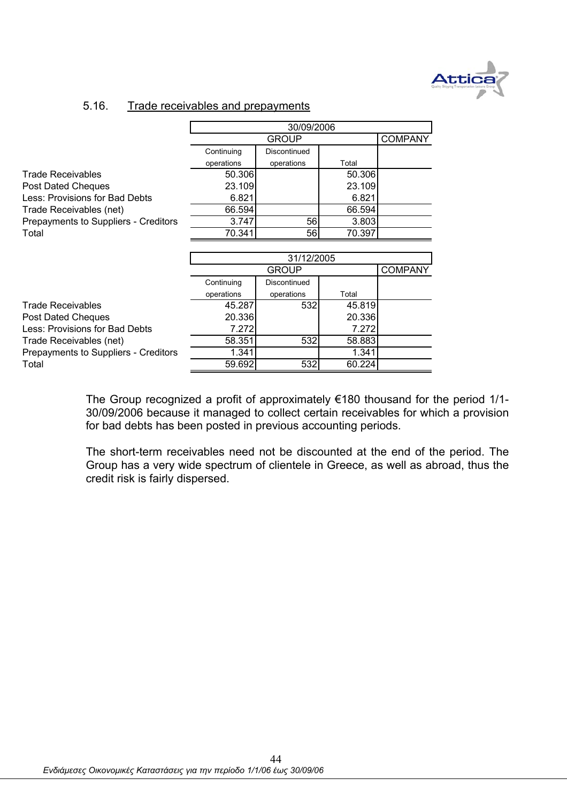

### 5.16. Trade receivables and prepayments

|                                      | 30/09/2006 |              |        |                |  |  |
|--------------------------------------|------------|--------------|--------|----------------|--|--|
|                                      |            | GROUP        |        | <b>COMPANY</b> |  |  |
|                                      | Continuing | Discontinued |        |                |  |  |
|                                      | operations | operations   | Total  |                |  |  |
| <b>Trade Receivables</b>             | 50.306     |              | 50.306 |                |  |  |
| Post Dated Cheques                   | 23.109     |              | 23.109 |                |  |  |
| Less: Provisions for Bad Debts       | 6.821      |              | 6.821  |                |  |  |
| Trade Receivables (net)              | 66.594     |              | 66.594 |                |  |  |
| Prepayments to Suppliers - Creditors | 3.747      | 56           | 3.803  |                |  |  |
| Total                                | 70.341     | 56           | 70.397 |                |  |  |
|                                      |            |              |        |                |  |  |
|                                      |            | 31/12/2005   |        |                |  |  |
|                                      |            | GROUP        |        | <b>COMPANY</b> |  |  |
|                                      | Continuing | Discontinued |        |                |  |  |
|                                      | operations | operations   | Total  |                |  |  |
| <b>Trade Receivables</b>             | 45.287     | 532          | 45.819 |                |  |  |
| Post Dated Cheques                   | 20.336     |              | 20.336 |                |  |  |
| Less: Provisions for Bad Debts       | 7.272      |              | 7.272  |                |  |  |
| Trade Receivables (net)              | 58.351     | 532          | 58.883 |                |  |  |
| Prepayments to Suppliers - Creditors | 1.341      |              | 1.341  |                |  |  |

Total 59.692 532 60.224

The Group recognized a profit of approximately €180 thousand for the period 1/1- 30/09/2006 because it managed to collect certain receivables for which a provision for bad debts has been posted in previous accounting periods.

The short-term receivables need not be discounted at the end of the period. The Group has a very wide spectrum of clientele in Greece, as well as abroad, thus the credit risk is fairly dispersed.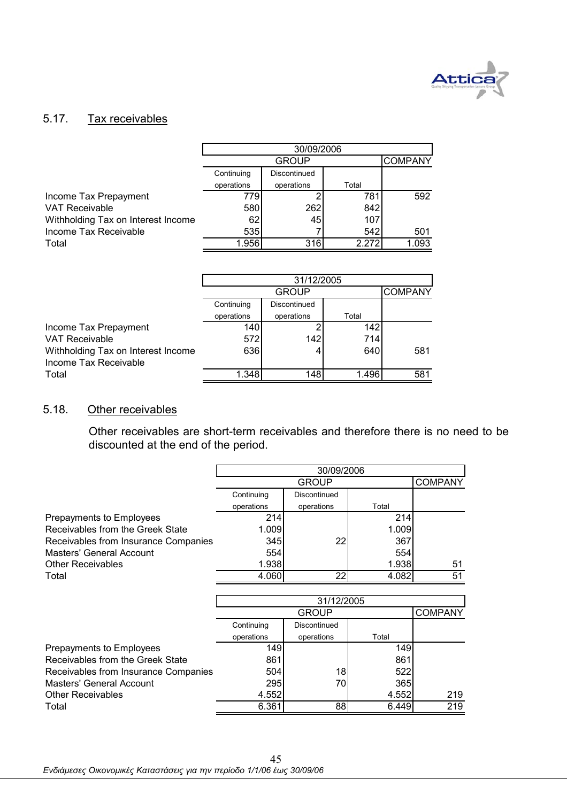

## 5.17. Tax receivables

|                                    | 30/09/2006 |              |       |                |  |
|------------------------------------|------------|--------------|-------|----------------|--|
|                                    |            | <b>GROUP</b> |       | <b>COMPANY</b> |  |
|                                    | Continuing | Discontinued |       |                |  |
|                                    | operations | operations   | Total |                |  |
| Income Tax Prepayment              | 7791       |              | 781   | 592            |  |
| <b>VAT Receivable</b>              | 580        | 262          | 842   |                |  |
| Withholding Tax on Interest Income | 62         | 45           | 107   |                |  |
| Income Tax Receivable              | 535        |              | 542   | 501            |  |
| Total                              | 1.956      | 316          | 2.272 | 1.093          |  |

|                                    | 31/12/2005 |              |       |     |  |  |
|------------------------------------|------------|--------------|-------|-----|--|--|
|                                    |            | <b>GROUP</b> |       |     |  |  |
|                                    | Continuing | Discontinued |       |     |  |  |
|                                    | operations | operations   | Total |     |  |  |
| Income Tax Prepayment              | 140        |              | 142.  |     |  |  |
| <b>VAT Receivable</b>              | 572        | 142          | 714   |     |  |  |
| Withholding Tax on Interest Income | 636        | 4            | 640   | 581 |  |  |
| Income Tax Receivable              |            |              |       |     |  |  |
| Total                              | 1.348      | 148          | 1.496 | 581 |  |  |

### 5.18. Other receivables

Other receivables are short-term receivables and therefore there is no need to be discounted at the end of the period.

|                                      | 30/09/2006                     |              |       |                |  |
|--------------------------------------|--------------------------------|--------------|-------|----------------|--|
|                                      | <b>GROUP</b><br><b>COMPANY</b> |              |       |                |  |
|                                      | Continuing                     | Discontinued |       |                |  |
|                                      | operations                     | operations   | Total |                |  |
| Prepayments to Employees             | 214                            |              | 214   |                |  |
| Receivables from the Greek State     | 1.009                          |              | 1.009 |                |  |
| Receivables from Insurance Companies | 345                            | 22           | 367   |                |  |
| Masters' General Account             | 554                            |              | 554   |                |  |
| <b>Other Receivables</b>             | 1.938                          |              | 1.938 | 51             |  |
| Total                                | 4.060                          | 22           | 4.082 | 51             |  |
|                                      |                                |              |       |                |  |
|                                      |                                | 31/12/2005   |       |                |  |
|                                      |                                | GROUP        |       | <b>COMPANY</b> |  |
|                                      | Continuing                     | Discontinued |       |                |  |
|                                      | operations                     | operations   | Total |                |  |
| Prepayments to Employees             | 149                            |              | 149   |                |  |
| Receivables from the Greek State     | 861                            |              | 861   |                |  |
| Receivables from Insurance Companies | 504                            | 18           | 522   |                |  |
| Masters' General Account             | 295                            | 70           | 365   |                |  |
| <b>Other Receivables</b>             | 4.552                          |              | 4.552 | 219            |  |
| Total                                | 6.361                          | 88           | 6.449 | 219            |  |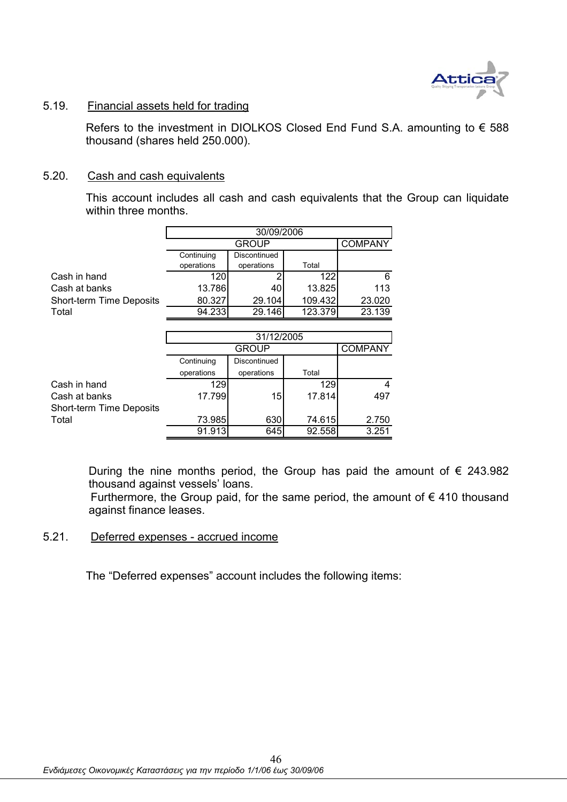

### 5.19. Financial assets held for trading

Refers to the investment in DIOLKOS Closed End Fund S.A. amounting to  $\epsilon$  588 thousand (shares held 250.000).

### 5.20. Cash and cash equivalents

This account includes all cash and cash equivalents that the Group can liquidate within three months.

|                          | 30/09/2006 |              |         |        |  |
|--------------------------|------------|--------------|---------|--------|--|
|                          |            | <b>GROUP</b> |         |        |  |
|                          | Continuing | Discontinued |         |        |  |
|                          | operations | operations   | Total   |        |  |
| Cash in hand             | 120        |              | 122     | 6      |  |
| Cash at banks            | 13.786     | 40           | 13.825  | 113    |  |
| Short-term Time Deposits | 80.327     | 29.104       | 109.432 | 23.020 |  |
| Total                    | 94.233     | 29.146       | 123.379 | 23.139 |  |

|                          | 31/12/2005 |              |        |                |  |
|--------------------------|------------|--------------|--------|----------------|--|
|                          |            | <b>GROUP</b> |        | <b>COMPANY</b> |  |
|                          | Continuing | Discontinued |        |                |  |
|                          | operations | operations   | Total  |                |  |
| Cash in hand             | 129        |              | 129    |                |  |
| Cash at banks            | 17.799     | 15           | 17.814 | 497            |  |
| Short-term Time Deposits |            |              |        |                |  |
| Total                    | 73.985     | 630          | 74.615 | 2.750          |  |
|                          | 91.913     | 645          | 92.558 | 3.251          |  |

During the nine months period, the Group has paid the amount of  $\epsilon$  243.982 thousand against vessels' loans.

Furthermore, the Group paid, for the same period, the amount of  $\epsilon$  410 thousand against finance leases.

### 5.21. Deferred expenses - accrued income

The "Deferred expenses" account includes the following items: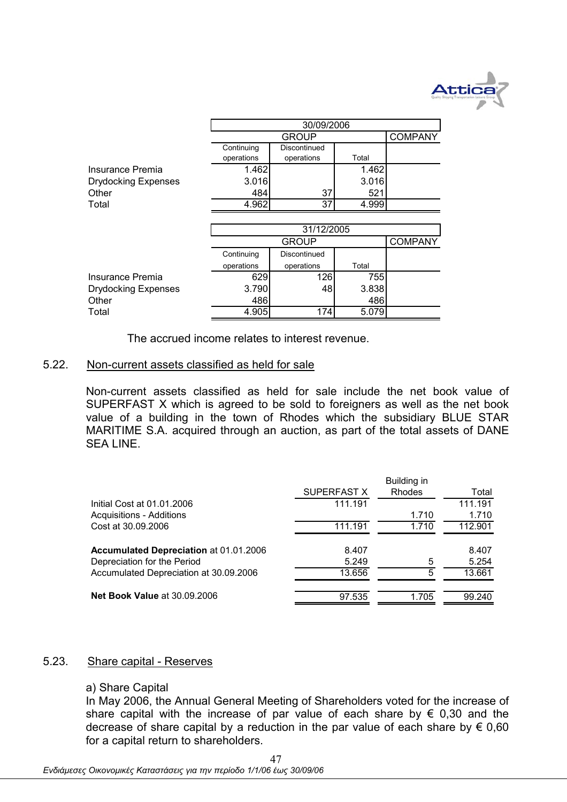

|                            | 30/09/2006 |              |       |                |  |
|----------------------------|------------|--------------|-------|----------------|--|
|                            |            | <b>GROUP</b> |       | <b>COMPANY</b> |  |
|                            | Continuing | Discontinued |       |                |  |
|                            | operations | operations   | Total |                |  |
| Insurance Premia           | 1.462      |              | 1.462 |                |  |
| <b>Drydocking Expenses</b> | 3.016      |              | 3.016 |                |  |
| Other                      | 484        | 37           | 521   |                |  |
| Total                      | 4.962      | 37           | 4.999 |                |  |
|                            |            |              |       |                |  |
|                            |            | 31/12/2005   |       |                |  |
|                            |            | <b>GROUP</b> |       | <b>COMPANY</b> |  |
|                            | Continuing | Discontinued |       |                |  |
|                            | operations | operations   | Total |                |  |
| Insurance Premia           | 629        | 126          | 755   |                |  |
| <b>Drydocking Expenses</b> | 3.790      | 48           | 3.838 |                |  |
| Other                      | 486        |              | 486   |                |  |
| Total                      | 4.905      | 174          | 5.079 |                |  |
|                            |            |              |       |                |  |

The accrued income relates to interest revenue.

### 5.22. Non-current assets classified as held for sale

Non-current assets classified as held for sale include the net book value of SUPERFAST X which is agreed to be sold to foreigners as well as the net book value of a building in the town of Rhodes which the subsidiary BLUE STAR MARITIME S.A. acquired through an auction, as part of the total assets of DANE SEA LINE.

|                                               |             | Building in   |         |
|-----------------------------------------------|-------------|---------------|---------|
|                                               | SUPERFAST X | <b>Rhodes</b> | Total   |
| Initial Cost at 01.01.2006                    | 111.191     |               | 111.191 |
| <b>Acquisitions - Additions</b>               |             | 1.710         | 1.710   |
| Cost at 30.09.2006                            | 111.191     | 1.710         | 112.901 |
| <b>Accumulated Depreciation at 01.01.2006</b> | 8.407       |               | 8.407   |
| Depreciation for the Period                   | 5.249       | 5             | 5.254   |
| Accumulated Depreciation at 30.09.2006        | 13.656      | 5             | 13.661  |
| <b>Net Book Value at 30.09.2006</b>           | 97.535      | 1.705         | 99.240  |

### 5.23. Share capital - Reserves

### a) Share Capital

In May 2006, the Annual General Meeting of Shareholders voted for the increase of share capital with the increase of par value of each share by  $\epsilon$  0,30 and the decrease of share capital by a reduction in the par value of each share by  $\epsilon$  0,60 for a capital return to shareholders.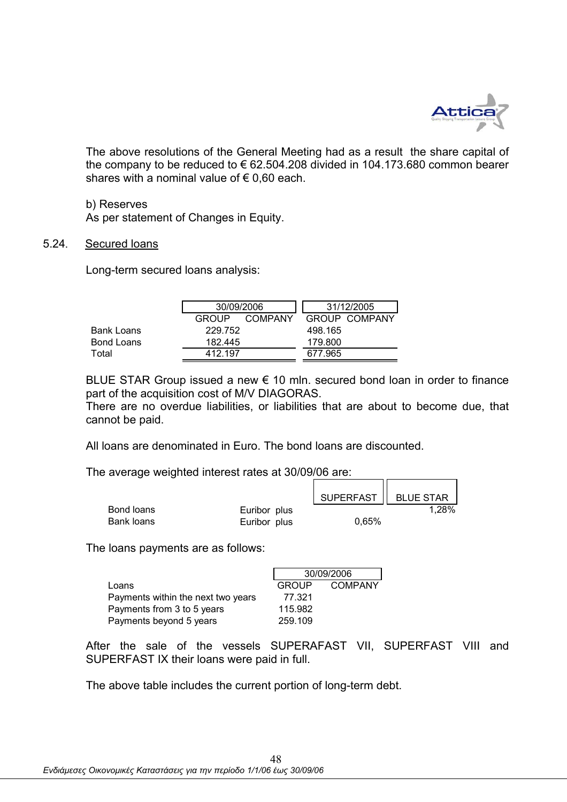

The above resolutions of the General Meeting had as a result the share capital of the company to be reduced to  $\epsilon$  62.504.208 divided in 104.173.680 common bearer shares with a nominal value of  $\epsilon$  0.60 each.

### b) Reserves

As per statement of Changes in Equity.

### 5.24. Secured loans

Long-term secured loans analysis:

|            | 30/09/2006   |                |         | 31/12/2005    |
|------------|--------------|----------------|---------|---------------|
|            | <b>GROUP</b> | <b>COMPANY</b> |         | GROUP COMPANY |
| Bank Loans | 229.752      |                | 498.165 |               |
| Bond Loans | 182.445      |                | 179.800 |               |
| Total      | 412.197      |                | 677.965 |               |
|            |              |                |         |               |

BLUE STAR Group issued a new  $\epsilon$  10 mln. secured bond loan in order to finance part of the acquisition cost of M/V DIAGORAS.

There are no overdue liabilities, or liabilities that are about to become due, that cannot be paid.

٦r

All loans are denominated in Euro. The bond loans are discounted.

The average weighted interest rates at 30/09/06 are:

|            |              | SUPERFAST   BLUE STAR |       |
|------------|--------------|-----------------------|-------|
| Bond loans | Euribor plus |                       | 1.28% |
| Bank loans | Euribor plus | 0.65%                 |       |

The loans payments are as follows:

|                                    | 30/09/2006 |         |
|------------------------------------|------------|---------|
| Loans                              | GROUP      | COMPANY |
| Payments within the next two years | 77.321     |         |
| Payments from 3 to 5 years         | 115.982    |         |
| Payments beyond 5 years            | 259.109    |         |

After the sale of the vessels SUPERAFAST VII, SUPERFAST VIII and SUPERFAST IX their loans were paid in full.

The above table includes the current portion of long-term debt.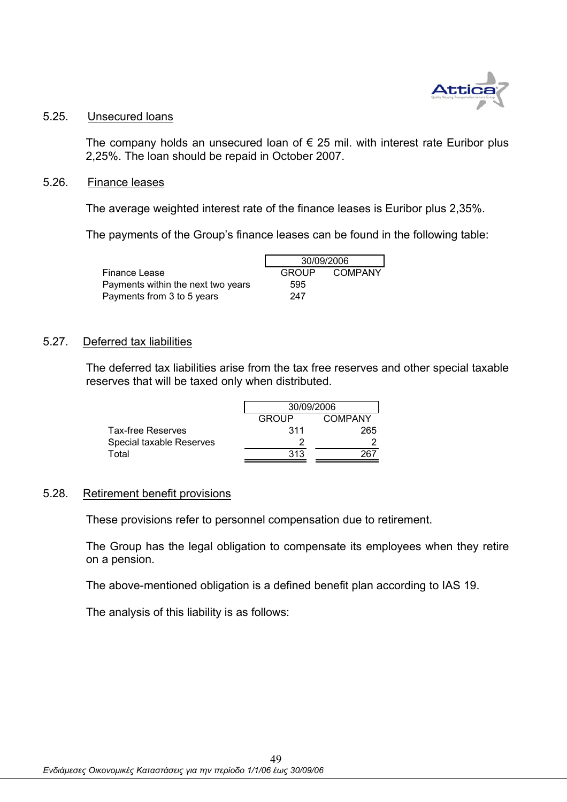

# 5.25. Unsecured loans

The company holds an unsecured loan of  $\epsilon$  25 mil. with interest rate Euribor plus 2,25%. The loan should be repaid in October 2007.

### 5.26. Finance leases

The average weighted interest rate of the finance leases is Euribor plus 2,35%.

The payments of the Group's finance leases can be found in the following table:

|                                    | 30/09/2006 |         |
|------------------------------------|------------|---------|
| Finance Lease                      | GROUP      | COMPANY |
| Payments within the next two years | 595        |         |
| Payments from 3 to 5 years         | 247        |         |

### 5.27. Deferred tax liabilities

The deferred tax liabilities arise from the tax free reserves and other special taxable reserves that will be taxed only when distributed.

|                          | 30/09/2006   |         |  |
|--------------------------|--------------|---------|--|
|                          | <b>GROUP</b> | COMPANY |  |
| <b>Tax-free Reserves</b> | 311          | 265     |  |
| Special taxable Reserves |              |         |  |
| Total                    | 313          |         |  |

### 5.28. Retirement benefit provisions

These provisions refer to personnel compensation due to retirement.

The Group has the legal obligation to compensate its employees when they retire on a pension.

The above-mentioned obligation is a defined benefit plan according to IAS 19.

The analysis of this liability is as follows: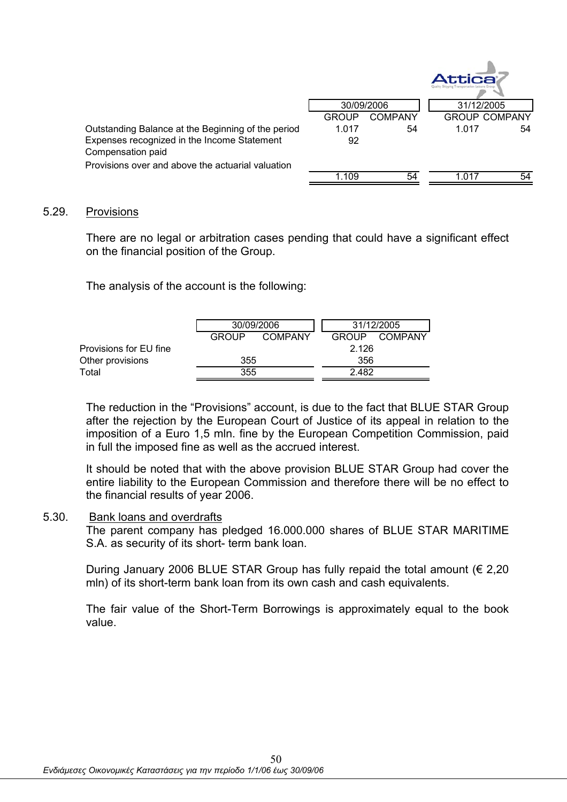|                                                    |              |         | Attica     |                      |
|----------------------------------------------------|--------------|---------|------------|----------------------|
|                                                    | 30/09/2006   |         | 31/12/2005 |                      |
|                                                    | <b>GROUP</b> | COMPANY |            | <b>GROUP COMPANY</b> |
| Outstanding Balance at the Beginning of the period | 1.017        | 54      | 1.017      | 54                   |
| Expenses recognized in the Income Statement        | 92           |         |            |                      |
| Compensation paid                                  |              |         |            |                      |
| Provisions over and above the actuarial valuation  |              |         |            |                      |
|                                                    | 1 1 0 9      | 54      | 1 017      | 54                   |

### 5.29. Provisions

There are no legal or arbitration cases pending that could have a significant effect on the financial position of the Group.

The analysis of the account is the following:

|                        |       | 30/09/2006 |       | 31/12/2005 |  |
|------------------------|-------|------------|-------|------------|--|
|                        | GROUP | COMPANY    | GROUP | COMPANY    |  |
| Provisions for EU fine |       |            | 2.126 |            |  |
| Other provisions       | 355   |            | 356   |            |  |
| Total                  | 355   |            | 2.482 |            |  |

The reduction in the "Provisions" account, is due to the fact that BLUE STAR Group after the rejection by the European Court of Justice of its appeal in relation to the imposition of a Euro 1,5 mln. fine by the European Competition Commission, paid in full the imposed fine as well as the accrued interest.

It should be noted that with the above provision BLUE STAR Group had cover the entire liability to the European Commission and therefore there will be no effect to the financial results of year 2006.

### 5.30. Bank loans and overdrafts

The parent company has pledged 16.000.000 shares of BLUE STAR MARITIME S.A. as security of its short- term bank loan.

During January 2006 BLUE STAR Group has fully repaid the total amount ( $\epsilon$  2,20 mln) of its short-term bank loan from its own cash and cash equivalents.

The fair value of the Short-Term Borrowings is approximately equal to the book value.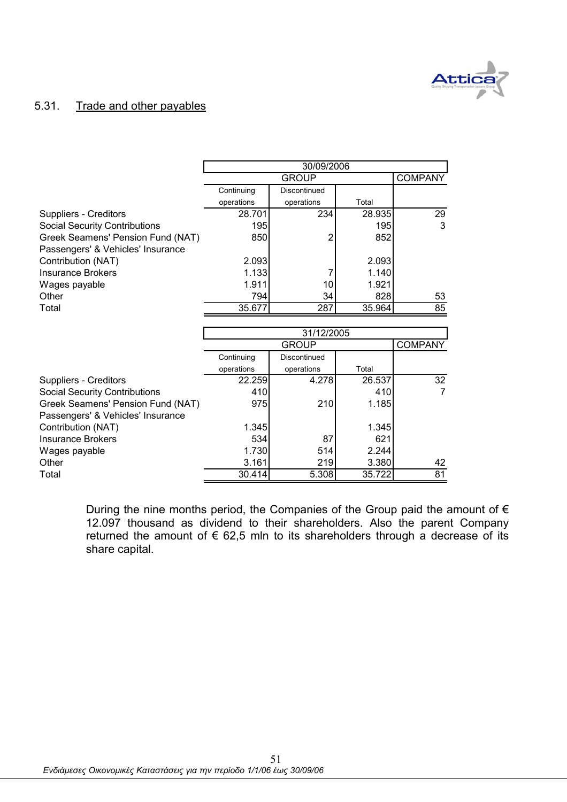

### 5.31. Trade and other payables

|                                      | 30/09/2006      |                |                 |                |  |  |
|--------------------------------------|-----------------|----------------|-----------------|----------------|--|--|
|                                      |                 | <b>COMPANY</b> |                 |                |  |  |
|                                      | Continuing      | Discontinued   |                 |                |  |  |
|                                      | operations      | operations     | Total           |                |  |  |
| Suppliers - Creditors                | 28.701          | 234            | 28.935          | 29             |  |  |
| <b>Social Security Contributions</b> | 195             |                | 195             | 3              |  |  |
| Greek Seamens' Pension Fund (NAT)    | 850             | 2              | 852             |                |  |  |
| Passengers' & Vehicles' Insurance    |                 |                |                 |                |  |  |
| Contribution (NAT)                   | 2.093           |                | 2.093           |                |  |  |
| <b>Insurance Brokers</b>             | 1.133           | 7              | 1.140           |                |  |  |
| Wages payable                        | 1.911           | 10             | 1.921           |                |  |  |
| Other                                | 794             | 34             | 828             | 53             |  |  |
| Total                                | 35.677          | 287            | 35.964          | 85             |  |  |
|                                      |                 |                |                 |                |  |  |
|                                      |                 |                |                 |                |  |  |
|                                      |                 | 31/12/2005     |                 |                |  |  |
|                                      |                 | <b>GROUP</b>   |                 | <b>COMPANY</b> |  |  |
|                                      | Continuing      | Discontinued   |                 |                |  |  |
|                                      | operations      | operations     | Total           |                |  |  |
| Suppliers - Creditors                | 22.259          | 4.278          | 26.537          | 32             |  |  |
| <b>Social Security Contributions</b> | 410             |                | 410             | $\overline{7}$ |  |  |
| Greek Seamens' Pension Fund (NAT)    | 975             | 210            | 1.185           |                |  |  |
| Passengers' & Vehicles' Insurance    |                 |                |                 |                |  |  |
| Contribution (NAT)                   | 1.345           |                | 1.345           |                |  |  |
| <b>Insurance Brokers</b>             | 534             | 87             | 621             |                |  |  |
| Wages payable                        | 1.730           | 514            | 2.244           |                |  |  |
| Other                                | 3.161<br>30.414 | 219<br>5.308   | 3.380<br>35.722 | 42<br>81       |  |  |

During the nine months period, the Companies of the Group paid the amount of  $\epsilon$ 12.097 thousand as dividend to their shareholders. Also the parent Company returned the amount of  $\epsilon$  62,5 mln to its shareholders through a decrease of its share capital.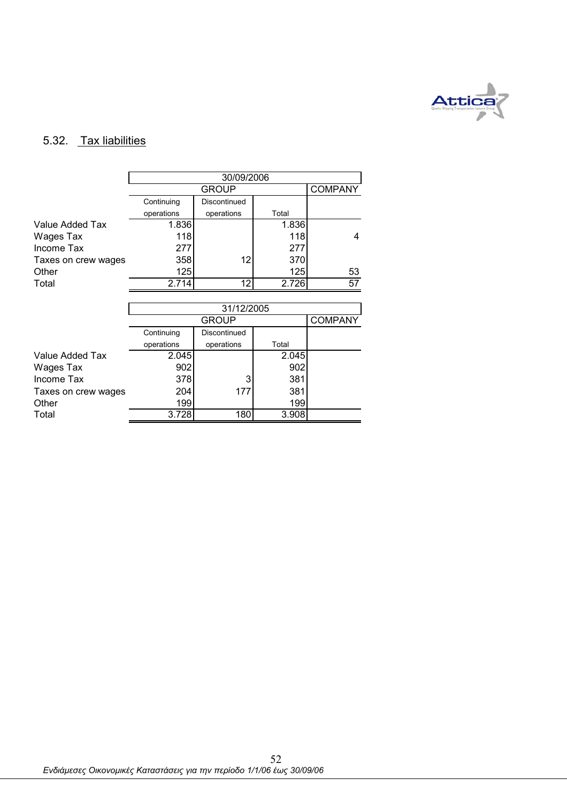

## 5.32. Tax liabilities

|                     | 30/09/2006 |                |       |                 |  |  |
|---------------------|------------|----------------|-------|-----------------|--|--|
|                     |            | <b>COMPANY</b> |       |                 |  |  |
|                     | Continuing | Discontinued   |       |                 |  |  |
|                     | operations | operations     | Total |                 |  |  |
| Value Added Tax     | 1.836      |                | 1.836 |                 |  |  |
| Wages Tax           | 118        |                | 118   | 4               |  |  |
| Income Tax          | 277        |                | 277   |                 |  |  |
| Taxes on crew wages | 358        | 12             | 370   |                 |  |  |
| Other               | 125        |                | 125   | 53              |  |  |
| Total               | 2.714      | 12             | 2.726 | $\overline{57}$ |  |  |
|                     |            |                |       |                 |  |  |
|                     | 31/12/2005 |                |       |                 |  |  |
|                     |            | <b>GROUP</b>   |       | <b>COMPANY</b>  |  |  |
|                     | Continuing | Discontinued   |       |                 |  |  |
|                     | operations | operations     | Total |                 |  |  |
| Value Added Tax     | 2.045      |                | 2.045 |                 |  |  |
| Wages Tax           | 902        |                | 902   |                 |  |  |
| Income Tax          | 378        | 3              | 381   |                 |  |  |
| Taxes on crew wages | 204        | 177            | 381   |                 |  |  |
| Other               | 199        |                | 199   |                 |  |  |
| Total               | 3.728      | 180            | 3.908 |                 |  |  |